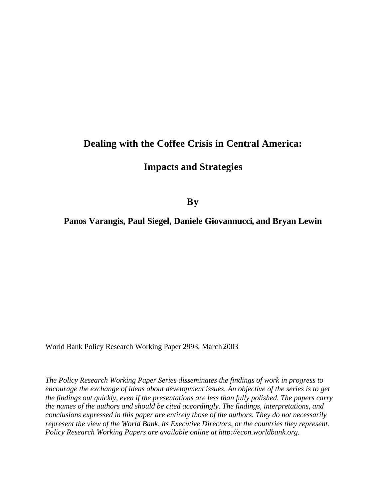# **Dealing with the Coffee Crisis in Central America:**

# **Impacts and Strategies**

**By**

**Panos Varangis, Paul Siegel, Daniele Giovannucci, and Bryan Lewin**

World Bank Policy Research Working Paper 2993, March 2003

*The Policy Research Working Paper Series disseminates the findings of work in progress to encourage the exchange of ideas about development issues. An objective of the series is to get the findings out quickly, even if the presentations are less than fully polished. The papers carry the names of the authors and should be cited accordingly. The findings, interpretations, and conclusions expressed in this paper are entirely those of the authors. They do not necessarily represent the view of the World Bank, its Executive Directors, or the countries they represent. Policy Research Working Papers are available online at http://econ.worldbank.org.*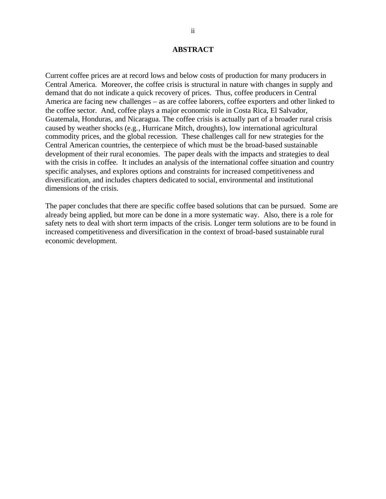#### **ABSTRACT**

Current coffee prices are at record lows and below costs of production for many producers in Central America. Moreover, the coffee crisis is structural in nature with changes in supply and demand that do not indicate a quick recovery of prices. Thus, coffee producers in Central America are facing new challenges – as are coffee laborers, coffee exporters and other linked to the coffee sector. And, coffee plays a major economic role in Costa Rica, El Salvador, Guatemala, Honduras, and Nicaragua. The coffee crisis is actually part of a broader rural crisis caused by weather shocks (e.g., Hurricane Mitch, droughts), low international agricultural commodity prices, and the global recession. These challenges call for new strategies for the Central American countries, the centerpiece of which must be the broad-based sustainable development of their rural economies. The paper deals with the impacts and strategies to deal with the crisis in coffee. It includes an analysis of the international coffee situation and country specific analyses, and explores options and constraints for increased competitiveness and diversification, and includes chapters dedicated to social, environmental and institutional dimensions of the crisis.

The paper concludes that there are specific coffee based solutions that can be pursued. Some are already being applied, but more can be done in a more systematic way. Also, there is a role for safety nets to deal with short term impacts of the crisis. Longer term solutions are to be found in increased competitiveness and diversification in the context of broad-based sustainable rural economic development.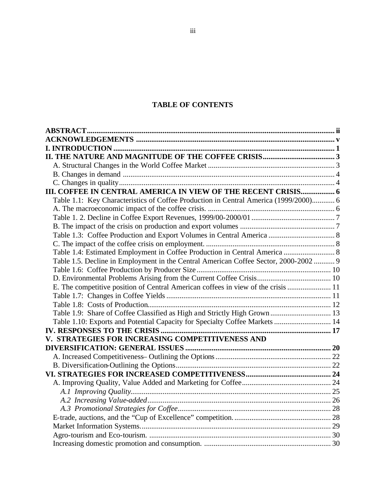# **TABLE OF CONTENTS**

| III. COFFEE IN CENTRAL AMERICA IN VIEW OF THE RECENT CRISIS 6                        |  |
|--------------------------------------------------------------------------------------|--|
| Table 1.1: Key Characteristics of Coffee Production in Central America (1999/2000) 6 |  |
|                                                                                      |  |
|                                                                                      |  |
|                                                                                      |  |
|                                                                                      |  |
|                                                                                      |  |
| Table 1.4: Estimated Employment in Coffee Production in Central America  8           |  |
| Table 1.5. Decline in Employment in the Central American Coffee Sector, 2000-2002 9  |  |
|                                                                                      |  |
|                                                                                      |  |
| E. The competitive position of Central American coffees in view of the crisis  11    |  |
|                                                                                      |  |
|                                                                                      |  |
|                                                                                      |  |
| Table 1.10: Exports and Potential Capacity for Specialty Coffee Markets  14          |  |
|                                                                                      |  |
| V. STRATEGIES FOR INCREASING COMPETITIVENESS AND                                     |  |
|                                                                                      |  |
|                                                                                      |  |
|                                                                                      |  |
|                                                                                      |  |
|                                                                                      |  |
|                                                                                      |  |
|                                                                                      |  |
|                                                                                      |  |
|                                                                                      |  |
|                                                                                      |  |
|                                                                                      |  |
|                                                                                      |  |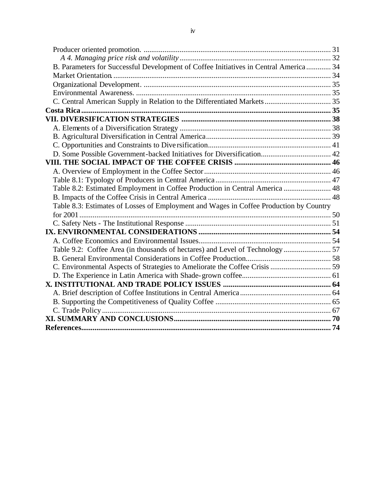| B. Parameters for Successful Development of Coffee Initiatives in Central America  34  |  |
|----------------------------------------------------------------------------------------|--|
|                                                                                        |  |
|                                                                                        |  |
|                                                                                        |  |
|                                                                                        |  |
|                                                                                        |  |
|                                                                                        |  |
|                                                                                        |  |
|                                                                                        |  |
|                                                                                        |  |
|                                                                                        |  |
|                                                                                        |  |
|                                                                                        |  |
|                                                                                        |  |
| Table 8.2: Estimated Employment in Coffee Production in Central America  48            |  |
|                                                                                        |  |
| Table 8.3: Estimates of Losses of Employment and Wages in Coffee Production by Country |  |
|                                                                                        |  |
|                                                                                        |  |
|                                                                                        |  |
|                                                                                        |  |
| Table 9.2: Coffee Area (in thousands of hectares) and Level of Technology  57          |  |
|                                                                                        |  |
|                                                                                        |  |
|                                                                                        |  |
|                                                                                        |  |
|                                                                                        |  |
|                                                                                        |  |
|                                                                                        |  |
|                                                                                        |  |
|                                                                                        |  |
|                                                                                        |  |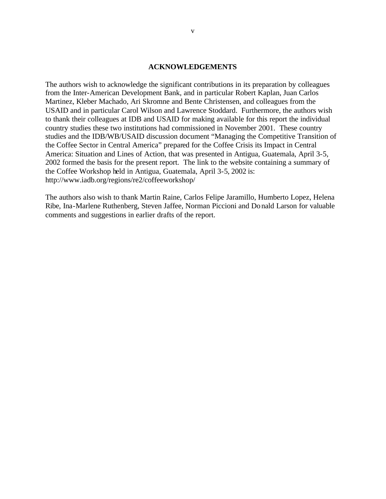#### **ACKNOWLEDGEMENTS**

The authors wish to acknowledge the significant contributions in its preparation by colleagues from the Inter-American Development Bank, and in particular Robert Kaplan, Juan Carlos Martinez, Kleber Machado, Ari Skromne and Bente Christensen, and colleagues from the USAID and in particular Carol Wilson and Lawrence Stoddard. Furthermore, the authors wish to thank their colleagues at IDB and USAID for making available for this report the individual country studies these two institutions had commissioned in November 2001. These country studies and the IDB/WB/USAID discussion document "Managing the Competitive Transition of the Coffee Sector in Central America" prepared for the Coffee Crisis its Impact in Central America: Situation and Lines of Action, that was presented in Antigua, Guatemala, April 3-5, 2002 formed the basis for the present report. The link to the website containing a summary of the Coffee Workshop held in Antigua, Guatemala, April 3-5, 2002 is: http://www.iadb.org/regions/re2/coffeeworkshop/

The authors also wish to thank Martin Raine, Carlos Felipe Jaramillo, Humberto Lopez, Helena Ribe, Ina-Marlene Ruthenberg, Steven Jaffee, Norman Piccioni and Donald Larson for valuable comments and suggestions in earlier drafts of the report.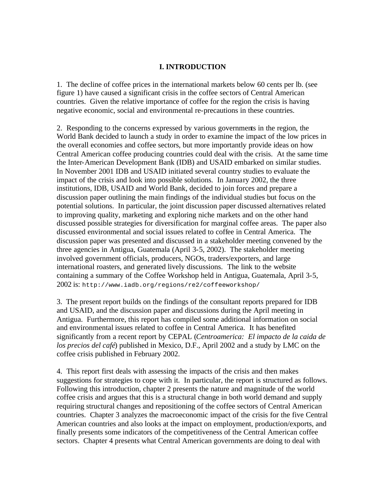# **I. INTRODUCTION**

1. The decline of coffee prices in the international markets below 60 cents per lb. (see figure 1) have caused a significant crisis in the coffee sectors of Central American countries. Given the relative importance of coffee for the region the crisis is having negative economic, social and environmental re-precautions in these countries.

2. Responding to the concerns expressed by various governments in the region, the World Bank decided to launch a study in order to examine the impact of the low prices in the overall economies and coffee sectors, but more importantly provide ideas on how Central American coffee producing countries could deal with the crisis. At the same time the Inter-American Development Bank (IDB) and USAID embarked on similar studies. In November 2001 IDB and USAID initiated several country studies to evaluate the impact of the crisis and look into possible solutions. In January 2002, the three institutions, IDB, USAID and World Bank, decided to join forces and prepare a discussion paper outlining the main findings of the individual studies but focus on the potential solutions. In particular, the joint discussion paper discussed alternatives related to improving quality, marketing and exploring niche markets and on the other hand discussed possible strategies for diversification for marginal coffee areas. The paper also discussed environmental and social issues related to coffee in Central America. The discussion paper was presented and discussed in a stakeholder meeting convened by the three agencies in Antigua, Guatemala (April 3-5, 2002). The stakeholder meeting involved government officials, producers, NGOs, traders/exporters, and large international roasters, and generated lively discussions. The link to the website containing a summary of the Coffee Workshop held in Antigua, Guatemala, April 3-5, 2002 is: http://www.iadb.org/regions/re2/coffeeworkshop/

3. The present report builds on the findings of the consultant reports prepared for IDB and USAID, and the discussion paper and discussions during the April meeting in Antigua. Furthermore, this report has compiled some additional information on social and environmental issues related to coffee in Central America. It has benefited significantly from a recent report by CEPAL (*Centroamerica: El impacto de la caida de los precios del café*) published in Mexico, D.F., April 2002 and a study by LMC on the coffee crisis published in February 2002.

4. This report first deals with assessing the impacts of the crisis and then makes suggestions for strategies to cope with it. In particular, the report is structured as follows. Following this introduction, chapter 2 presents the nature and magnitude of the world coffee crisis and argues that this is a structural change in both world demand and supply requiring structural changes and repositioning of the coffee sectors of Central American countries. Chapter 3 analyzes the macroeconomic impact of the crisis for the five Central American countries and also looks at the impact on employment, production/exports, and finally presents some indicators of the competitiveness of the Central American coffee sectors. Chapter 4 presents what Central American governments are doing to deal with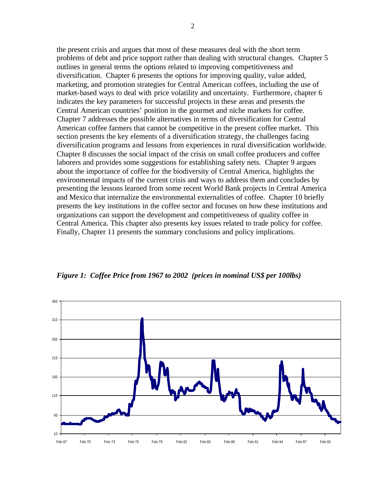the present crisis and argues that most of these measures deal with the short term problems of debt and price support rather than dealing with structural changes. Chapter 5 outlines in general terms the options related to improving competitiveness and diversification. Chapter 6 presents the options for improving quality, value added, marketing, and promotion strategies for Central American coffees, including the use of market-based ways to deal with price volatility and uncertainty. Furthermore, chapter 6 indicates the key parameters for successful projects in these areas and presents the Central American countries' position in the gourmet and niche markets for coffee. Chapter 7 addresses the possible alternatives in terms of diversification for Central American coffee farmers that cannot be competitive in the present coffee market. This section presents the key elements of a diversification strategy, the challenges facing diversification programs and lessons from experiences in rural diversification worldwide. Chapter 8 discusses the social impact of the crisis on small coffee producers and coffee laborers and provides some suggestions for establishing safety nets. Chapter 9 argues about the importance of coffee for the biodiversity of Central America, highlights the environmental impacts of the current crisis and ways to address them and concludes by presenting the lessons learned from some recent World Bank projects in Central America and Mexico that internalize the environmental externalities of coffee. Chapter 10 briefly presents the key institutions in the coffee sector and focuses on how these institutions and organizations can support the development and competitiveness of quality coffee in Central America. This chapter also presents key issues related to trade policy for coffee. Finally, Chapter 11 presents the summary conclusions and policy implications.



*Figure 1: Coffee Price from 1967 to 2002 (prices in nominal US\$ per 100lbs)*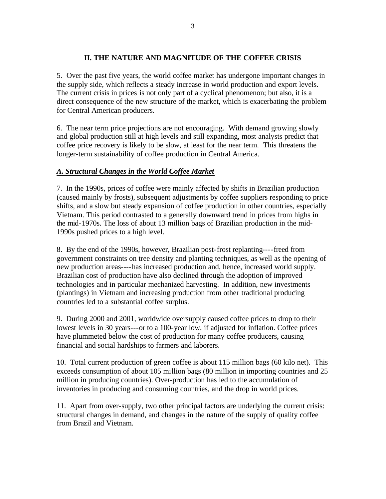# **II. THE NATURE AND MAGNITUDE OF THE COFFEE CRISIS**

5. Over the past five years, the world coffee market has undergone important changes in the supply side, which reflects a steady increase in world production and export levels. The current crisis in prices is not only part of a cyclical phenomenon; but also, it is a direct consequence of the new structure of the market, which is exacerbating the problem for Central American producers.

6. The near term price projections are not encouraging. With demand growing slowly and global production still at high levels and still expanding, most analysts predict that coffee price recovery is likely to be slow, at least for the near term. This threatens the longer-term sustainability of coffee production in Central America.

# *A. Structural Changes in the World Coffee Market*

7. In the 1990s, prices of coffee were mainly affected by shifts in Brazilian production (caused mainly by frosts), subsequent adjustments by coffee suppliers responding to price shifts, and a slow but steady expansion of coffee production in other countries, especially Vietnam. This period contrasted to a generally downward trend in prices from highs in the mid-1970s. The loss of about 13 million bags of Brazilian production in the mid-1990s pushed prices to a high level.

8. By the end of the 1990s, however, Brazilian post-frost replanting----freed from government constraints on tree density and planting techniques, as well as the opening of new production areas----has increased production and, hence, increased world supply. Brazilian cost of production have also declined through the adoption of improved technologies and in particular mechanized harvesting. In addition, new investments (plantings) in Vietnam and increasing production from other traditional producing countries led to a substantial coffee surplus.

9. During 2000 and 2001, worldwide oversupply caused coffee prices to drop to their lowest levels in 30 years---or to a 100-year low, if adjusted for inflation. Coffee prices have plummeted below the cost of production for many coffee producers, causing financial and social hardships to farmers and laborers.

10. Total current production of green coffee is about 115 million bags (60 kilo net). This exceeds consumption of about 105 million bags (80 million in importing countries and 25 million in producing countries). Over-production has led to the accumulation of inventories in producing and consuming countries, and the drop in world prices.

11. Apart from over-supply, two other principal factors are underlying the current crisis: structural changes in demand, and changes in the nature of the supply of quality coffee from Brazil and Vietnam.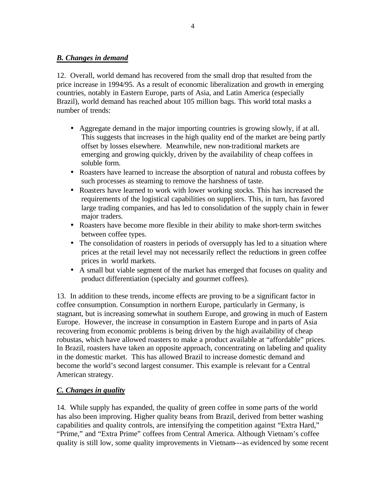# *B. Changes in demand*

12. Overall, world demand has recovered from the small drop that resulted from the price increase in 1994/95. As a result of economic liberalization and growth in emerging countries, notably in Eastern Europe, parts of Asia, and Latin America (especially Brazil), world demand has reached about 105 million bags. This world total masks a number of trends:

- Aggregate demand in the major importing countries is growing slowly, if at all. This suggests that increases in the high quality end of the market are being partly offset by losses elsewhere. Meanwhile, new non-traditional markets are emerging and growing quickly, driven by the availability of cheap coffees in soluble form.
- Roasters have learned to increase the absorption of natural and robusta coffees by such processes as steaming to remove the harshness of taste.
- Roasters have learned to work with lower working stocks. This has increased the requirements of the logistical capabilities on suppliers. This, in turn, has favored large trading companies, and has led to consolidation of the supply chain in fewer major traders.
- Roasters have become more flexible in their ability to make short-term switches between coffee types.
- The consolidation of roasters in periods of oversupply has led to a situation where prices at the retail level may not necessarily reflect the reductions in green coffee prices in world markets.
- A small but viable segment of the market has emerged that focuses on quality and product differentiation (specialty and gourmet coffees).

13. In addition to these trends, income effects are proving to be a significant factor in coffee consumption. Consumption in northern Europe, particularly in Germany, is stagnant, but is increasing somewhat in southern Europe, and growing in much of Eastern Europe. However, the increase in consumption in Eastern Europe and in parts of Asia recovering from economic problems is being driven by the high availability of cheap robustas, which have allowed roasters to make a product available at "affordable" prices. In Brazil, roasters have taken an opposite approach, concentrating on labeling and quality in the domestic market. This has allowed Brazil to increase domestic demand and become the world's second largest consumer. This example is relevant for a Central American strategy.

# *C. Changes in quality*

14. While supply has expanded, the quality of green coffee in some parts of the world has also been improving. Higher quality beans from Brazil, derived from better washing capabilities and quality controls, are intensifying the competition against "Extra Hard," "Prime," and "Extra Prime" coffees from Central America. Although Vietnam's coffee quality is still low, some quality improvements in Vietnam---as evidenced by some recent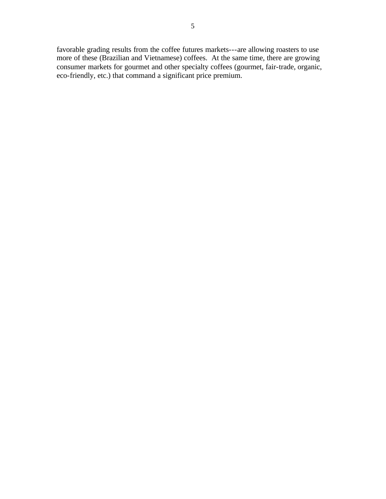favorable grading results from the coffee futures markets---are allowing roasters to use more of these (Brazilian and Vietnamese) coffees. At the same time, there are growing consumer markets for gourmet and other specialty coffees (gourmet, fair-trade, organic, eco-friendly, etc.) that command a significant price premium.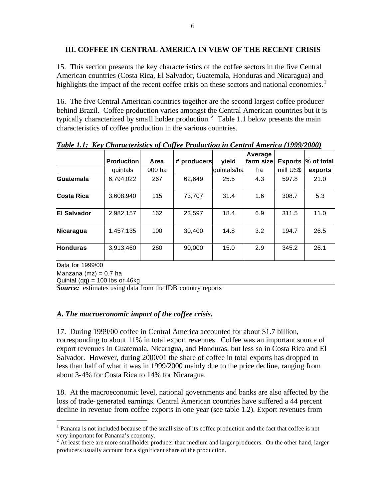### **III. COFFEE IN CENTRAL AMERICA IN VIEW OF THE RECENT CRISIS**

15. This section presents the key characteristics of the coffee sectors in the five Central American countries (Costa Rica, El Salvador, Guatemala, Honduras and Nicaragua) and highlights the impact of the recent coffee crisis on these sectors and national economies.<sup>1</sup>

16. The five Central American countries together are the second largest coffee producer behind Brazil. Coffee production varies amongst the Central American countries but it is typically characterized by small holder production.<sup>2</sup> Table 1.1 below presents the main characteristics of coffee production in the various countries.

|                                                           |                   |        |             |             | Average   |                |            |
|-----------------------------------------------------------|-------------------|--------|-------------|-------------|-----------|----------------|------------|
|                                                           | <b>Production</b> | Area   | # producers | yield       | farm size | <b>Exports</b> | % of total |
|                                                           | quintals          | 000 ha |             | quintals/ha | ha        | mill US\$      | exports    |
| Guatemala                                                 | 6,794,022         | 267    | 62,649      | 25.5        | 4.3       | 597.8          | 21.0       |
| Costa Rica                                                | 3,608,940         | 115    | 73,707      | 31.4        | 1.6       | 308.7          | 5.3        |
| <b>El Salvador</b>                                        | 2,982,157         | 162    | 23,597      | 18.4        | 6.9       | 311.5          | 11.0       |
| Nicaragua                                                 | 1,457,135         | 100    | 30,400      | 14.8        | 3.2       | 194.7          | 26.5       |
| <b>Honduras</b>                                           | 3,913,460         | 260    | 90,000      | 15.0        | 2.9       | 345.2          | 26.1       |
| Data for 1999/00                                          |                   |        |             |             |           |                |            |
| Manzana $(mz) = 0.7$ ha<br>Quintal (qq) = 100 lbs or 46kg |                   |        |             |             |           |                |            |

*Table 1.1: Key Characteristics of Coffee Production in Central America (1999/2000)*

*Source:* estimates using data from the IDB country reports

# *A. The macroeconomic impact of the coffee crisis.*

 $\overline{a}$ 

17. During 1999/00 coffee in Central America accounted for about \$1.7 billion, corresponding to about 11% in total export revenues. Coffee was an important source of export revenues in Guatemala, Nicaragua, and Honduras, but less so in Costa Rica and El Salvador. However, during 2000/01 the share of coffee in total exports has dropped to less than half of what it was in 1999/2000 mainly due to the price decline, ranging from about 3-4% for Costa Rica to 14% for Nicaragua.

18. At the macroeconomic level, national governments and banks are also affected by the loss of trade-generated earnings. Central American countries have suffered a 44 percent decline in revenue from coffee exports in one year (see table 1.2). Export revenues from

<sup>&</sup>lt;sup>1</sup> Panama is not included because of the small size of its coffee production and the fact that coffee is not

very important for Panama's economy.<br><sup>2</sup> At least there are more smallholder producer than medium and larger producers. On the other hand, larger producers usually account for a significant share of the production.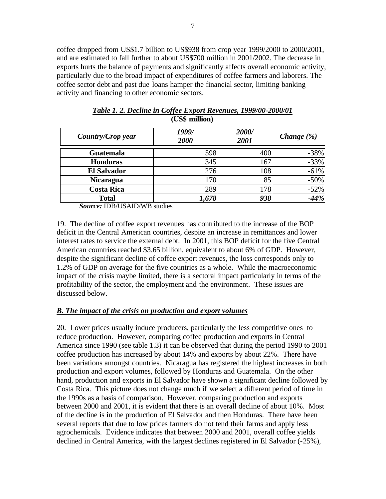coffee dropped from US\$1.7 billion to US\$938 from crop year 1999/2000 to 2000/2001, and are estimated to fall further to about US\$700 million in 2001/2002. The decrease in exports hurts the balance of payments and significantly affects overall economic activity, particularly due to the broad impact of expenditures of coffee farmers and laborers. The coffee sector debt and past due loans hamper the financial sector, limiting banking activity and financing to other economic sectors.

| Country/Crop year  | 1999/<br>2000 | 2000/<br>2001 | <i>Change</i> $(\%)$ |
|--------------------|---------------|---------------|----------------------|
| <b>Guatemala</b>   | 598           | 400           | $-38%$               |
| <b>Honduras</b>    | 345           | 167           | $-33%$               |
| <b>El Salvador</b> | 276           | 108           | $-61%$               |
| <b>Nicaragua</b>   | 170           | 85            | $-50%$               |
| <b>Costa Rica</b>  | 289           | 178           | $-52%$               |
| <b>Total</b>       | 1,678         | 938           | $-44%$               |

*Table 1. 2. Decline in Coffee Export Revenues, 1999/00-2000/01* **(US\$ million)**

*Source:* IDB/USAID/WB studies

19. The decline of coffee export revenues has contributed to the increase of the BOP deficit in the Central American countries, despite an increase in remittances and lower interest rates to service the external debt. In 2001, this BOP deficit for the five Central American countries reached \$3.65 billion, equivalent to about 6% of GDP. However, despite the significant decline of coffee export revenues, the loss corresponds only to 1.2% of GDP on average for the five countries as a whole. While the macroeconomic impact of the crisis maybe limited, there is a sectoral impact particularly in terms of the profitability of the sector, the employment and the environment. These issues are discussed below.

# *B. The impact of the crisis on production and export volumes*

20. Lower prices usually induce producers, particularly the less competitive ones to reduce production. However, comparing coffee production and exports in Central America since 1990 (see table 1.3) it can be observed that during the period 1990 to 2001 coffee production has increased by about 14% and exports by about 22%. There have been variations amongst countries. Nicaragua has registered the highest increases in both production and export volumes, followed by Honduras and Guatemala. On the other hand, production and exports in El Salvador have shown a significant decline followed by Costa Rica. This picture does not change much if we select a different period of time in the 1990s as a basis of comparison. However, comparing production and exports between 2000 and 2001, it is evident that there is an overall decline of about 10%. Most of the decline is in the production of El Salvador and then Honduras. There have been several reports that due to low prices farmers do not tend their farms and apply less agrochemicals. Evidence indicates that between 2000 and 2001, overall coffee yields declined in Central America, with the largest declines registered in El Salvador (-25%),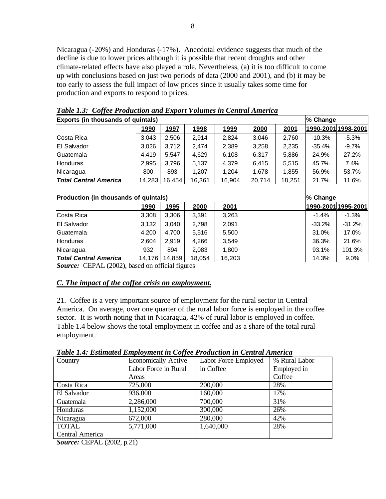Nicaragua (-20%) and Honduras (-17%). Anecdotal evidence suggests that much of the decline is due to lower prices although it is possible that recent droughts and other climate-related effects have also played a role. Nevertheless, (a) it is too difficult to come up with conclusions based on just two periods of data (2000 and 2001), and (b) it may be too early to assess the full impact of low prices since it usually takes some time for production and exports to respond to prices.

| <b>Exports (in thousands of quintals)</b><br>% Change |             |             |              |              |        |        |          |                            |
|-------------------------------------------------------|-------------|-------------|--------------|--------------|--------|--------|----------|----------------------------|
|                                                       | 1990        | 1997        | <u> 1998</u> | 1999         | 2000   | 2001   |          | <u>1990-2001 1998-2001</u> |
| <b>Costa Rica</b>                                     | 3,043       | 2,506       | 2,914        | 2,824        | 3,046  | 2,760  | $-10.3%$ | $-5.3\%$                   |
| IEI Salvador                                          | 3,026       | 3,712       | 2,474        | 2,389        | 3,258  | 2,235  | $-35.4%$ | $-9.7\%$                   |
| Guatemala                                             | 4,419       | 5,547       | 4,629        | 6,108        | 6,317  | 5,886  | 24.9%    | 27.2%                      |
| <b>Honduras</b>                                       | 2,995       | 3,796       | 5,137        | 4,379        | 6,415  | 5,515  | 45.7%    | 7.4%                       |
| Nicaragua                                             | 800         | 893         | 1,207        | 1,204        | 1,678  | 1,855  | 56.9%    | 53.7%                      |
| <b>Total Central America</b>                          | 14,283      | 16,454      | 16,361       | 16,904       | 20,714 | 18,251 | 21.7%    | 11.6%                      |
|                                                       |             |             |              |              |        |        |          |                            |
| Production (in thousands of quintals)                 |             |             |              |              |        |        | % Change |                            |
|                                                       | <u>1990</u> | <u>1995</u> | <u> 2000</u> | <u> 2001</u> |        |        |          | 1990-2001 1995-2001        |
| Costa Rica                                            | 3,308       | 3,306       | 3,391        | 3,263        |        |        | $-1.4%$  | $-1.3\%$                   |
| IEI Salvador                                          | 3,132       | 3,040       | 2,798        | 2,091        |        |        | -33.2%   | $-31.2%$                   |
| <b>Guatemala</b>                                      | 4,200       | 4,700       | 5,516        | 5,500        |        |        | 31.0%    | 17.0%                      |
| <b>Honduras</b>                                       | 2,604       | 2,919       | 4,266        | 3,549        |        |        | 36.3%    | 21.6%                      |
| Nicaragua                                             | 932         | 894         | 2,083        | 1,800        |        |        | 93.1%    | 101.3%                     |
| <b>Total Central America</b>                          | 14,176      | 14,859      | 18,054       | 16,203       |        |        | 14.3%    | $9.0\%$                    |

*Table 1.3: Coffee Production and Export Volumes in Central America*

*Source:* CEPAL (2002), based on official figures

# *C. The impact of the coffee crisis on employment.*

21. Coffee is a very important source of employment for the rural sector in Central America. On average, over one quarter of the rural labor force is employed in the coffee sector. It is worth noting that in Nicaragua, 42% of rural labor is employed in coffee. Table 1.4 below shows the total employment in coffee and as a share of the total rural employment.

| Country         | Economically Active  | Labor Force Employed | % Rural Labor |
|-----------------|----------------------|----------------------|---------------|
|                 | Labor Force in Rural | in Coffee            | Employed in   |
|                 | Areas                |                      | Coffee        |
| Costa Rica      | 725,000              | 200,000              | 28%           |
| El Salvador     | 936,000              | 160,000              | 17%           |
| Guatemala       | 2,286,000            | 700,000              | 31%           |
| Honduras        | 1,152,000            | 300,000              | 26%           |
| Nicaragua       | 672,000              | 280,000              | 42%           |
| <b>TOTAL</b>    | 5,771,000            | 1,640,000            | 28%           |
| Central America |                      |                      |               |

*Table 1.4: Estimated Employment in Coffee Production in Central America*

*Source:* CEPAL (2002, p.21)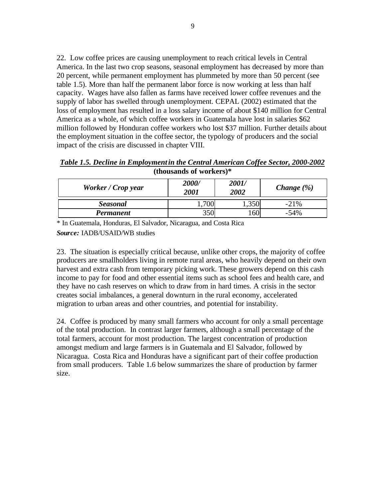22. Low coffee prices are causing unemployment to reach critical levels in Central America. In the last two crop seasons, seasonal employment has decreased by more than 20 percent, while permanent employment has plummeted by more than 50 percent (see table 1.5). More than half the permanent labor force is now working at less than half capacity. Wages have also fallen as farms have received lower coffee revenues and the supply of labor has swelled through unemployment. CEPAL (2002) estimated that the loss of employment has resulted in a loss salary income of about \$140 million for Central America as a whole, of which coffee workers in Guatemala have lost in salaries \$62 million followed by Honduran coffee workers who lost \$37 million. Further details about the employment situation in the coffee sector, the typology of producers and the social impact of the crisis are discussed in chapter VIII.

| Table 1.5. Decline in Employment in the Central American Coffee Sector, 2000-2002 |  |  |  |  |  |
|-----------------------------------------------------------------------------------|--|--|--|--|--|
| (thousands of workers) $*$                                                        |  |  |  |  |  |

| Worker / Crop year | 2000/<br><i>2001</i> | 2001/<br>2002 | <i>Change</i> $(\%)$ |
|--------------------|----------------------|---------------|----------------------|
| <b>Seasonal</b>    |                      |               | $-21\%$              |
| Permanent          | 350                  | 160'          | $-54\%$              |

\* In Guatemala, Honduras, El Salvador, Nicaragua, and Costa Rica

*Source:* IADB/USAID/WB studies

23. The situation is especially critical because, unlike other crops, the majority of coffee producers are smallholders living in remote rural areas, who heavily depend on their own harvest and extra cash from temporary picking work. These growers depend on this cash income to pay for food and other essential items such as school fees and health care, and they have no cash reserves on which to draw from in hard times. A crisis in the sector creates social imbalances, a general downturn in the rural economy, accelerated migration to urban areas and other countries, and potential for instability.

24. Coffee is produced by many small farmers who account for only a small percentage of the total production. In contrast larger farmers, although a small percentage of the total farmers, account for most production. The largest concentration of production amongst medium and large farmers is in Guatemala and El Salvador, followed by Nicaragua. Costa Rica and Honduras have a significant part of their coffee production from small producers. Table 1.6 below summarizes the share of production by farmer size.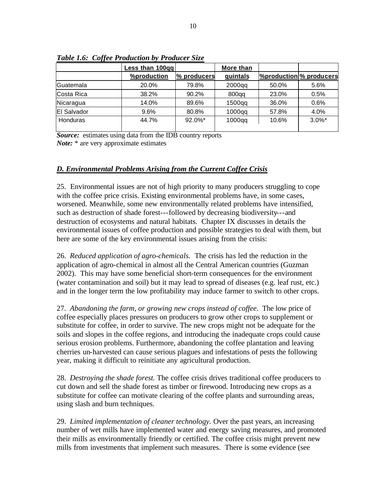|                    | <b>Less than 100gg</b> | More than   |           |                                              |           |
|--------------------|------------------------|-------------|-----------|----------------------------------------------|-----------|
|                    | <b>%production</b>     | % producers | quintals  | <b><i><u>%production % producers</u></i></b> |           |
| lGuatemala         | 20.0%                  | 79.8%       | $2000$ qq | 50.0%                                        | 5.6%      |
| Costa Rica         | 38.2%                  | 90.2%       | 800qq     | 23.0%                                        | 0.5%      |
| Nicaragua          | 14.0%                  | 89.6%       | $1500$ qq | 36.0%                                        | 0.6%      |
| <b>El Salvador</b> | 9.6%                   | 80.8%       | $1000$ qq | 57.8%                                        | 4.0%      |
| Honduras           | 44.7%                  | $92.0\%$ *  | $1000$ qq | 10.6%                                        | $3.0\%$ * |

*Table 1.6: Coffee Production by Producer Size*

*Source:* estimates using data from the IDB country reports *Note:* \* are very approximate estimates

# *D. Environmental Problems Arising from the Current Coffee Crisis*

25. Environmental issues are not of high priority to many producers struggling to cope with the coffee price crisis. Existing environmental problems have, in some cases, worsened. Meanwhile, some new environmentally related problems have intensified, such as destruction of shade forest---followed by decreasing biodiversity---and destruction of ecosystems and natural habitats. Chapter IX discusses in details the environmental issues of coffee production and possible strategies to deal with them, but here are some of the key environmental issues arising from the crisis:

26. *Reduced application of agro-chemicals.* The crisis has led the reduction in the application of agro-chemical in almost all the Central American countries (Guzman 2002). This may have some beneficial short-term consequences for the environment (water contamination and soil) but it may lead to spread of diseases (e.g. leaf rust, etc.) and in the longer term the low profitability may induce farmer to switch to other crops.

27. *Abandoning the farm, or growing new crops instead of coffee*. The low price of coffee especially places pressures on producers to grow other crops to supplement or substitute for coffee, in order to survive. The new crops might not be adequate for the soils and slopes in the coffee regions, and introducing the inadequate crops could cause serious erosion problems. Furthermore, abandoning the coffee plantation and leaving cherries un-harvested can cause serious plagues and infestations of pests the following year, making it difficult to reinitiate any agricultural production.

28. *Destroying the shade forest.* The coffee crisis drives traditional coffee producers to cut down and sell the shade forest as timber or firewood. Introducing new crops as a substitute for coffee can motivate clearing of the coffee plants and surrounding areas, using slash and burn techniques.

29. *Limited implementation of cleaner technology.* Over the past years, an increasing number of wet mills have implemented water and energy saving measures, and promoted their mills as environmentally friendly or certified. The coffee crisis might prevent new mills from investments that implement such measures. There is some evidence (see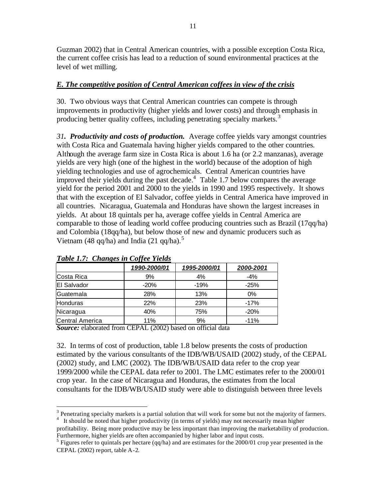Guzman 2002) that in Central American countries, with a possible exception Costa Rica, the current coffee crisis has lead to a reduction of sound environmental practices at the level of wet milling.

# *E. The competitive position of Central American coffees in view of the crisis*

30. Two obvious ways that Central American countries can compete is through improvements in productivity (higher yields and lower costs) and through emphasis in producing better quality coffees, including penetrating specialty markets.<sup>3</sup>

*31. Productivity and costs of production.* Average coffee yields vary amongst countries with Costa Rica and Guatemala having higher yields compared to the other countries. Although the average farm size in Costa Rica is about 1.6 ha (or 2.2 manzanas), average yields are very high (one of the highest in the world) because of the adoption of high yielding technologies and use of agrochemicals. Central American countries have improved their yields during the past decade. $4$  Table 1.7 below compares the average yield for the period 2001 and 2000 to the yields in 1990 and 1995 respectively. It shows that with the exception of El Salvador, coffee yields in Central America have improved in all countries. Nicaragua, Guatemala and Honduras have shown the largest increases in yields. At about 18 quintals per ha, average coffee yields in Central America are comparable to those of leading world coffee producing countries such as Brazil (17qq/ha) and Colombia (18qq/ha), but below those of new and dynamic producers such as Vietnam (48 qq/ha) and India (21 qq/ha).<sup>5</sup>

|                    | 1990-2000/01 | 1995-2000/01 | 2000-2001 |
|--------------------|--------------|--------------|-----------|
| Costa Rica         | 9%           | 4%           | -4%       |
| <b>El Salvador</b> | $-20%$       | $-19%$       | $-25%$    |
| <b>Guatemala</b>   | 28%          | 13%          | $0\%$     |
| <b>Honduras</b>    | 22%          | 23%          | $-17%$    |
| Nicaragua          | 40%          | 75%          | $-20%$    |
| Central America    | 11%          | 9%           | $-11%$    |

# *Table 1.7: Changes in Coffee Yields*

*Source:* elaborated from CEPAL (2002) based on official data

32. In terms of cost of production, table 1.8 below presents the costs of production estimated by the various consultants of the IDB/WB/USAID (2002) study, of the CEPAL (2002) study, and LMC (2002). The IDB/WB/USAID data refer to the crop year 1999/2000 while the CEPAL data refer to 2001. The LMC estimates refer to the 2000/01 crop year. In the case of Nicaragua and Honduras, the estimates from the local consultants for the IDB/WB/USAID study were able to distinguish between three levels

 $\overline{a}$  $3$  Penetrating specialty markets is a partial solution that will work for some but not the majority of farmers. <sup>4</sup> It should be noted that higher productivity (in terms of yields) may not necessarily mean higher

profitability. Being more productive may be less important than improving the marketability of production. Furthermore, higher yields are often accompanied by higher labor and input costs.

<sup>&</sup>lt;sup>5</sup> Figures refer to quintals per hectare (qq/ha) and are estimates for the 2000/01 crop year presented in the CEPAL (2002) report, table A-2.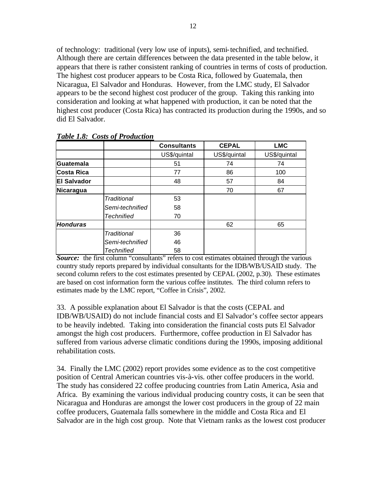of technology: traditional (very low use of inputs), semi-technified, and technified. Although there are certain differences between the data presented in the table below, it appears that there is rather consistent ranking of countries in terms of costs of production. The highest cost producer appears to be Costa Rica, followed by Guatemala, then Nicaragua, El Salvador and Honduras. However, from the LMC study, El Salvador appears to be the second highest cost producer of the group. Taking this ranking into consideration and looking at what happened with production, it can be noted that the highest cost producer (Costa Rica) has contracted its production during the 1990s, and so did El Salvador.

|                    |                    | <b>Consultants</b> | <b>CEPAL</b> | <b>LMC</b>   |
|--------------------|--------------------|--------------------|--------------|--------------|
|                    |                    | US\$/quintal       | US\$/quintal | US\$/quintal |
| Guatemala          |                    | 51                 | 74           | 74           |
| <b>Costa Rica</b>  |                    | 77                 | 86           | 100          |
| <b>El Salvador</b> |                    | 48                 | 57           | 84           |
| Nicaragua          |                    |                    | 70           | 67           |
|                    | <b>Traditional</b> | 53                 |              |              |
|                    | Semi-technified    | 58                 |              |              |
|                    | <b>Technified</b>  | 70                 |              |              |
| <b>Honduras</b>    |                    |                    | 62           | 65           |
|                    | Traditional        | 36                 |              |              |
|                    | Semi-technified    | 46                 |              |              |
|                    | <b>Technified</b>  | 58                 |              |              |

*Table 1.8: Costs of Production*

**Source:** the first column "consultants" refers to cost estimates obtained through the various country study reports prepared by individual consultants for the IDB/WB/USAID study. The second column refers to the cost estimates presented by CEPAL (2002, p.30). These estimates are based on cost information form the various coffee institutes. The third column refers to estimates made by the LMC report, "Coffee in Crisis", 2002.

33. A possible explanation about El Salvador is that the costs (CEPAL and IDB/WB/USAID) do not include financial costs and El Salvador's coffee sector appears to be heavily indebted. Taking into consideration the financial costs puts El Salvador amongst the high cost producers. Furthermore, coffee production in El Salvador has suffered from various adverse climatic conditions during the 1990s, imposing additional rehabilitation costs.

34. Finally the LMC (2002) report provides some evidence as to the cost competitive position of Central American countries vis-à-vis. other coffee producers in the world. The study has considered 22 coffee producing countries from Latin America, Asia and Africa. By examining the various individual producing country costs, it can be seen that Nicaragua and Honduras are amongst the lower cost producers in the group of 22 main coffee producers, Guatemala falls somewhere in the middle and Costa Rica and El Salvador are in the high cost group. Note that Vietnam ranks as the lowest cost producer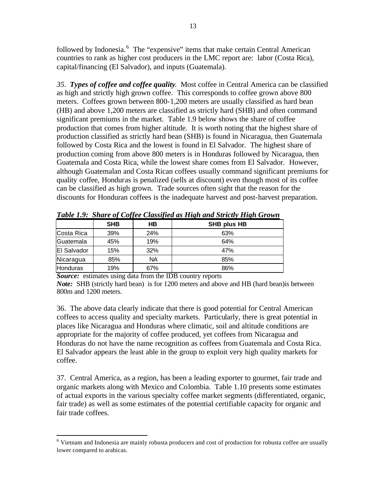followed by Indonesia.<sup>6</sup> The "expensive" items that make certain Central American countries to rank as higher cost producers in the LMC report are: labor (Costa Rica), capital/financing (El Salvador), and inputs (Guatemala).

*35*. *Types of coffee and coffee quality*. Most coffee in Central America can be classified as high and strictly high grown coffee. This corresponds to coffee grown above 800 meters. Coffees grown between 800-1,200 meters are usually classified as hard bean (HB) and above 1,200 meters are classified as strictly hard (SHB) and often command significant premiums in the market. Table 1.9 below shows the share of coffee production that comes from higher altitude. It is worth noting that the highest share of production classified as strictly hard bean (SHB) is found in Nicaragua, then Guatemala followed by Costa Rica and the lowest is found in El Salvador. The highest share of production coming from above 800 meters is in Honduras followed by Nicaragua, then Guatemala and Costa Rica, while the lowest share comes from El Salvador. However, although Guatemalan and Costa Rican coffees usually command significant premiums for quality coffee, Honduras is penalized (sells at discount) even though most of its coffee can be classified as high grown. Trade sources often sight that the reason for the discounts for Honduran coffees is the inadequate harvest and post-harvest preparation.

|                 |            |     | Two restrict the complex of the complete the strict will be constructed to the control of the state of the strict of the strict of the strict of the strict of the strict of the strict of the strict of the strict of the str |
|-----------------|------------|-----|--------------------------------------------------------------------------------------------------------------------------------------------------------------------------------------------------------------------------------|
|                 | <b>SHB</b> | HB  | SHB plus HB                                                                                                                                                                                                                    |
| Costa Rica      | 39%        | 24% | 63%                                                                                                                                                                                                                            |
| Guatemala       | 45%        | 19% | 64%                                                                                                                                                                                                                            |
| El Salvador     | 15%        | 32% | 47%                                                                                                                                                                                                                            |
| Nicaragua       | 85%        | NA  | 85%                                                                                                                                                                                                                            |
| <b>Honduras</b> | 19%        | 67% | 86%                                                                                                                                                                                                                            |

*Table 1.9: Share of Coffee Classified as High and Strictly High Grown*

*Source:* estimates using data from the IDB country reports

 $\overline{a}$ 

*Note:* SHB (strictly hard bean) is for 1200 meters and above and HB (hard bean)is between 800m and 1200 meters.

36. The above data clearly indicate that there is good potential for Central American coffees to access quality and specialty markets. Particularly, there is great potential in places like Nicaragua and Honduras where climatic, soil and altitude conditions are appropriate for the majority of coffee produced, yet coffees from Nicaragua and Honduras do not have the name recognition as coffees from Guatemala and Costa Rica. El Salvador appears the least able in the group to exploit very high quality markets for coffee.

37. Central America, as a region, has been a leading exporter to gourmet, fair trade and organic markets along with Mexico and Colombia. Table 1.10 presents some estimates of actual exports in the various specialty coffee market segments (differentiated, organic, fair trade) as well as some estimates of the potential certifiable capacity for organic and fair trade coffees.

<sup>&</sup>lt;sup>6</sup> Vietnam and Indonesia are mainly robusta producers and cost of production for robusta coffee are usually lower compared to arabicas.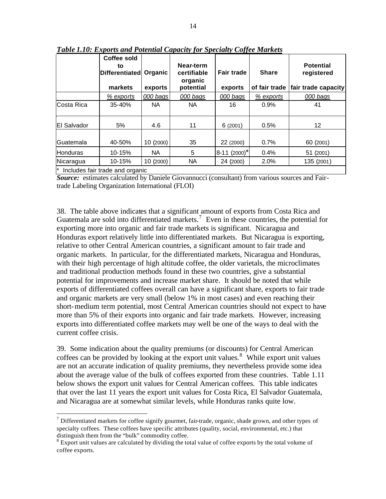|                  | Coffee sold<br>to<br>Differentiated<br>markets | Organic<br>exports | Near-term<br>certifiable<br>organic<br>potential | <b>Fair trade</b><br>exports | <b>Share</b><br>of fair trade | <b>Potential</b><br>registered<br>fair trade capacity |
|------------------|------------------------------------------------|--------------------|--------------------------------------------------|------------------------------|-------------------------------|-------------------------------------------------------|
|                  | % exports                                      | 000 bags           | 000 bags                                         | 000 bags                     | % exports                     | 000 bags                                              |
| Costa Rica       | 35-40%                                         | NA.                | <b>NA</b>                                        | 16                           | 0.9%                          | 41                                                    |
| IEI Salvador     | 5%                                             | 4.6                | 11                                               | 6(2001)                      | 0.5%                          | 12 <sup>2</sup>                                       |
| <b>Guatemala</b> | 40-50%                                         | 10 (2000)          | 35                                               | 22 (2000)                    | 0.7%                          | 60 (2001)                                             |
| <b>Honduras</b>  | 10-15%                                         | NA.                | 5                                                | $8-11(2000)^*$               | 0.4%                          | 51 (2001)                                             |
| Nicaragua        | 10-15%                                         | 10(2000)           | <b>NA</b>                                        | 24 (2000)                    | 2.0%                          | 135 (2001)                                            |
|                  | $\vert$ * Includes fair trade and organic      |                    |                                                  |                              |                               |                                                       |

*Table 1.10: Exports and Potential Capacity for Specialty Coffee Markets*

\* Includes fair trade and organic

 $\overline{a}$ 

*Source:* estimates calculated by Daniele Giovannucci (consultant) from various sources and Fairtrade Labeling Organization International (FLOI)

38. The table above indicates that a significant amount of exports from Costa Rica and Guatemala are sold into differentiated markets.<sup>7</sup> Even in these countries, the potential for exporting more into organic and fair trade markets is significant. Nicaragua and Honduras export relatively little into differentiated markets. But Nicaragua is exporting, relative to other Central American countries, a significant amount to fair trade and organic markets. In particular, for the differentiated markets, Nicaragua and Honduras, with their high percentage of high altitude coffee, the older varietals, the microclimates and traditional production methods found in these two countries, give a substantial potential for improvements and increase market share. It should be noted that while exports of differentiated coffees overall can have a significant share, exports to fair trade and organic markets are very small (below 1% in most cases) and even reaching their short-medium term potential, most Central American countries should not expect to have more than 5% of their exports into organic and fair trade markets. However, increasing exports into differentiated coffee markets may well be one of the ways to deal with the current coffee crisis.

39. Some indication about the quality premiums (or discounts) for Central American coffees can be provided by looking at the export unit values.<sup>8</sup> While export unit values are not an accurate indication of quality premiums, they nevertheless provide some idea about the average value of the bulk of coffees exported from these countries. Table 1.11 below shows the export unit values for Central American coffees. This table indicates that over the last 11 years the export unit values for Costa Rica, El Salvador Guatemala, and Nicaragua are at somewhat similar levels, while Honduras ranks quite low.

<sup>&</sup>lt;sup>7</sup> Differentiated markets for coffee signify gourmet, fair-trade, organic, shade grown, and other types of specialty coffees. These coffees have specific attributes (quality, social, environmental, etc.) that distinguish them from the "bulk" commodity coffee.

<sup>&</sup>lt;sup>8</sup> Export unit values are calculated by dividing the total value of coffee exports by the total volume of coffee exports.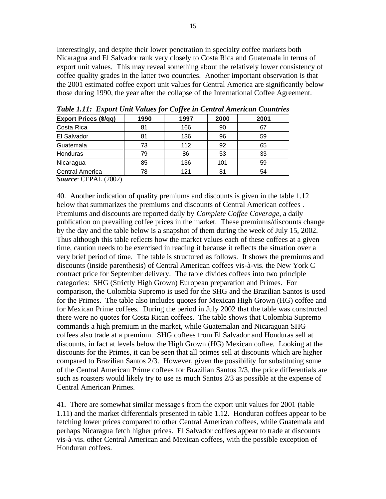Interestingly, and despite their lower penetration in specialty coffee markets both Nicaragua and El Salvador rank very closely to Costa Rica and Guatemala in terms of export unit values. This may reveal something about the relatively lower consistency of coffee quality grades in the latter two countries. Another important observation is that the 2001 estimated coffee export unit values for Central America are significantly below those during 1990, the year after the collapse of the International Coffee Agreement.

| <b>Export Prices (\$/qq)</b> | 1990 | 1997 | 2000 | 2001 |
|------------------------------|------|------|------|------|
| Costa Rica                   | 81   | 166  | 90   | 67   |
| <b>El Salvador</b>           | 81   | 136  | 96   | 59   |
| Guatemala                    | 73   | 112  | 92   | 65   |
| Honduras                     | 79   | 86   | 53   | 33   |
| Nicaragua                    | 85   | 136  | 101  | 59   |
| <b>Central America</b>       | 78   | 121  | 81   | 54   |

*Table 1.11: Export Unit Values for Coffee in Central American Countries* 

*Source*: CEPAL (2002)

40. Another indication of quality premiums and discounts is given in the table 1.12 below that summarizes the premiums and discounts of Central American coffees . Premiums and discounts are reported daily by *Complete Coffee Coverage*, a daily publication on prevailing coffee prices in the market. These premiums/discounts change by the day and the table below is a snapshot of them during the week of July 15, 2002. Thus although this table reflects how the market values each of these coffees at a given time, caution needs to be exercised in reading it because it reflects the situation over a very brief period of time. The table is structured as follows. It shows the premiums and discounts (inside parenthesis) of Central American coffees vis-à-vis. the New York C contract price for September delivery. The table divides coffees into two principle categories: SHG (Strictly High Grown) European preparation and Primes. For comparison, the Colombia Supremo is used for the SHG and the Brazilian Santos is used for the Primes. The table also includes quotes for Mexican High Grown (HG) coffee and for Mexican Prime coffees. During the period in July 2002 that the table was constructed there were no quotes for Costa Rican coffees. The table shows that Colombia Supremo commands a high premium in the market, while Guatemalan and Nicaraguan SHG coffees also trade at a premium. SHG coffees from El Salvador and Honduras sell at discounts, in fact at levels below the High Grown (HG) Mexican coffee. Looking at the discounts for the Primes, it can be seen that all primes sell at discounts which are higher compared to Brazilian Santos 2/3. However, given the possibility for substituting some of the Central American Prime coffees for Brazilian Santos 2/3, the price differentials are such as roasters would likely try to use as much Santos 2/3 as possible at the expense of Central American Primes.

41. There are somewhat similar message s from the export unit values for 2001 (table 1.11) and the market differentials presented in table 1.12. Honduran coffees appear to be fetching lower prices compared to other Central American coffees, while Guatemala and perhaps Nicaragua fetch higher prices. El Salvador coffees appear to trade at discounts vis-à-vis. other Central American and Mexican coffees, with the possible exception of Honduran coffees.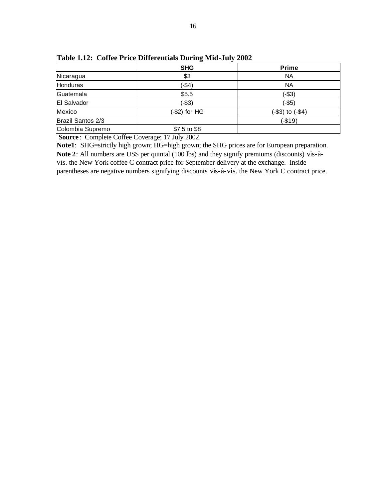|                    | <b>SHG</b>     | <b>Prime</b>         |
|--------------------|----------------|----------------------|
| Nicaragua          | \$3            | NA                   |
| Honduras           | $(-$4)$        | NA                   |
| Guatemala          | \$5.5          | $(-$3)$              |
| <b>El Salvador</b> | $(-$3)$        | $(-$5)$              |
| Mexico             | $(-$2)$ for HG | $(-\$3)$ to $(-\$4)$ |
| Brazil Santos 2/3  |                | $(-$19)$             |
| Colombia Supremo   | \$7.5 to \$8   |                      |

**Table 1.12: Coffee Price Differentials During Mid-July 2002**

 **Source**: Complete Coffee Coverage; 17 July 2002

**Note1**: SHG=strictly high grown; HG=high grown; the SHG prices are for European preparation. **Note 2**: All numbers are US\$ per quintal (100 lbs) and they signify premiums (discounts) vis-àvis. the New York coffee C contract price for September delivery at the exchange. Inside parentheses are negative numbers signifying discounts vis-à-vis. the New York C contract price.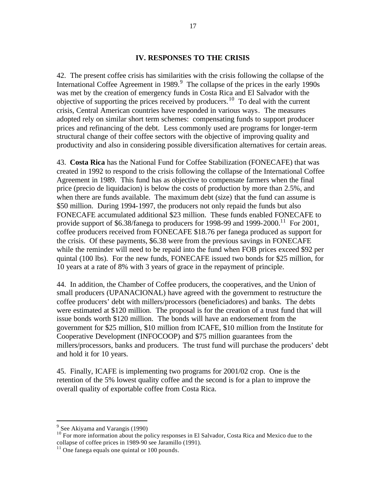#### **IV. RESPONSES TO THE CRISIS**

42. The present coffee crisis has similarities with the crisis following the collapse of the International Coffee Agreement in 1989. $9$  The collapse of the prices in the early 1990s was met by the creation of emergency funds in Costa Rica and El Salvador with the objective of supporting the prices received by producers.<sup>10</sup> To deal with the current crisis, Central American countries have responded in various ways. The measures adopted rely on similar short term schemes: compensating funds to support producer prices and refinancing of the debt. Less commonly used are programs for longer-term structural change of their coffee sectors with the objective of improving quality and productivity and also in considering possible diversification alternatives for certain areas.

43. **Costa Rica** has the National Fund for Coffee Stabilization (FONECAFE) that was created in 1992 to respond to the crisis following the collapse of the International Coffee Agreement in 1989. This fund has as objective to compensate farmers when the final price (precio de liquidacion) is below the costs of production by more than 2.5%, and when there are funds available. The maximum debt (size) that the fund can assume is \$50 million. During 1994-1997, the producers not only repaid the funds but also FONECAFE accumulated additional \$23 million. These funds enabled FONECAFE to provide support of \$6.38/fanega to producers for 1998-99 and 1999-2000.<sup>11</sup> For 2001, coffee producers received from FONECAFE \$18.76 per fanega produced as support for the crisis. Of these payments, \$6.38 were from the previous savings in FONECAFE while the reminder will need to be repaid into the fund when FOB prices exceed \$92 per quintal (100 lbs). For the new funds, FONECAFE issued two bonds for \$25 million, for 10 years at a rate of 8% with 3 years of grace in the repayment of principle.

44. In addition, the Chamber of Coffee producers, the cooperatives, and the Union of small producers (UPANACIONAL) have agreed with the government to restructure the coffee producers' debt with millers/processors (beneficiadores) and banks. The debts were estimated at \$120 million. The proposal is for the creation of a trust fund that will issue bonds worth \$120 million. The bonds will have an endorsement from the government for \$25 million, \$10 million from ICAFE, \$10 million from the Institute for Cooperative Development (INFOCOOP) and \$75 million guarantees from the millers/processors, banks and producers. The trust fund will purchase the producers' debt and hold it for 10 years.

45. Finally, ICAFE is implementing two programs for 2001/02 crop. One is the retention of the 5% lowest quality coffee and the second is for a plan to improve the overall quality of exportable coffee from Costa Rica.

<sup>&</sup>lt;sup>9</sup> See Akiyama and Varangis (1990)

<sup>&</sup>lt;sup>10</sup> For more information about the policy responses in El Salvador, Costa Rica and Mexico due to the collapse of coffee prices in 1989-90 see Jaramillo (1991).

 $11$  One fanega equals one quintal or 100 pounds.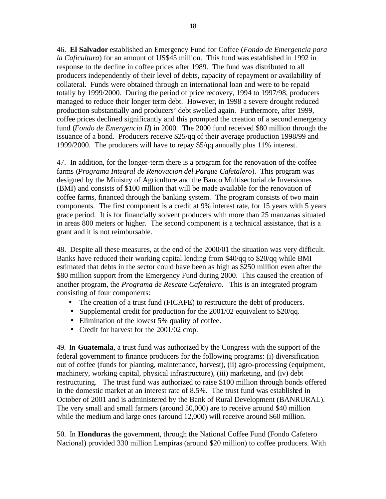46. **El Salvador** established an Emergency Fund for Coffee (*Fondo de Emergencia para la Caficultura*) for an amount of US\$45 million. This fund was established in 1992 in response to the decline in coffee prices after 1989. The fund was distributed to all producers independently of their level of debts, capacity of repayment or availability of collateral. Funds were obtained through an international loan and were to be repaid totally by 1999/2000. During the period of price recovery, 1994 to 1997/98, producers managed to reduce their longer term debt. However, in 1998 a severe drought reduced production substantially and producers' debt swelled again. Furthermore, after 1999, coffee prices declined significantly and this prompted the creation of a second emergency fund (*Fondo de Emergencia II*) in 2000. The 2000 fund received \$80 million through the issuance of a bond. Producers receive \$25/qq of their average production 1998/99 and 1999/2000. The producers will have to repay \$5/qq annually plus 11% interest.

47. In addition, for the longer-term there is a program for the renovation of the coffee farms (*Programa Integral de Renovacion del Parque Cafetalero*). This program was designed by the Ministry of Agriculture and the Banco Multisectorial de Inversiones (BMI) and consists of \$100 million that will be made available for the renovation of coffee farms, financed through the banking system. The program consists of two main components. The first component is a credit at 9% interest rate, for 15 years with 5 years grace period. It is for financially solvent producers with more than 25 manzanas situated in areas 800 meters or higher. The second component is a technical assistance, that is a grant and it is not reimbursable.

48. Despite all these measures, at the end of the 2000/01 the situation was very difficult. Banks have reduced their working capital lending from \$40/qq to \$20/qq while BMI estimated that debts in the sector could have been as high as \$250 million even after the \$80 million support from the Emergency Fund during 2000. This caused the creation of another program, the *Programa de Rescate Cafetalero*. This is an integrated program consisting of four components:

- The creation of a trust fund (FICAFE) to restructure the debt of producers.
- Supplemental credit for production for the 2001/02 equivalent to \$20/qq.
- Elimination of the lowest 5% quality of coffee.
- Credit for harvest for the 2001/02 crop.

49. In **Guatemala**, a trust fund was authorized by the Congress with the support of the federal government to finance producers for the following programs: (i) diversification out of coffee (funds for planting, maintenance, harvest), (ii) agro-processing (equipment, machinery, working capital, physical infrastructure), (iii) marketing, and (iv) debt restructuring. The trust fund was authorized to raise \$100 million through bonds offered in the domestic market at an interest rate of 8.5%. The trust fund was established in October of 2001 and is administered by the Bank of Rural Development (BANRURAL). The very small and small farmers (around 50,000) are to receive around \$40 million while the medium and large ones (around 12,000) will receive around \$60 million.

50. In **Honduras** the government, through the National Coffee Fund (Fondo Cafetero Nacional) provided 330 million Lempiras (around \$20 million) to coffee producers. With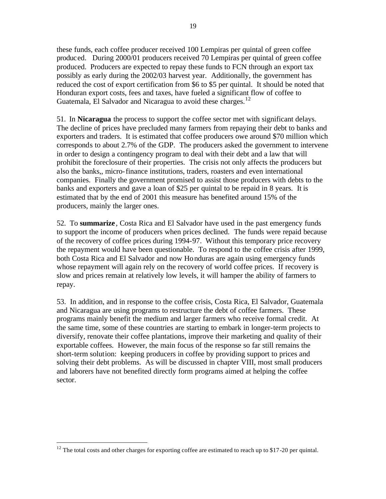these funds, each coffee producer received 100 Lempiras per quintal of green coffee produced. During 2000/01 producers received 70 Lempiras per quintal of green coffee produced. Producers are expected to repay these funds to FCN through an export tax possibly as early during the 2002/03 harvest year. Additionally, the government has reduced the cost of export certification from \$6 to \$5 per quintal. It should be noted that Honduran export costs, fees and taxes, have fueled a significant flow of coffee to Guatemala, El Salvador and Nicaragua to avoid these charges.<sup>12</sup>

51. In **Nicaragua** the process to support the coffee sector met with significant delays. The decline of prices have precluded many farmers from repaying their debt to banks and exporters and traders. It is estimated that coffee producers owe around \$70 million which corresponds to about 2.7% of the GDP. The producers asked the government to intervene in order to design a contingency program to deal with their debt and a law that will prohibit the foreclosure of their properties. The crisis not only affects the producers but also the banks,, micro-finance institutions, traders, roasters and even international companies. Finally the government promised to assist those producers with debts to the banks and exporters and gave a loan of \$25 per quintal to be repaid in 8 years. It is estimated that by the end of 2001 this measure has benefited around 15% of the producers, mainly the larger ones.

52. To **summarize** , Costa Rica and El Salvador have used in the past emergency funds to support the income of producers when prices declined. The funds were repaid because of the recovery of coffee prices during 1994-97. Without this temporary price recovery the repayment would have been questionable. To respond to the coffee crisis after 1999, both Costa Rica and El Salvador and now Honduras are again using emergency funds whose repayment will again rely on the recovery of world coffee prices. If recovery is slow and prices remain at relatively low levels, it will hamper the ability of farmers to repay.

53. In addition, and in response to the coffee crisis, Costa Rica, El Salvador, Guatemala and Nicaragua are using programs to restructure the debt of coffee farmers. These programs mainly benefit the medium and larger farmers who receive formal credit. At the same time, some of these countries are starting to embark in longer-term projects to diversify, renovate their coffee plantations, improve their marketing and quality of their exportable coffees. However, the main focus of the response so far still remains the short-term solution: keeping producers in coffee by providing support to prices and solving their debt problems. As will be discussed in chapter VIII, most small producers and laborers have not benefited directly form programs aimed at helping the coffee sector.

 $12$  The total costs and other charges for exporting coffee are estimated to reach up to \$17-20 per quintal.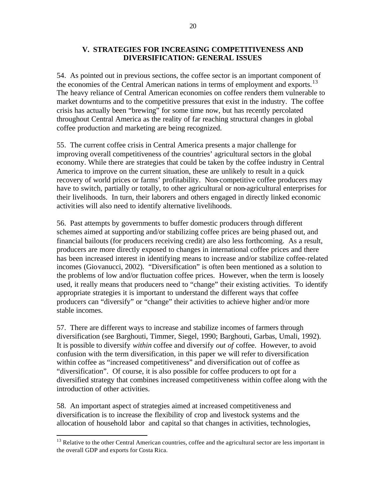# **V. STRATEGIES FOR INCREASING COMPETITIVENESS AND DIVERSIFICATION: GENERAL ISSUES**

54. As pointed out in previous sections, the coffee sector is an important component of the economies of the Central American nations in terms of employment and exports.<sup>13</sup> The heavy reliance of Central American economies on coffee renders them vulnerable to market downturns and to the competitive pressures that exist in the industry. The coffee crisis has actually been "brewing" for some time now, but has recently percolated throughout Central America as the reality of far reaching structural changes in global coffee production and marketing are being recognized.

55. The current coffee crisis in Central America presents a major challenge for improving overall competitiveness of the countries' agricultural sectors in the global economy. While there are strategies that could be taken by the coffee industry in Central America to improve on the current situation, these are unlikely to result in a quick recovery of world prices or farms' profitability. Non-competitive coffee producers may have to switch, partially or totally, to other agricultural or non-agricultural enterprises for their livelihoods. In turn, their laborers and others engaged in directly linked economic activities will also need to identify alternative livelihoods.

56. Past attempts by governments to buffer domestic producers through different schemes aimed at supporting and/or stabilizing coffee prices are being phased out, and financial bailouts (for producers receiving credit) are also less forthcoming. As a result, producers are more directly exposed to changes in international coffee prices and there has been increased interest in identifying means to increase and/or stabilize coffee-related incomes (Giovanucci, 2002). "Diversification" is often been mentioned as a solution to the problems of low and/or fluctuation coffee prices. However, when the term is loosely used, it really means that producers need to "change" their existing activities. To identify appropriate strategies it is important to understand the different ways that coffee producers can "diversify" or "change" their activities to achieve higher and/or more stable incomes.

57. There are different ways to increase and stabilize incomes of farmers through diversification (see Barghouti, Timmer, Siegel, 1990; Barghouti, Garbas, Umali, 1992). It is possible to diversify *within* coffee and diversify *out of* coffee. However, to avoid confusion with the term diversification, in this paper we will refer to diversification within coffee as "increased competitiveness" and diversification out of coffee as "diversification". Of course, it is also possible for coffee producers to opt for a diversified strategy that combines increased competitiveness within coffee along with the introduction of other activities.

58. An important aspect of strategies aimed at increased competitiveness and diversification is to increase the flexibility of crop and livestock systems and the allocation of household labor and capital so that changes in activities, technologies,

<sup>&</sup>lt;sup>13</sup> Relative to the other Central American countries, coffee and the agricultural sector are less important in the overall GDP and exports for Costa Rica.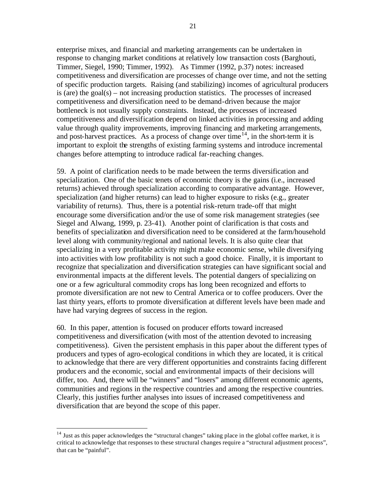enterprise mixes, and financial and marketing arrangements can be undertaken in response to changing market conditions at relatively low transaction costs (Barghouti, Timmer, Siegel, 1990; Timmer, 1992). As Timmer (1992, p.37) notes: increased competitiveness and diversification are processes of change over time, and not the setting of specific production targets. Raising (and stabilizing) incomes of agricultural producers is (are) the goal $(s)$  – not increasing production statistics. The processes of increased competitiveness and diversification need to be demand-driven because the major bottleneck is not usually supply constraints. Instead, the processes of increased competitiveness and diversification depend on linked activities in processing and adding value through quality improvements, improving financing and marketing arrangements, and post-harvest practices. As a process of change over time<sup>14</sup>, in the short-term it is important to exploit the strengths of existing farming systems and introduce incremental changes before attempting to introduce radical far-reaching changes.

59. A point of clarification needs to be made between the terms diversification and specialization. One of the basic tenets of economic theory is the gains (i.e., increased returns) achieved through specialization according to comparative advantage. However, specialization (and higher returns) can lead to higher exposure to risks (e.g., greater variability of returns). Thus, there is a potential risk-return trade-off that might encourage some diversification and/or the use of some risk management strategies (see Siegel and Alwang, 1999, p. 23-41). Another point of clarification is that costs and benefits of specialization and diversification need to be considered at the farm/household level along with community/regional and national levels. It is also quite clear that specializing in a very profitable activity might make economic sense, while diversifying into activities with low profitability is not such a good choice. Finally, it is important to recognize that specialization and diversification strategies can have significant social and environmental impacts at the different levels. The potential dangers of specializing on one or a few agricultural commodity crops has long been recognized and efforts to promote diversification are not new to Central America or to coffee producers. Over the last thirty years, efforts to promote diversification at different levels have been made and have had varying degrees of success in the region.

60. In this paper, attention is focused on producer efforts toward increased competitiveness and diversification (with most of the attention devoted to increasing competitiveness). Given the persistent emphasis in this paper about the different types of producers and types of agro-ecological conditions in which they are located, it is critical to acknowledge that there are very different opportunities and constraints facing different producers and the economic, social and environmental impacts of their decisions will differ, too. And, there will be "winners" and "losers" among different economic agents, communities and regions in the respective countries and among the respective countries. Clearly, this justifies further analyses into issues of increased competitiveness and diversification that are beyond the scope of this paper.

<sup>&</sup>lt;sup>14</sup> Just as this paper acknowledges the "structural changes" taking place in the global coffee market, it is critical to acknowledge that responses to these structural changes require a "structural adjustment process", that can be "painful".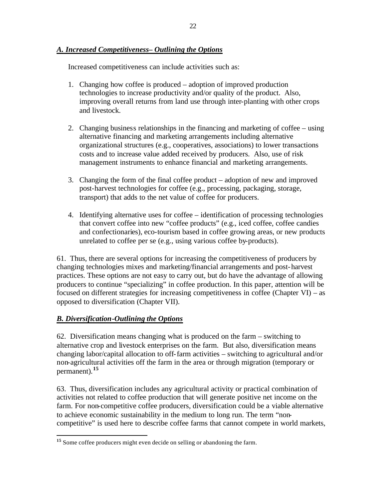# *A. Increased Competitiveness– Outlining the Options*

Increased competitiveness can include activities such as:

- 1. Changing how coffee is produced adoption of improved production technologies to increase productivity and/or quality of the product. Also, improving overall returns from land use through inter-planting with other crops and livestock.
- 2. Changing business relationships in the financing and marketing of coffee using alternative financing and marketing arrangements including alternative organizational structures (e.g., cooperatives, associations) to lower transactions costs and to increase value added received by producers. Also, use of risk management instruments to enhance financial and marketing arrangements.
- 3. Changing the form of the final coffee product adoption of new and improved post-harvest technologies for coffee (e.g., processing, packaging, storage, transport) that adds to the net value of coffee for producers.
- 4. Identifying alternative uses for coffee identification of processing technologies that convert coffee into new "coffee products" (e.g., iced coffee, coffee candies and confectionaries), eco-tourism based in coffee growing areas, or new products unrelated to coffee per se (e.g., using various coffee by-products).

61. Thus, there are several options for increasing the competitiveness of producers by changing technologies mixes and marketing/financial arrangements and post-harvest practices. These options are not easy to carry out, but do have the advantage of allowing producers to continue "specializing" in coffee production. In this paper, attention will be focused on different strategies for increasing competitiveness in coffee (Chapter VI) – as opposed to diversification (Chapter VII).

# *B. Diversification-Outlining the Options*

 $\overline{a}$ 

62. Diversification means changing what is produced on the farm – switching to alternative crop and livestock enterprises on the farm. But also, diversification means changing labor/capital allocation to off-farm activities – switching to agricultural and/or non-agricultural activities off the farm in the area or through migration (temporary or permanent).**<sup>15</sup>**

63. Thus, diversification includes any agricultural activity or practical combination of activities not related to coffee production that will generate positive net income on the farm. For non-competitive coffee producers, diversification could be a viable alternative to achieve economic sustainability in the medium to long run. The term "noncompetitive" is used here to describe coffee farms that cannot compete in world markets,

<sup>&</sup>lt;sup>15</sup> Some coffee producers might even decide on selling or abandoning the farm.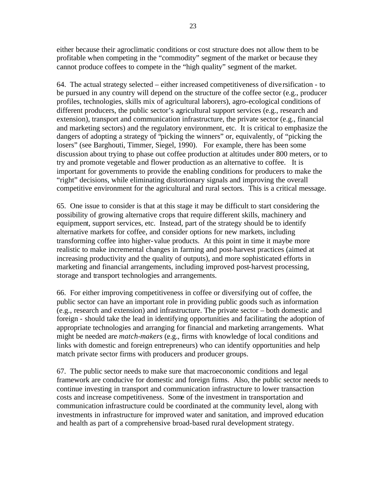either because their agroclimatic conditions or cost structure does not allow them to be profitable when competing in the "commodity" segment of the market or because they cannot produce coffees to compete in the "high quality" segment of the market.

64. The actual strategy selected – either increased competitiveness of dive rsification - to be pursued in any country will depend on the structure of the coffee sector (e.g., producer profiles, technologies, skills mix of agricultural laborers), agro-ecological conditions of different producers, the public sector's agricultural support services (e.g., research and extension), transport and communication infrastructure, the private sector (e.g., financial and marketing sectors) and the regulatory environment, etc. It is critical to emphasize the dangers of adopting a strategy of "picking the winners" or, equivalently, of "picking the losers" (see Barghouti, Timmer, Siegel, 1990). For example, there has been some discussion about trying to phase out coffee production at altitudes under 800 meters, or to try and promote vegetable and flower production as an alternative to coffee. It is important for governments to provide the enabling conditions for producers to make the "right" decisions, while eliminating distortionary signals and improving the overall competitive environment for the agricultural and rural sectors. This is a critical message.

65. One issue to consider is that at this stage it may be difficult to start considering the possibility of growing alternative crops that require different skills, machinery and equipment, support services, etc. Instead, part of the strategy should be to identify alternative markets for coffee, and consider options for new markets, including transforming coffee into higher-value products. At this point in time it maybe more realistic to make incremental changes in farming and post-harvest practices (aimed at increasing productivity and the quality of outputs), and more sophisticated efforts in marketing and financial arrangements, including improved post-harvest processing, storage and transport technologies and arrangements.

66. For either improving competitiveness in coffee or diversifying out of coffee, the public sector can have an important role in providing public goods such as information (e.g., research and extension) and infrastructure. The private sector – both domestic and foreign - should take the lead in identifying opportunities and facilitating the adoption of appropriate technologies and arranging for financial and marketing arrangements. What might be needed are *match-makers* (e.g., firms with knowledge of local conditions and links with domestic and foreign entrepreneurs) who can identify opportunities and help match private sector firms with producers and producer groups.

67. The public sector needs to make sure that macroeconomic conditions and legal framework are conducive for domestic and foreign firms. Also, the public sector needs to continue investing in transport and communication infrastructure to lower transaction costs and increase competitiveness. Some of the investment in transportation and communication infrastructure could be coordinated at the community level, along with investments in infrastructure for improved water and sanitation, and improved education and health as part of a comprehensive broad-based rural development strategy.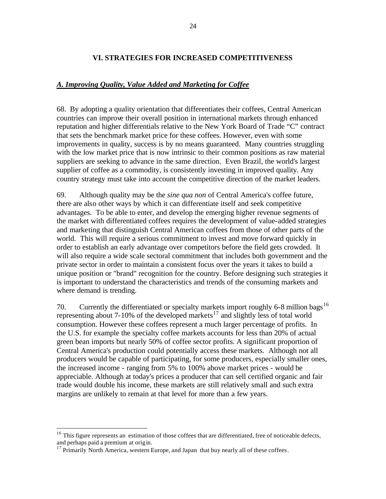# **VI. STRATEGIES FOR INCREASED COMPETITIVENESS**

# *A. Improving Quality, Value Added and Marketing for Coffee*

68. By adopting a quality orientation that differentiates their coffees, Central American countries can improve their overall position in international markets through enhanced reputation and higher differentials relative to the New York Board of Trade "C" contract that sets the benchmark market price for these coffees. However, even with some improvements in quality, success is by no means guaranteed. Many countries struggling with the low market price that is now intrinsic to their common positions as raw material suppliers are seeking to advance in the same direction. Even Brazil, the world's largest supplier of coffee as a commodity, is consistently investing in improved quality. Any country strategy must take into account the competitive direction of the market leaders.

69. Although quality may be the *sine qua non* of Central America's coffee future, there are also other ways by which it can differentiate itself and seek competitive advantages. To be able to enter, and develop the emerging higher revenue segments of the market with differentiated coffees requires the development of value-added strategies and marketing that distinguish Central American coffees from those of other parts of the world. This will require a serious commitment to invest and move forward quickly in order to establish an early advantage over competitors before the field gets crowded. It will also require a wide scale sectoral commitment that includes both government and the private sector in order to maintain a consistent focus over the years it takes to build a unique position or "brand" recognition for the country. Before designing such strategies it is important to understand the characteristics and trends of the consuming markets and where demand is trending.

70. Currently the differentiated or specialty markets import roughly 6-8 million bags<sup>16</sup> representing about 7-10% of the developed markets<sup>17</sup> and slightly less of total world consumption. However these coffees represent a much larger percentage of profits. In the U.S. for example the specialty coffee markets accounts for less than 20% of actual green bean imports but nearly 50% of coffee sector profits. A significant proportion of Central America's production could potentially access these markets. Although not all producers would be capable of participating, for some producers, especially smaller ones, the increased income - ranging from 5% to 100% above market prices - would be appreciable. Although at today's prices a producer that can sell certified organic and fair trade would double his income, these markets are still relatively small and such extra margins are unlikely to remain at that level for more than a few years.

<sup>&</sup>lt;sup>16</sup> This figure represents an estimation of those coffees that are differentiated, free of noticeable defects, and perhaps paid a premium at origin.

 $17$  Primarily North America, western Europe, and Japan that buy nearly all of these coffees.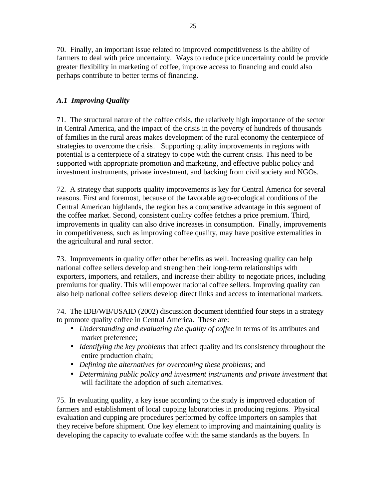70. Finally, an important issue related to improved competitiveness is the ability of farmers to deal with price uncertainty. Ways to reduce price uncertainty could be provide greater flexibility in marketing of coffee, improve access to financing and could also perhaps contribute to better terms of financing.

# *A.1 Improving Quality*

71. The structural nature of the coffee crisis, the relatively high importance of the sector in Central America, and the impact of the crisis in the poverty of hundreds of thousands of families in the rural areas makes development of the rural economy the centerpiece of strategies to overcome the crisis. Supporting quality improvements in regions with potential is a centerpiece of a strategy to cope with the current crisis. This need to be supported with appropriate promotion and marketing, and effective public policy and investment instruments, private investment, and backing from civil society and NGOs.

72. A strategy that supports quality improvements is key for Central America for several reasons. First and foremost, because of the favorable agro-ecological conditions of the Central American highlands, the region has a comparative advantage in this segment of the coffee market. Second, consistent quality coffee fetches a price premium. Third, improvements in quality can also drive increases in consumption. Finally, improvements in competitiveness, such as improving coffee quality, may have positive externalities in the agricultural and rural sector.

73. Improvements in quality offer other benefits as well. Increasing quality can help national coffee sellers develop and strengthen their long-term relationships with exporters, importers, and retailers, and increase their ability to negotiate prices, including premiums for quality. This will empower national coffee sellers. Improving quality can also help national coffee sellers develop direct links and access to international markets.

74. The IDB/WB/USAID (2002) discussion document identified four steps in a strategy to promote quality coffee in Central America. These are:

- *Understanding and evaluating the quality of coffee* in terms of its attributes and market preference;
- *Identifying the key problems* that affect quality and its consistency throughout the entire production chain;
- *Defining the alternatives for overcoming these problems;* and
- *Determining public policy and investment instruments and private investment* that will facilitate the adoption of such alternatives.

75. In evaluating quality, a key issue according to the study is improved education of farmers and establishment of local cupping laboratories in producing regions. Physical evaluation and cupping are procedures performed by coffee importers on samples that they receive before shipment. One key element to improving and maintaining quality is developing the capacity to evaluate coffee with the same standards as the buyers. In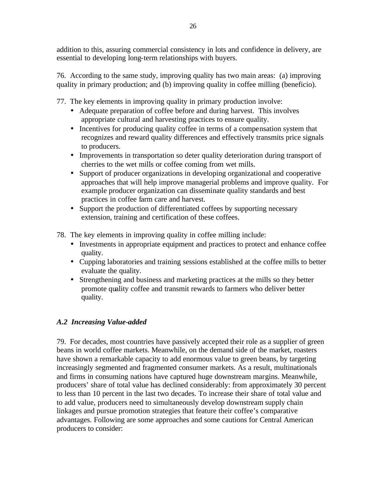addition to this, assuring commercial consistency in lots and confidence in delivery, are essential to developing long-term relationships with buyers.

76. According to the same study, improving quality has two main areas: (a) improving quality in primary production; and (b) improving quality in coffee milling (beneficio).

77. The key elements in improving quality in primary production involve:

- Adequate preparation of coffee before and during harvest. This involves appropriate cultural and harvesting practices to ensure quality.
- Incentives for producing quality coffee in terms of a compensation system that recognizes and reward quality differences and effectively transmits price signals to producers.
- Improvements in transportation so deter quality deterioration during transport of cherries to the wet mills or coffee coming from wet mills.
- Support of producer organizations in developing organizational and cooperative approaches that will help improve managerial problems and improve quality. For example producer organization can disseminate quality standards and best practices in coffee farm care and harvest.
- Support the production of differentiated coffees by supporting necessary extension, training and certification of these coffees.

78. The key elements in improving quality in coffee milling include:

- Investments in appropriate equipment and practices to protect and enhance coffee quality.
- Cupping laboratories and training sessions established at the coffee mills to better evaluate the quality.
- Strengthening and business and marketing practices at the mills so they better promote quality coffee and transmit rewards to farmers who deliver better quality.

# *A.2 Increasing Value-added*

79. For decades, most countries have passively accepted their role as a supplier of green beans in world coffee markets. Meanwhile, on the demand side of the market, roasters have shown a remarkable capacity to add enormous value to green beans, by targeting increasingly segmented and fragmented consumer markets. As a result, multinationals and firms in consuming nations have captured huge downstream margins. Meanwhile, producers' share of total value has declined considerably: from approximately 30 percent to less than 10 percent in the last two decades. To increase their share of total value and to add value, producers need to simultaneously develop downstream supply chain linkages and pursue promotion strategies that feature their coffee's comparative advantages. Following are some approaches and some cautions for Central American producers to consider: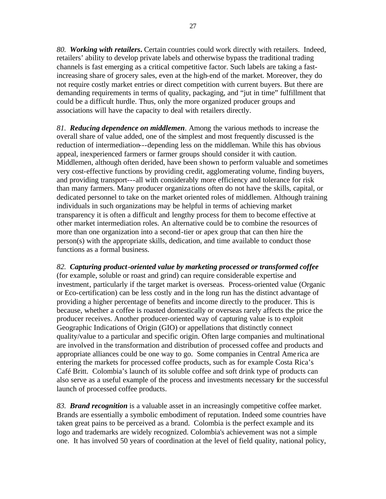*80. Working with retailers***.** Certain countries could work directly with retailers. Indeed, retailers' ability to develop private labels and otherwise bypass the traditional trading channels is fast emerging as a critical competitive factor. Such labels are taking a fastincreasing share of grocery sales, even at the high-end of the market. Moreover, they do not require costly market entries or direct competition with current buyers. But there are demanding requirements in terms of quality, packaging, and "jut in time" fulfillment that could be a difficult hurdle. Thus, only the more organized producer groups and associations will have the capacity to deal with retailers directly.

*81. Reducing dependence on middlemen*. Among the various methods to increase the overall share of value added, one of the simplest and most frequently discussed is the reduction of intermediation---depending less on the middleman. While this has obvious appeal, inexperienced farmers or farmer groups should consider it with caution. Middlemen, although often derided, have been shown to perform valuable and sometimes very cost-effective functions by providing credit, agglomerating volume, finding buyers, and providing transport---all with considerably more efficiency and tolerance for risk than many farmers. Many producer organiza tions often do not have the skills, capital, or dedicated personnel to take on the market oriented roles of middlemen. Although training individuals in such organizations may be helpful in terms of achieving market transparency it is often a difficult and lengthy process for them to become effective at other market intermediation roles. An alternative could be to combine the resources of more than one organization into a second-tier or apex group that can then hire the person(s) with the appropriate skills, dedication, and time available to conduct those functions as a formal business.

*82. Capturing product-oriented value by marketing processed or transformed coffee* (for example, soluble or roast and grind) can require considerable expertise and investment, particularly if the target market is overseas. Process-oriented value (Organic or Eco-certification) can be less costly and in the long run has the distinct advantage of providing a higher percentage of benefits and income directly to the producer. This is because, whether a coffee is roasted domestically or overseas rarely affects the price the producer receives. Another producer-oriented way of capturing value is to exploit Geographic Indications of Origin (GIO) or appellations that distinctly connect quality/value to a particular and specific origin. Often large companies and multinational are involved in the transformation and distribution of processed coffee and products and appropriate alliances could be one way to go. Some companies in Central Ame rica are entering the markets for processed coffee products, such as for example Costa Rica's Café Britt. Colombia's launch of its soluble coffee and soft drink type of products can also serve as a useful example of the process and investments necessary for the successful launch of processed coffee products.

*83. Brand recognition* is a valuable asset in an increasingly competitive coffee market. Brands are essentially a symbolic embodiment of reputation. Indeed some countries have taken great pains to be perceived as a brand. Colombia is the perfect example and its logo and trademarks are widely recognized. Colombia's achievement was not a simple one. It has involved 50 years of coordination at the level of field quality, national policy,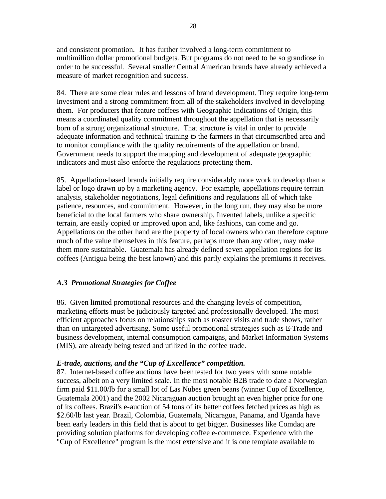and consistent promotion. It has further involved a long-term commitment to multimillion dollar promotional budgets. But programs do not need to be so grandiose in order to be successful. Several smaller Central American brands have already achieved a measure of market recognition and success.

84. There are some clear rules and lessons of brand development. They require long-term investment and a strong commitment from all of the stakeholders involved in developing them. For producers that feature coffees with Geographic Indications of Origin, this means a coordinated quality commitment throughout the appellation that is necessarily born of a strong organizational structure. That structure is vital in order to provide adequate information and technical training to the farmers in that circumscribed area and to monitor compliance with the quality requirements of the appellation or brand. Government needs to support the mapping and development of adequate geographic indicators and must also enforce the regulations protecting them.

85. Appellation-based brands initially require considerably more work to develop than a label or logo drawn up by a marketing agency. For example, appellations require terrain analysis, stakeholder negotiations, legal definitions and regulations all of which take patience, resources, and commitment. However, in the long run, they may also be more beneficial to the local farmers who share ownership. Invented labels, unlike a specific terrain, are easily copied or improved upon and, like fashions, can come and go. Appellations on the other hand are the property of local owners who can therefore capture much of the value themselves in this feature, perhaps more than any other, may make them more sustainable. Guatemala has already defined seven appellation regions for its coffees (Antigua being the best known) and this partly explains the premiums it receives.

# *A.3 Promotional Strategies for Coffee*

86. Given limited promotional resources and the changing levels of competition, marketing efforts must be judiciously targeted and professionally developed. The most efficient approaches focus on relationships such as roaster visits and trade shows, rather than on untargeted advertising. Some useful promotional strategies such as E-Trade and business development, internal consumption campaigns, and Market Information Systems (MIS), are already being tested and utilized in the coffee trade.

# *E-trade, auctions, and the "Cup of Excellence" competition.*

87. Internet-based coffee auctions have been tested for two years with some notable success, albeit on a very limited scale. In the most notable B2B trade to date a Norwegian firm paid \$11.00/lb for a small lot of Las Nubes green beans (winner Cup of Excellence, Guatemala 2001) and the 2002 Nicaraguan auction brought an even higher price for one of its coffees. Brazil's e-auction of 54 tons of its better coffees fetched prices as high as \$2.60/lb last year. Brazil, Colombia, Guatemala, Nicaragua, Panama, and Uganda have been early leaders in this field that is about to get bigger. Businesses like Comdaq are providing solution platforms for developing coffee e-commerce. Experience with the "Cup of Excellence" program is the most extensive and it is one template available to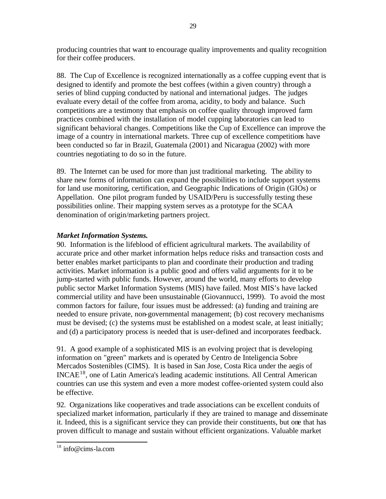producing countries that want to encourage quality improvements and quality recognition for their coffee producers.

88. The Cup of Excellence is recognized internationally as a coffee cupping event that is designed to identify and promote the best coffees (within a given country) through a series of blind cupping conducted by national and international judges. The judges evaluate every detail of the coffee from aroma, acidity, to body and balance. Such competitions are a testimony that emphasis on coffee quality through improved farm practices combined with the installation of model cupping laboratories can lead to significant behavioral changes. Competitions like the Cup of Excellence can improve the image of a country in international markets. Three cup of excellence competitions have been conducted so far in Brazil, Guatemala (2001) and Nicaragua (2002) with more countries negotiating to do so in the future.

89. The Internet can be used for more than just traditional marketing. The ability to share new forms of information can expand the possibilities to include support systems for land use monitoring, certification, and Geographic Indications of Origin (GIOs) or Appellation. One pilot program funded by USAID/Peru is successfully testing these possibilities online. Their mapping system serves as a prototype for the SCAA denomination of origin/marketing partners project.

# *Market Information Systems.*

90. Information is the lifeblood of efficient agricultural markets. The availability of accurate price and other market information helps reduce risks and transaction costs and better enables market participants to plan and coordinate their production and trading activities. Market information is a public good and offers valid arguments for it to be jump-started with public funds. However, around the world, many efforts to develop public sector Market Information Systems (MIS) have failed. Most MIS's have lacked commercial utility and have been unsustainable (Giovannucci, 1999). To avoid the most common factors for failure, four issues must be addressed: (a) funding and training are needed to ensure private, non-governmental management; (b) cost recovery mechanisms must be devised; (c) the systems must be established on a modest scale, at least initially; and (d) a participatory process is needed that is user-defined and incorporates feedback.

91. A good example of a sophisticated MIS is an evolving project that is developing information on "green" markets and is operated by Centro de Inteligencia Sobre Mercados Sostenibles (CIMS). It is based in San Jose, Costa Rica under the aegis of INCAE<sup>18</sup>, one of Latin America's leading academic institutions. All Central American countries can use this system and even a more modest coffee-oriented system could also be effective.

92. Organizations like cooperatives and trade associations can be excellent conduits of specialized market information, particularly if they are trained to manage and disseminate it. Indeed, this is a significant service they can provide their constituents, but one that has proven difficult to manage and sustain without efficient organizations. Valuable market

 $\overline{\phantom{a}}$ <sup>18</sup> info@cims-la.com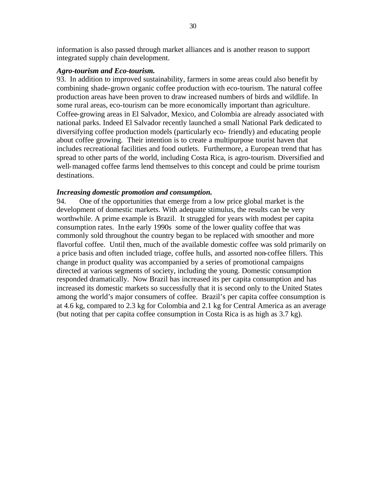information is also passed through market alliances and is another reason to support integrated supply chain development.

#### *Agro-tourism and Eco-tourism.*

93. In addition to improved sustainability, farmers in some areas could also benefit by combining shade-grown organic coffee production with eco-tourism. The natural coffee production areas have been proven to draw increased numbers of birds and wildlife. In some rural areas, eco-tourism can be more economically important than agriculture. Coffee-growing areas in El Salvador, Mexico, and Colombia are already associated with national parks. Indeed El Salvador recently launched a small National Park dedicated to diversifying coffee production models (particularly eco- friendly) and educating people about coffee growing. Their intention is to create a multipurpose tourist haven that includes recreational facilities and food outlets. Furthermore, a European trend that has spread to other parts of the world, including Costa Rica, is agro-tourism. Diversified and well-managed coffee farms lend themselves to this concept and could be prime tourism destinations.

### *Increasing domestic promotion and consumption.*

94. One of the opportunities that emerge from a low price global market is the development of domestic markets. With adequate stimulus, the results can be very worthwhile. A prime example is Brazil. It struggled for years with modest per capita consumption rates. In the early 1990s some of the lower quality coffee that was commonly sold throughout the country began to be replaced with smoother and more flavorful coffee. Until then, much of the available domestic coffee was sold primarily on a price basis and often included triage, coffee hulls, and assorted non-coffee fillers. This change in product quality was accompanied by a series of promotional campaigns directed at various segments of society, including the young. Domestic consumption responded dramatically. Now Brazil has increased its per capita consumption and has increased its domestic markets so successfully that it is second only to the United States among the world's major consumers of coffee. Brazil's per capita coffee consumption is at 4.6 kg, compared to 2.3 kg for Colombia and 2.1 kg for Central America as an average (but noting that per capita coffee consumption in Costa Rica is as high as 3.7 kg).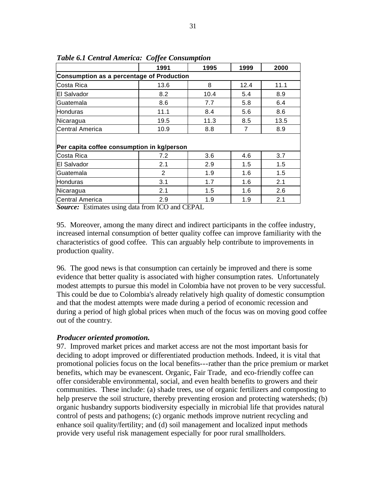|                                            | 1991 | 1995 | 1999 | 2000 |
|--------------------------------------------|------|------|------|------|
| Consumption as a percentage of Production  |      |      |      |      |
| Costa Rica                                 | 13.6 | 8    | 12.4 | 11.1 |
| El Salvador                                | 8.2  | 10.4 | 5.4  | 8.9  |
| Guatemala                                  | 8.6  | 7.7  | 5.8  | 6.4  |
| <b>Honduras</b>                            | 11.1 | 8.4  | 5.6  | 8.6  |
| Nicaragua                                  | 19.5 | 11.3 | 8.5  | 13.5 |
| <b>Central America</b>                     | 10.9 | 8.8  | 7    | 8.9  |
|                                            |      |      |      |      |
| Per capita coffee consumption in kg/person |      |      |      |      |
| Costa Rica                                 | 7.2  | 3.6  | 4.6  | 3.7  |
|                                            |      |      |      |      |
| El Salvador                                | 2.1  | 2.9  | 1.5  | 1.5  |
| Guatemala                                  | 2    | 1.9  | 1.6  | 1.5  |
| <b>Honduras</b>                            | 3.1  | 1.7  | 1.6  | 2.1  |
| Nicaragua                                  | 2.1  | 1.5  | 1.6  | 2.6  |

*Table 6.1 Central America: Coffee Consumption*

*Source:* Estimates using data from ICO and CEPAL

95. Moreover, among the many direct and indirect participants in the coffee industry, increased internal consumption of better quality coffee can improve familiarity with the characteristics of good coffee. This can arguably help contribute to improvements in production quality.

96. The good news is that consumption can certainly be improved and there is some evidence that better quality is associated with higher consumption rates. Unfortunately modest attempts to pursue this model in Colombia have not proven to be very successful. This could be due to Colombia's already relatively high quality of domestic consumption and that the modest attempts were made during a period of economic recession and during a period of high global prices when much of the focus was on moving good coffee out of the country.

# *Producer oriented promotion.*

97. Improved market prices and market access are not the most important basis for deciding to adopt improved or differentiated production methods. Indeed, it is vital that promotional policies focus on the local benefits---rather than the price premium or market benefits, which may be evanescent. Organic, Fair Trade, and eco-friendly coffee can offer considerable environmental, social, and even health benefits to growers and their communities. These include: (a) shade trees, use of organic fertilizers and composting to help preserve the soil structure, thereby preventing erosion and protecting watersheds; (b) organic husbandry supports biodiversity especially in microbial life that provides natural control of pests and pathogens; (c) organic methods improve nutrient recycling and enhance soil quality/fertility; and (d) soil management and localized input methods provide very useful risk management especially for poor rural smallholders.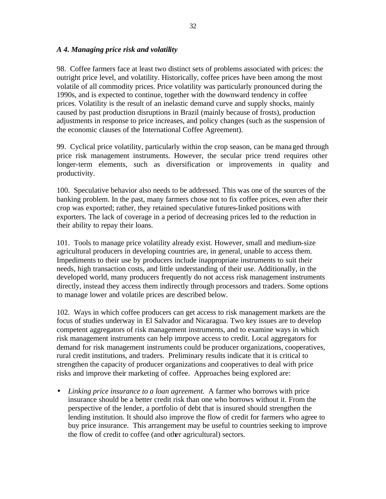## *A 4. Managing price risk and volatility*

98. Coffee farmers face at least two distinct sets of problems associated with prices: the outright price level, and volatility. Historically, coffee prices have been among the most volatile of all commodity prices. Price volatility was particularly pronounced during the 1990s, and is expected to continue, together with the downward tendency in coffee prices. Volatility is the result of an inelastic demand curve and supply shocks, mainly caused by past production disruptions in Brazil (mainly because of frosts), production adjustments in response to price increases, and policy changes (such as the suspension of the economic clauses of the International Coffee Agreement).

99. Cyclical price volatility, particularly within the crop season, can be managed through price risk management instruments. However, the secular price trend requires other longer-term elements, such as diversification or improvements in quality and productivity.

100. Speculative behavior also needs to be addressed. This was one of the sources of the banking problem. In the past, many farmers chose not to fix coffee prices, even after their crop was exported; rather, they retained speculative futures-linked positions with exporters. The lack of coverage in a period of decreasing prices led to the reduction in their ability to repay their loans.

101. Tools to manage price volatility already exist. However, small and medium-size agricultural producers in developing countries are, in general, unable to access them. Impediments to their use by producers include inappropriate instruments to suit their needs, high transaction costs, and little understanding of their use. Additionally, in the developed world, many producers frequently do not access risk management instruments directly, instead they access them indirectly through processors and traders. Some options to manage lower and volatile prices are described below.

102. Ways in which coffee producers can get access to risk management markets are the focus of studies underway in El Salvador and Nicaragua. Two key issues are to develop competent aggregators of risk management instruments, and to examine ways in which risk management instruments can help imrpove access to credit. Local aggregators for demand for risk management instruments could be producer organizations, cooperatives, rural credit institutions, and traders. Preliminary results indicate that it is critical to strengthen the capacity of producer organizations and cooperatives to deal with price risks and improve their marketing of coffee. Approaches being explored are:

• *Linking price insurance to a loan agreement.* A farmer who borrows with price insurance should be a better credit risk than one who borrows without it. From the perspective of the lender, a portfolio of debt that is insured should strengthen the lending institution. It should also improve the flow of credit for farmers who agree to buy price insurance. This arrangement may be useful to countries seeking to improve the flow of credit to coffee (and other agricultural) sectors.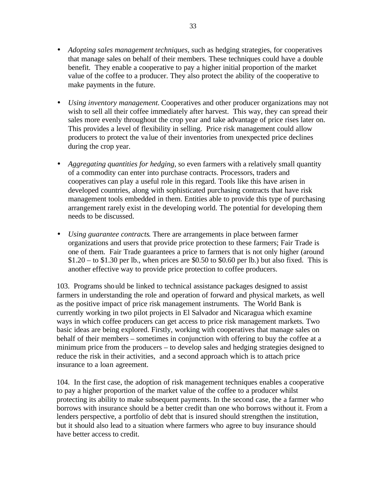- *Adopting sales management techniques,* such as hedging strategies, for cooperatives that manage sales on behalf of their members. These techniques could have a double benefit. They enable a cooperative to pay a higher initial proportion of the market value of the coffee to a producer. They also protect the ability of the cooperative to make payments in the future.
- *Using inventory management.* Cooperatives and other producer organizations may not wish to sell all their coffee immediately after harvest. This way, they can spread their sales more evenly throughout the crop year and take advantage of price rises later on. This provides a level of flexibility in selling. Price risk management could allow producers to protect the va lue of their inventories from unexpected price declines during the crop year.
- *Aggregating quantities for hedging,* so even farmers with a relatively small quantity of a commodity can enter into purchase contracts. Processors, traders and cooperatives can play a useful role in this regard. Tools like this have arisen in developed countries, along with sophisticated purchasing contracts that have risk management tools embedded in them. Entities able to provide this type of purchasing arrangement rarely exist in the developing world. The potential for developing them needs to be discussed.
- *Using guarantee contracts*. There are arrangements in place between farmer organizations and users that provide price protection to these farmers; Fair Trade is one of them. Fair Trade guarantees a price to farmers that is not only higher (around  $$1.20 -$  to  $$1.30$  per lb., when prices are  $$0.50$  to  $$0.60$  per lb.) but also fixed. This is another effective way to provide price protection to coffee producers.

103. Programs should be linked to technical assistance packages designed to assist farmers in understanding the role and operation of forward and physical markets, as well as the positive impact of price risk management instruments. The World Bank is currently working in two pilot projects in El Salvador and Nicaragua which examine ways in which coffee producers can get access to price risk management markets. Two basic ideas are being explored. Firstly, working with cooperatives that manage sales on behalf of their members – sometimes in conjunction with offering to buy the coffee at a minimum price from the producers – to develop sales and hedging strategies designed to reduce the risk in their activities, and a second approach which is to attach price insurance to a loan agreement.

104. In the first case, the adoption of risk management techniques enables a cooperative to pay a higher proportion of the market value of the coffee to a producer whilst protecting its ability to make subsequent payments. In the second case, the a farmer who borrows with insurance should be a better credit than one who borrows without it. From a lenders perspective, a portfolio of debt that is insured should strengthen the institution, but it should also lead to a situation where farmers who agree to buy insurance should have better access to credit.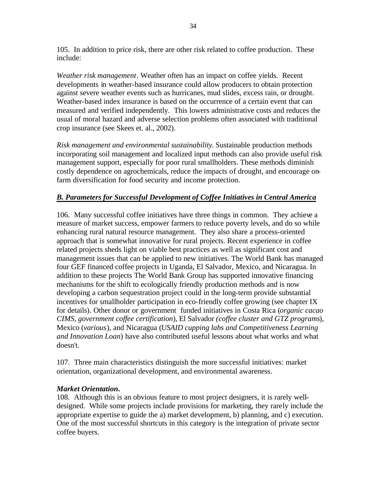105. In addition to price risk, there are other risk related to coffee production. These include:

*Weather risk management*. Weather often has an impact on coffee yields. Recent developments in weather-based insurance could allow producers to obtain protection against severe weather events such as hurricanes, mud slides, excess rain, or drought. Weather-based index insurance is based on the occurrence of a certain event that can measured and verified independently. This lowers administrative costs and reduces the usual of moral hazard and adverse selection problems often associated with traditional crop insurance (see Skees et. al., 2002).

*Risk management and environmental sustainability*. Sustainable production methods incorporating soil management and localized input methods can also provide useful risk management support, especially for poor rural smallholders. These methods diminish costly dependence on agrochemicals, reduce the impacts of drought, and encourage onfarm diversification for food security and income protection.

# *B. Parameters for Successful Development of Coffee Initiatives in Central America*

106. Many successful coffee initiatives have three things in common. They achieve a measure of market success, empower farmers to reduce poverty levels, and do so while enhancing rural natural resource management. They also share a process-oriented approach that is somewhat innovative for rural projects. Recent experience in coffee related projects sheds light on viable best practices as well as significant cost and management issues that can be applied to new initiatives. The World Bank has managed four GEF financed coffee projects in Uganda, El Salvador, Mexico, and Nicaragua. In addition to these projects The World Bank Group has supported innovative financing mechanisms for the shift to ecologically friendly production methods and is now developing a carbon sequestration project could in the long-term provide substantial incentives for smallholder participation in eco-friendly coffee growing (see chapter IX for details). Other donor or government funded initiatives in Costa Rica (*organic cacao CIMS, government coffee certification*), El Salvador *(coffee cluster and GTZ programs*), Mexico (*various*), and Nicaragua (*USAID cupping labs and Competitiveness Learning and Innovation Loan*) have also contributed useful lessons about what works and what doesn't.

107. Three main characteristics distinguish the more successful initiatives: market orientation, organizational development, and environmental awareness.

## *Market Orientation***.**

108. Although this is an obvious feature to most project designers, it is rarely welldesigned. While some projects include provisions for marketing, they rarely include the appropriate expertise to guide the a) market development, b) planning, and c) execution. One of the most successful shortcuts in this category is the integration of private sector coffee buyers.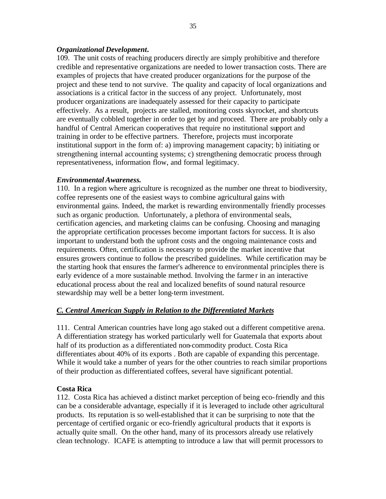#### *Organizational Development***.**

109. The unit costs of reaching producers directly are simply prohibitive and therefore credible and representative organizations are needed to lower transaction costs. There are examples of projects that have created producer organizations for the purpose of the project and these tend to not survive. The quality and capacity of local organizations and associations is a critical factor in the success of any project. Unfortunately, most producer organizations are inadequately assessed for their capacity to participate effectively. As a result, projects are stalled, monitoring costs skyrocket, and shortcuts are eventually cobbled together in order to get by and proceed. There are probably only a handful of Central American cooperatives that require no institutional support and training in order to be effective partners. Therefore, projects must incorporate institutional support in the form of: a) improving management capacity; b) initiating or strengthening internal accounting systems; c) strengthening democratic process through representativeness, information flow, and formal legitimacy.

#### *Environmental Awareness.*

110. In a region where agriculture is recognized as the number one threat to biodiversity, coffee represents one of the easiest ways to combine agricultural gains with environmental gains. Indeed, the market is rewarding environmentally friendly processes such as organic production. Unfortunately, a plethora of environmental seals, certification agencies, and marketing claims can be confusing. Choosing and managing the appropriate certification processes become important factors for success. It is also important to understand both the upfront costs and the ongoing maintenance costs and requirements. Often, certification is necessary to provide the market incentive that ensures growers continue to follow the prescribed guidelines. While certification may be the starting hook that ensures the farmer's adherence to environmental principles there is early evidence of a more sustainable method. Involving the farme r in an interactive educational process about the real and localized benefits of sound natural resource stewardship may well be a better long-term investment.

## *C. Central American Supply in Relation to the Differentiated Markets*

111. Central American countries have long ago staked out a different competitive arena. A differentiation strategy has worked particularly well for Guatemala that exports about half of its production as a differentiated non-commodity product. Costa Rica differentiates about 40% of its exports . Both are capable of expanding this percentage. While it would take a number of years for the other countries to reach similar proportions of their production as differentiated coffees, several have significant potential.

## **Costa Rica**

112. Costa Rica has achieved a distinct market perception of being eco-friendly and this can be a considerable advantage, especially if it is leveraged to include other agricultural products. Its reputation is so well-established that it can be surprising to note that the percentage of certified organic or eco-friendly agricultural products that it exports is actually quite small. On the other hand, many of its processors already use relatively clean technology. ICAFE is attempting to introduce a law that will permit processors to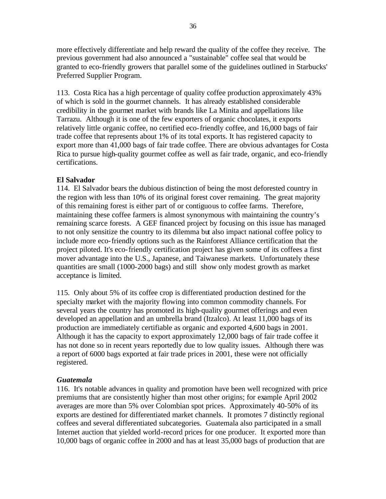more effectively differentiate and help reward the quality of the coffee they receive. The previous government had also announced a "sustainable" coffee seal that would be granted to eco-friendly growers that parallel some of the guidelines outlined in Starbucks' Preferred Supplier Program.

113. Costa Rica has a high percentage of quality coffee production approximately 43% of which is sold in the gourmet channels. It has already established considerable credibility in the gourmet market with brands like La Minita and appellations like Tarrazu. Although it is one of the few exporters of organic chocolates, it exports relatively little organic coffee, no certified eco-friendly coffee, and 16,000 bags of fair trade coffee that represents about 1% of its total exports. It has registered capacity to export more than 41,000 bags of fair trade coffee. There are obvious advantages for Costa Rica to pursue high-quality gourmet coffee as well as fair trade, organic, and eco-friendly certifications.

#### **El Salvador**

114. El Salvador bears the dubious distinction of being the most deforested country in the region with less than 10% of its original forest cover remaining. The great majority of this remaining forest is either part of or contiguous to coffee farms. Therefore, maintaining these coffee farmers is almost synonymous with maintaining the country's remaining scarce forests. A GEF financed project by focusing on this issue has managed to not only sensitize the country to its dilemma but also impact national coffee policy to include more eco-friendly options such as the Rainforest Alliance certification that the project piloted. It's eco-friendly certification project has given some of its coffees a first mover advantage into the U.S., Japanese, and Taiwanese markets. Unfortunately these quantities are small (1000-2000 bags) and still show only modest growth as market acceptance is limited.

115. Only about 5% of its coffee crop is differentiated production destined for the specialty market with the majority flowing into common commodity channels. For several years the country has promoted its high-quality gourmet offerings and even developed an appellation and an umbrella brand (Itzalco). At least 11,000 bags of its production are immediately certifiable as organic and exported 4,600 bags in 2001. Although it has the capacity to export approximately 12,000 bags of fair trade coffee it has not done so in recent years reportedly due to low quality issues. Although there was a report of 6000 bags exported at fair trade prices in 2001, these were not officially registered.

#### *Guatemala*

116. It's notable advances in quality and promotion have been well recognized with price premiums that are consistently higher than most other origins; for example April 2002 averages are more than 5% over Colombian spot prices. Approximately 40-50% of its exports are destined for differentiated market channels. It promotes 7 distinctly regional coffees and several differentiated subcategories. Guatemala also participated in a small Internet auction that yielded world-record prices for one producer. It exported more than 10,000 bags of organic coffee in 2000 and has at least 35,000 bags of production that are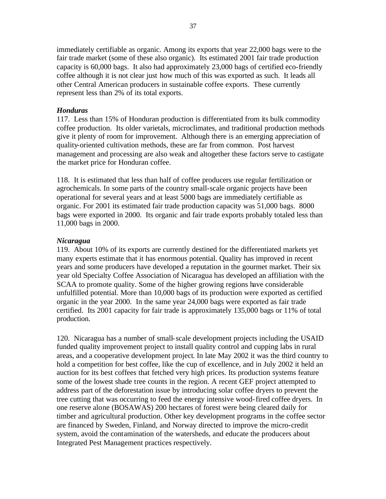immediately certifiable as organic. Among its exports that year 22,000 bags were to the fair trade market (some of these also organic). Its estimated 2001 fair trade production capacity is 60,000 bags. It also had approximately 23,000 bags of certified eco-friendly coffee although it is not clear just how much of this was exported as such. It leads all other Central American producers in sustainable coffee exports. These currently represent less than 2% of its total exports.

#### *Honduras*

117. Less than 15% of Honduran production is differentiated from its bulk commodity coffee production. Its older varietals, microclimates, and traditional production methods give it plenty of room for improvement. Although there is an emerging appreciation of quality-oriented cultivation methods, these are far from common. Post harvest management and processing are also weak and altogether these factors serve to castigate the market price for Honduran coffee.

118. It is estimated that less than half of coffee producers use regular fertilization or agrochemicals. In some parts of the country small-scale organic projects have been operational for several years and at least 5000 bags are immediately certifiable as organic. For 2001 its estimated fair trade production capacity was 51,000 bags. 8000 bags were exported in 2000. Its organic and fair trade exports probably totaled less than 11,000 bags in 2000.

#### *Nicaragua*

119. About 10% of its exports are currently destined for the differentiated markets yet many experts estimate that it has enormous potential. Quality has improved in recent years and some producers have developed a reputation in the gourmet market. Their six year old Specialty Coffee Association of Nicaragua has developed an affiliation with the SCAA to promote quality. Some of the higher growing regions have considerable unfulfilled potential. More than 10,000 bags of its production were exported as certified organic in the year 2000. In the same year 24,000 bags were exported as fair trade certified. Its 2001 capacity for fair trade is approximately 135,000 bags or 11% of total production.

120. Nicaragua has a number of small-scale development projects including the USAID funded quality improvement project to install quality control and cupping labs in rural areas, and a cooperative development project. In late May 2002 it was the third country to hold a competition for best coffee, like the cup of excellence, and in July 2002 it held an auction for its best coffees that fetched very high prices. Its production systems feature some of the lowest shade tree counts in the region. A recent GEF project attempted to address part of the deforestation issue by introducing solar coffee dryers to prevent the tree cutting that was occurring to feed the energy intensive wood-fired coffee dryers. In one reserve alone (BOSAWAS) 200 hectares of forest were being cleared daily for timber and agricultural production. Other key development programs in the coffee sector are financed by Sweden, Finland, and Norway directed to improve the micro-credit system, avoid the contamination of the watersheds, and educate the producers about Integrated Pest Management practices respectively.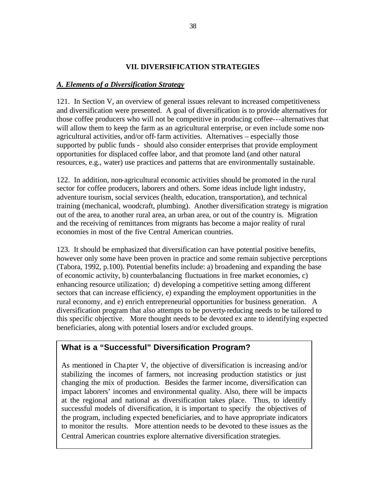## **VII. DIVERSIFICATION STRATEGIES**

## *A. Elements of a Diversification Strategy*

121. In Section V, an overview of general issues relevant to increased competitiveness and diversification were presented. A goal of diversification is to provide alternatives for those coffee producers who will not be competitive in producing coffee---alternatives that will allow them to keep the farm as an agricultural enterprise, or even include some nonagricultural activities, and/or off-farm activities. Alternatives – especially those supported by public funds - should also consider enterprises that provide employment opportunities for displaced coffee labor, and that promote land (and other natural resources, e.g., water) use practices and patterns that are environmentally sustainable.

122. In addition, non-agricultural economic activities should be promoted in the rural sector for coffee producers, laborers and others. Some ideas include light industry, adventure tourism, social services (health, education, transportation), and technical training (mechanical, woodcraft, plumbing). Another diversification strategy is migration out of the area, to another rural area, an urban area, or out of the country is. Migration and the receiving of remittances from migrants has become a major reality of rural economies in most of the five Central American countries.

123. It should be emphasized that diversification can have potential positive benefits, however only some have been proven in practice and some remain subjective perceptions (Tabora, 1992, p.100). Potential benefits include: a) broadening and expanding the base of economic activity, b) counterbalancing fluctuations in free market economies, c) enhancing resource utilization; d) developing a competitive setting among different sectors that can increase efficiency, e) expanding the employment opportunities in the rural economy, and e) enrich entrepreneurial opportunities for business generation. A diversification program that also attempts to be poverty-reducing needs to be tailored to this specific objective. More thought needs to be devoted ex ante to identifying expected beneficiaries, along with potential losers and/or excluded groups.

# **What is a "Successful" Diversification Program?**

As mentioned in Chapter V, the objective of diversification is increasing and/or stabilizing the incomes of farmers, not increasing production statistics or just changing the mix of production. Besides the farmer income, diversification can impact laborers' incomes and environmental quality. Also, there will be impacts at the regional and national as diversification takes place. Thus, to identify successful models of diversification, it is important to specify the objectives of the program, including expected beneficiaries, and to have appropriate indicators to monitor the results. More attention needs to be devoted to these issues as the Central American countries explore alternative diversification strategies.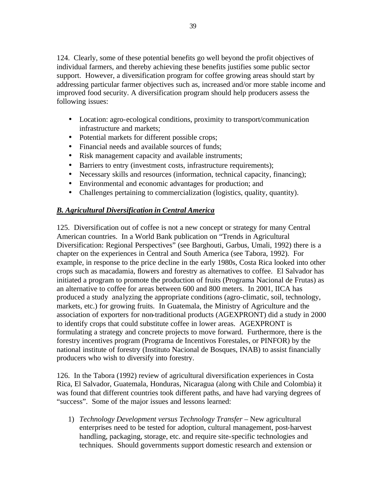124. Clearly, some of these potential benefits go well beyond the profit objectives of individual farmers, and thereby achieving these benefits justifies some public sector support. However, a diversification program for coffee growing areas should start by addressing particular farmer objectives such as, increased and/or more stable income and improved food security. A diversification program should help producers assess the following issues:

- Location: agro-ecological conditions, proximity to transport/communication infrastructure and markets;
- Potential markets for different possible crops;
- Financial needs and available sources of funds;
- Risk management capacity and available instruments;
- Barriers to entry (investment costs, infrastructure requirements);
- Necessary skills and resources (information, technical capacity, financing);
- Environmental and economic advantages for production; and
- Challenges pertaining to commercialization (logistics, quality, quantity).

# *B. Agricultural Diversification in Central America*

125. Diversification out of coffee is not a new concept or strategy for many Central American countries. In a World Bank publication on "Trends in Agricultural Diversification: Regional Perspectives" (see Barghouti, Garbus, Umali, 1992) there is a chapter on the experiences in Central and South America (see Tabora, 1992). For example, in response to the price decline in the early 1980s, Costa Rica looked into other crops such as macadamia, flowers and forestry as alternatives to coffee. El Salvador has initiated a program to promote the production of fruits (Programa Nacional de Frutas) as an alternative to coffee for areas between 600 and 800 meters. In 2001, IICA has produced a study analyzing the appropriate conditions (agro-climatic, soil, technology, markets, etc.) for growing fruits. In Guatemala, the Ministry of Agriculture and the association of exporters for non-traditional products (AGEXPRONT) did a study in 2000 to identify crops that could substitute coffee in lower areas. AGEXPRONT is formulating a strategy and concrete projects to move forward. Furthermore, there is the forestry incentives program (Programa de Incentivos Forestales, or PINFOR) by the national institute of forestry (Instituto Nacional de Bosques, INAB) to assist financially producers who wish to diversify into forestry.

126. In the Tabora (1992) review of agricultural diversification experiences in Costa Rica, El Salvador, Guatemala, Honduras, Nicaragua (along with Chile and Colombia) it was found that different countries took different paths, and have had varying degrees of "success". Some of the major issues and lessons learned:

1) *Technology Development versus Technology Transfer* – New agricultural enterprises need to be tested for adoption, cultural management, post-harvest handling, packaging, storage, etc. and require site-specific technologies and techniques. Should governments support domestic research and extension or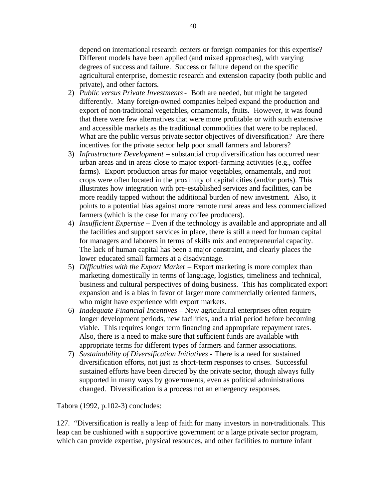depend on international research centers or foreign companies for this expertise? Different models have been applied (and mixed approaches), with varying degrees of success and failure. Success or failure depend on the specific agricultural enterprise, domestic research and extension capacity (both public and private), and other factors.

- 2) *Public versus Private Investments* Both are needed, but might be targeted differently. Many foreign-owned companies helped expand the production and export of non-traditional vegetables, ornamentals, fruits. However, it was found that there were few alternatives that were more profitable or with such extensive and accessible markets as the traditional commodities that were to be replaced. What are the public versus private sector objectives of diversification? Are there incentives for the private sector help poor small farmers and laborers?
- 3) *Infrastructure Development* substantial crop diversification has occurred near urban areas and in areas close to major export-farming activities (e.g., coffee farms). Export production areas for major vegetables, ornamentals, and root crops were often located in the proximity of capital cities (and/or ports). This illustrates how integration with pre-established services and facilities, can be more readily tapped without the additional burden of new investment. Also, it points to a potential bias against more remote rural areas and less commercialized farmers (which is the case for many coffee producers).
- 4) *Insufficient Expertise* Even if the technology is available and appropriate and all the facilities and support services in place, there is still a need for human capital for managers and laborers in terms of skills mix and entrepreneurial capacity. The lack of human capital has been a major constraint, and clearly places the lower educated small farmers at a disadvantage.
- 5) *Difficulties with the Export Market* Export marketing is more complex than marketing domestically in terms of language, logistics, timeliness and technical, business and cultural perspectives of doing business. This has complicated export expansion and is a bias in favor of larger more commercially oriented farmers, who might have experience with export markets.
- 6) *Inadequate Financial Incentives* New agricultural enterprises often require longer development periods, new facilities, and a trial period before becoming viable. This requires longer term financing and appropriate repayment rates. Also, there is a need to make sure that sufficient funds are available with appropriate terms for different types of farmers and farmer associations.
- 7) *Sustainability of Diversification Initiatives* There is a need for sustained diversification efforts, not just as short-term responses to crises. Successful sustained efforts have been directed by the private sector, though always fully supported in many ways by governments, even as political administrations changed. Diversification is a process not an emergency responses.

Tabora (1992, p.102-3) concludes:

127. "Diversification is really a leap of faith for many investors in non-traditionals. This leap can be cushioned with a supportive government or a large private sector program, which can provide expertise, physical resources, and other facilities to nurture infant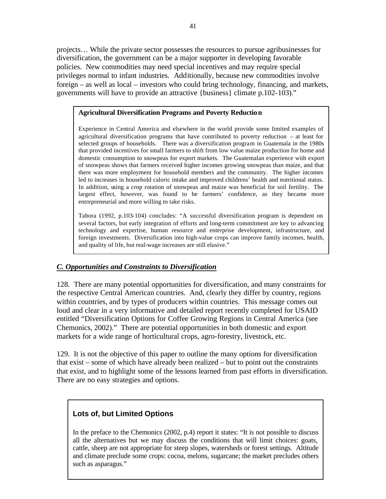projects… While the private sector possesses the resources to pursue agribusinesses for diversification, the government can be a major supporter in developing favorable policies. New commodities may need special incentives and may require special privileges normal to infant industries. Additionally, because new commodities involve foreign – as well as local – investors who could bring technology, financing, and markets, governments will have to provide an attractive {business} climate p.102-103)."

#### **Agricultural Diversification Programs and Poverty Reduction**

Experience in Central America and elsewhere in the world provide some limited examples of agricultural diversification programs that have contributed to poverty reduction – at least for selected groups of households. There was a diversification program in Guatemala in the 1980s that provided incentives for small farmers to shift from low value maize production for home and domestic consumption to snowpeas for export markets. The Guatemalan experience with export of snowpeas shows that farmers received higher incomes growing snowpeas than maize, and that there was more employment for household members and the community. The higher incomes led to increases in household caloric intake and improved childrens' health and nutritional status. In addition, using a crop rotation of snowpeas and maize was beneficial for soil fertility. The largest effect, however, was found to be farmers' confidence, as they became more entrepreneurial and more willing to take risks.

Tabora (1992, p.103-104) concludes: "A successful diversification program is dependent on several factors, but early integration of efforts and long-term commitment are key to advancing technology and expertise, human resource and enterprise development, infrastructure, and foreign investments. Diversification into high-value crops can improve family incomes, health, and quality of life, but real-wage increases are still elusive."

## *C. Opportunities and Constraints to Diversification*

128. There are many potential opportunities for diversification, and many constraints for the respective Central American countries. And, clearly they differ by country, regions within countries, and by types of producers within countries. This message comes out loud and clear in a very informative and detailed report recently completed for USAID entitled "Diversification Options for Coffee Growing Regions in Central America (see Chemonics, 2002)." There are potential opportunities in both domestic and export markets for a wide range of horticultural crops, agro-forestry, livestock, etc.

129. It is not the objective of this paper to outline the many options for diversification that exist – some of which have already been realized – but to point out the constraints that exist, and to highlight some of the lessons learned from past efforts in diversification. There are no easy strategies and options.

## **Lots of, but Limited Options**

In the preface to the Chemonics (2002, p.4) report it states: "It is not possible to discuss all the alternatives but we may discuss the conditions that will limit choices: goats, cattle, sheep are not appropriate for steep slopes, watersheds or forest settings. Altitude and climate preclude some crops: cocoa, melons, sugarcane; the market precludes others such as asparagus."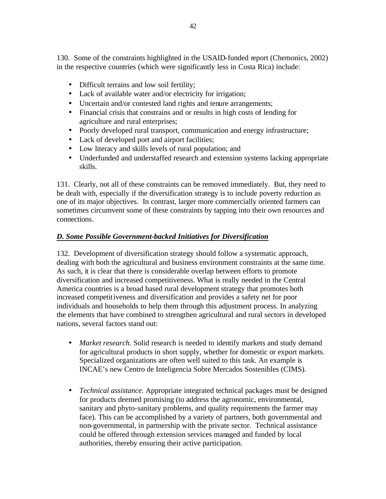130. Some of the constraints highlighted in the USAID-funded report (Chemonics, 2002) in the respective countries (which were significantly less in Costa Rica) include:

- Difficult terrains and low soil fertility;
- Lack of available water and/or electricity for irrigation;
- Uncertain and/or contested land rights and tenure arrangements;
- Financial crisis that constrains and or results in high costs of lending for agriculture and rural enterprises;
- Poorly developed rural transport, communication and energy infrastructure;
- Lack of developed port and airport facilities;
- Low literacy and skills levels of rural population; and
- Underfunded and understaffed research and extension systems lacking appropriate skills.

131. Clearly, not all of these constraints can be removed immediately. But, they need to be dealt with, especially if the diversification strategy is to include poverty reduction as one of its major objectives. In contrast, larger more commercially oriented farmers can sometimes circumvent some of these constraints by tapping into their own resources and connections.

# *D. Some Possible Government-backed Initiatives for Diversification*

132. Development of diversification strategy should follow a systematic approach, dealing with both the agricultural and business environment constraints at the same time. As such, it is clear that there is considerable overlap between efforts to promote diversification and increased competitiveness. What is really needed in the Central America countries is a broad based rural development strategy that promotes both increased competitiveness and diversification and provides a safety net for poor individuals and households to help them through this adjustment process. In analyzing the elements that have combined to strengthen agricultural and rural sectors in developed nations, several factors stand out:

- *Market research*. Solid research is needed to identify markets and study demand for agricultural products in short supply, whether for domestic or export markets. Specialized organizations are often well suited to this task. An example is INCAE's new Centro de Inteligencia Sobre Mercados Sostenibles (CIMS).
- *Technical assistance.* Appropriate integrated technical packages must be designed for products deemed promising (to address the agronomic, environmental, sanitary and phyto-sanitary problems, and quality requirements the farmer may face). This can be accomplished by a variety of partners, both governmental and non-governmental, in partnership with the private sector. Technical assistance could be offered through extension services managed and funded by local authorities, thereby ensuring their active participation.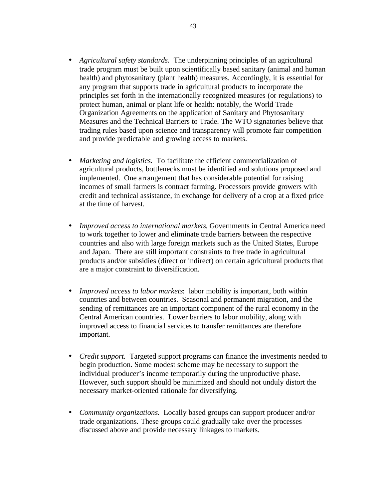- *Agricultural safety standards.* The underpinning principles of an agricultural trade program must be built upon scientifically based sanitary (animal and human health) and phytosanitary (plant health) measures. Accordingly, it is essential for any program that supports trade in agricultural products to incorporate the principles set forth in the internationally recognized measures (or regulations) to protect human, animal or plant life or health: notably, the World Trade Organization Agreements on the application of Sanitary and Phytosanitary Measures and the Technical Barriers to Trade. The WTO signatories believe that trading rules based upon science and transparency will promote fair competition and provide predictable and growing access to markets.
- *Marketing and logistics*. To facilitate the efficient commercialization of agricultural products, bottlenecks must be identified and solutions proposed and implemented. One arrangement that has considerable potential for raising incomes of small farmers is contract farming. Processors provide growers with credit and technical assistance, in exchange for delivery of a crop at a fixed price at the time of harvest.
- *Improved access to international markets*. Governments in Central America need to work together to lower and eliminate trade barriers between the respective countries and also with large foreign markets such as the United States, Europe and Japan. There are still important constraints to free trade in agricultural products and/or subsidies (direct or indirect) on certain agricultural products that are a major constraint to diversification.
- *Improved access to labor markets*: labor mobility is important, both within countries and between countries. Seasonal and permanent migration, and the sending of remittances are an important component of the rural economy in the Central American countries. Lower barriers to labor mobility, along with improved access to financial services to transfer remittances are therefore important.
- *Credit support.* Targeted support programs can finance the investments needed to begin production. Some modest scheme may be necessary to support the individual producer's income temporarily during the unproductive phase. However, such support should be minimized and should not unduly distort the necessary market-oriented rationale for diversifying.
- *Community organizations.* Locally based groups can support producer and/or trade organizations. These groups could gradually take over the processes discussed above and provide necessary linkages to markets.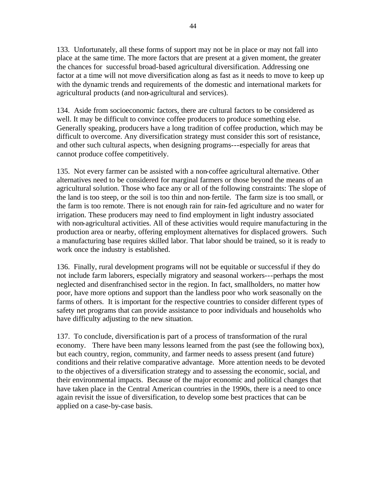133. Unfortunately, all these forms of support may not be in place or may not fall into place at the same time. The more factors that are present at a given moment, the greater the chances for successful broad-based agricultural diversification. Addressing one factor at a time will not move diversification along as fast as it needs to move to keep up with the dynamic trends and requirements of the domestic and international markets for agricultural products (and non-agricultural and services).

134. Aside from socioeconomic factors, there are cultural factors to be considered as well. It may be difficult to convince coffee producers to produce something else. Generally speaking, producers have a long tradition of coffee production, which may be difficult to overcome. Any diversification strategy must consider this sort of resistance, and other such cultural aspects, when designing programs---especially for areas that cannot produce coffee competitively.

135. Not every farmer can be assisted with a non-coffee agricultural alternative. Other alternatives need to be considered for marginal farmers or those beyond the means of an agricultural solution. Those who face any or all of the following constraints: The slope of the land is too steep, or the soil is too thin and non-fertile. The farm size is too small, or the farm is too remote. There is not enough rain for rain-fed agriculture and no water for irrigation. These producers may need to find employment in light industry associated with non-agricultural activities. All of these activities would require manufacturing in the production area or nearby, offering employment alternatives for displaced growers. Such a manufacturing base requires skilled labor. That labor should be trained, so it is ready to work once the industry is established.

136. Finally, rural development programs will not be equitable or successful if they do not include farm laborers, especially migratory and seasonal workers---perhaps the most neglected and disenfranchised sector in the region. In fact, smallholders, no matter how poor, have more options and support than the landless poor who work seasonally on the farms of others. It is important for the respective countries to consider different types of safety net programs that can provide assistance to poor individuals and households who have difficulty adjusting to the new situation.

137. To conclude, diversification is part of a process of transformation of the rural economy. There have been many lessons learned from the past (see the following box), but each country, region, community, and farmer needs to assess present (and future) conditions and their relative comparative advantage. More attention needs to be devoted to the objectives of a diversification strategy and to assessing the economic, social, and their environmental impacts. Because of the major economic and political changes that have taken place in the Central American countries in the 1990s, there is a need to once again revisit the issue of diversification, to develop some best practices that can be applied on a case-by-case basis.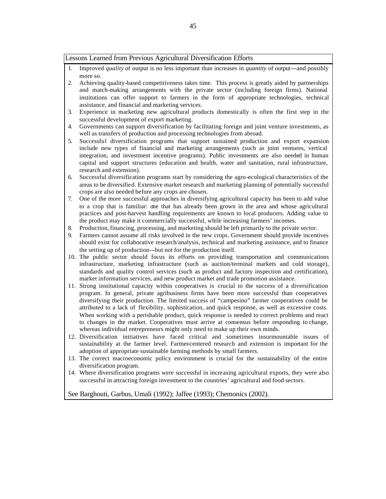#### Lessons Learned from Previous Agricultural Diversification Efforts

- 1. Improved *quality* of output is no less important than increases in *quantity* of output---and possibly more so.
- 2. Achieving quality-based competitiveness takes time. This process is greatly aided by partnerships and match-making arrangements with the private sector (including foreign firms). National institutions can offer support to farmers in the form of appropriate technologies, technical assistance, and financial and marketing services.
- 3. Experience in marketing new agricultural products domestically is often the first step in the successful development of export marketing.
- 4. Governments can support diversification by facilitating foreign and joint venture investments, as well as transfers of production and processing technologies from abroad.
- 5. Successful diversification programs that support sustained production and export expansion include new types of financial and marketing arrangements (such as joint ventures, vertical integration, and investment incentive programs). Public investments are also needed in human capital and support structures (education and health, water and sanitation, rural infrastructure, research and extension).
- 6. Successful diversification programs start by considering the agro-ecological characteristics of the areas to be diversified. Extensive market research and marketing planning of potentially successful crops are also needed before any crops are chosen.
- 7. One of the more successful approaches in diversifying agricultural capacity has been to add value to a crop that is familiar: one that has already been grown in the area and whose agricultural practices and post-harvest handling requirements are known to local producers. Adding value to the product may make it commercially successful, while increasing farmers' incomes.
- 8. Production, financing, processing, and marketing should be left primarily to the private sector.
- 9. Farmers cannot assume all risks involved in the new crops. Government should provide incentives should exist for collaborative research/analysis, technical and marketing assistance, and to finance the setting up of production---but not for the production itself.
- 10. The public sector should focus its efforts on providing transportation and communications infrastructure, marketing infrastructure (such as auction/terminal markets and cold storage), standards and quality control services (such as product and factory inspection and certification), market information services, and new product market and trade promotion assistance.
- 11. Strong institutional capacity within cooperatives is crucial to the success of a diversification program. In general, private agribusiness firms have been more successful than cooperatives diversifying their production. The limited success of "campesino" farmer cooperatives could be attributed to a lack of flexibility, sophistication, and quick response, as well as excessive costs. When working with a perishable product, quick response is needed to correct problems and react to changes in the market. Cooperatives must arrive at consensus before responding to change, whereas individual entrepreneurs might only need to make up their own minds.
- 12. Diversification initiatives have faced critical and sometimes insurmountable issues of sustainability at the farmer level. Farmer-centered research and extension is important for the adoption of appropriate sustainable farming methods by small farmers.
- 13. The correct macroeconomic policy environment is crucial for the sustainability of the entire diversification program.
- 14. Where diversification programs were successful in increasing agricultural exports, they were also successful in attracting foreign investment to the countries' agricultural and food sectors.

See Barghouti, Garbus, Umali (1992); Jaffee (1993); Chemonics (2002).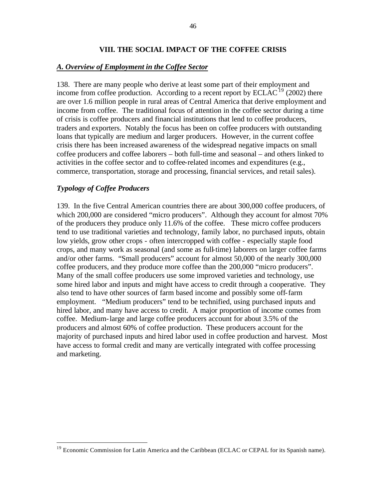#### **VIII. THE SOCIAL IMPACT OF THE COFFEE CRISIS**

#### *A. Overview of Employment in the Coffee Sector*

138. There are many people who derive at least some part of their employment and income from coffee production. According to a recent report by  $ECLAC<sup>19</sup>$  (2002) there are over 1.6 million people in rural areas of Central America that derive employment and income from coffee. The traditional focus of attention in the coffee sector during a time of crisis is coffee producers and financial institutions that lend to coffee producers, traders and exporters. Notably the focus has been on coffee producers with outstanding loans that typically are medium and larger producers. However, in the current coffee crisis there has been increased awareness of the widespread negative impacts on small coffee producers and coffee laborers – both full-time and seasonal – and others linked to activities in the coffee sector and to coffee-related incomes and expenditures (e.g., commerce, transportation, storage and processing, financial services, and retail sales).

#### *Typology of Coffee Producers*

 $\overline{a}$ 

139. In the five Central American countries there are about 300,000 coffee producers, of which 200,000 are considered "micro producers". Although they account for almost 70% of the producers they produce only 11.6% of the coffee. These micro coffee producers tend to use traditional varieties and technology, family labor, no purchased inputs, obtain low yields, grow other crops - often intercropped with coffee - especially staple food crops, and many work as seasonal (and some as full-time) laborers on larger coffee farms and/or other farms. "Small producers" account for almost 50,000 of the nearly 300,000 coffee producers, and they produce more coffee than the 200,000 "micro producers". Many of the small coffee producers use some improved varieties and technology, use some hired labor and inputs and might have access to credit through a cooperative. They also tend to have other sources of farm based income and possibly some off-farm employment. "Medium producers" tend to be technified, using purchased inputs and hired labor, and many have access to credit. A major proportion of income comes from coffee. Medium-large and large coffee producers account for about 3.5% of the producers and almost 60% of coffee production. These producers account for the majority of purchased inputs and hired labor used in coffee production and harvest. Most have access to formal credit and many are vertically integrated with coffee processing and marketing.

<sup>&</sup>lt;sup>19</sup> Economic Commission for Latin America and the Caribbean (ECLAC or CEPAL for its Spanish name).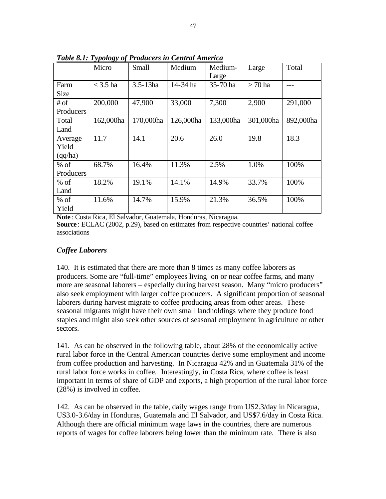|             | Micro      | Medium<br>Small |           | Medium-   | Large     | Total     |  |
|-------------|------------|-----------------|-----------|-----------|-----------|-----------|--|
|             |            |                 |           | Large     |           |           |  |
| Farm        | $<$ 3.5 ha | $3.5 - 13ha$    | 14-34 ha  | 35-70 ha  | $>70$ ha  |           |  |
| <b>Size</b> |            |                 |           |           |           |           |  |
| $#$ of      | 200,000    | 47,900          | 33,000    | 7,300     | 2,900     | 291,000   |  |
| Producers   |            |                 |           |           |           |           |  |
| Total       | 162,000ha  | 170,000ha       | 126,000ha | 133,000ha | 301,000ha | 892,000ha |  |
| Land        |            |                 |           |           |           |           |  |
| Average     | 11.7       | 14.1            | 20.6      | 26.0      | 19.8      | 18.3      |  |
| Yield       |            |                 |           |           |           |           |  |
| (qq/ha)     |            |                 |           |           |           |           |  |
| $%$ of      | 68.7%      | 16.4%           | 11.3%     | 2.5%      | 1.0%      | 100%      |  |
| Producers   |            |                 |           |           |           |           |  |
| $%$ of      | 18.2%      | 19.1%           | 14.1%     | 14.9%     | 33.7%     | 100%      |  |
| Land        |            |                 |           |           |           |           |  |
| $%$ of      | 11.6%      | 14.7%           | 15.9%     | 21.3%     | 36.5%     | 100%      |  |
| Yield       |            |                 |           |           |           |           |  |

*Table 8.1: Typology of Producers in Central America*

**Note** : Costa Rica, El Salvador, Guatemala, Honduras, Nicaragua. **Source**: ECLAC (2002, p.29), based on estimates from respective countries' national coffee associations

## *Coffee Laborers*

140. It is estimated that there are more than 8 times as many coffee laborers as producers. Some are "full-time" employees living on or near coffee farms, and many more are seasonal laborers – especially during harvest season. Many "micro producers" also seek employment with larger coffee producers. A significant proportion of seasonal laborers during harvest migrate to coffee producing areas from other areas. These seasonal migrants might have their own small landholdings where they produce food staples and might also seek other sources of seasonal employment in agriculture or other sectors.

141. As can be observed in the following table, about 28% of the economically active rural labor force in the Central American countries derive some employment and income from coffee production and harvesting. In Nicaragua 42% and in Guatemala 31% of the rural labor force works in coffee. Interestingly, in Costa Rica, where coffee is least important in terms of share of GDP and exports, a high proportion of the rural labor force (28%) is involved in coffee.

142. As can be observed in the table, daily wages range from US2.3/day in Nicaragua, US3.0-3.6/day in Honduras, Guatemala and El Salvador, and US\$7.6/day in Costa Rica. Although there are official minimum wage laws in the countries, there are numerous reports of wages for coffee laborers being lower than the minimum rate. There is also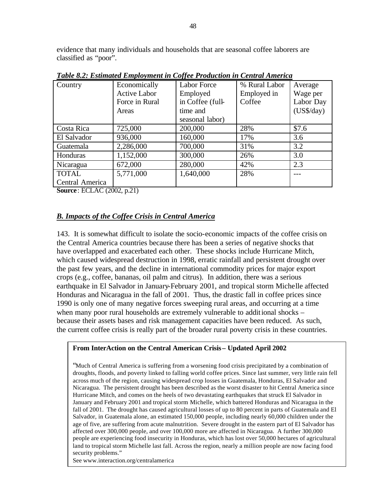evidence that many individuals and households that are seasonal coffee laborers are classified as "poor".

| Country                                        | Economically        | <b>Labor Force</b> | % Rural Labor | Average      |  |  |  |  |  |
|------------------------------------------------|---------------------|--------------------|---------------|--------------|--|--|--|--|--|
|                                                | <b>Active Labor</b> | Employed           | Employed in   | Wage per     |  |  |  |  |  |
|                                                | Force in Rural      | in Coffee (full-   | Coffee        | Labor Day    |  |  |  |  |  |
|                                                | Areas               | time and           |               | $(US\$/day)$ |  |  |  |  |  |
|                                                |                     | seasonal labor)    |               |              |  |  |  |  |  |
| Costa Rica                                     | 725,000             | 200,000            | 28%           | \$7.6        |  |  |  |  |  |
| El Salvador                                    | 936,000             | 160,000            | 17%           | 3.6          |  |  |  |  |  |
| Guatemala                                      | 2,286,000           | 700,000            | 31%           | 3.2          |  |  |  |  |  |
| Honduras                                       | 1,152,000           | 300,000            | 26%           | 3.0          |  |  |  |  |  |
| Nicaragua                                      | 672,000             | 280,000            | 42%           | 2.3          |  |  |  |  |  |
| <b>TOTAL</b>                                   | 5,771,000           | 1,640,000          | 28%           |              |  |  |  |  |  |
| Central America                                |                     |                    |               |              |  |  |  |  |  |
| $R_{\text{max}}$ , $E/Y$ $A/Y$ (0000 $\pm$ 01) |                     |                    |               |              |  |  |  |  |  |

*Table 8.2: Estimated Employment in Coffee Production in Central America*

**Source**: ECLAC (2002, p.21)

# *B. Impacts of the Coffee Crisis in Central America*

143. It is somewhat difficult to isolate the socio-economic impacts of the coffee crisis on the Central America countries because there has been a series of negative shocks that have overlapped and exacerbated each other. These shocks include Hurricane Mitch, which caused widespread destruction in 1998, erratic rainfall and persistent drought over the past few years, and the decline in international commodity prices for major export crops (e.g., coffee, bananas, oil palm and citrus). In addition, there was a serious earthquake in El Salvador in January-February 2001, and tropical storm Michelle affected Honduras and Nicaragua in the fall of 2001. Thus, the drastic fall in coffee prices since 1990 is only one of many negative forces sweeping rural areas, and occurring at a time when many poor rural households are extremely vulnerable to additional shocks – because their assets bases and risk management capacities have been reduced. As such, the current coffee crisis is really part of the broader rural poverty crisis in these countries.

## **From InterAction on the Central American Crisis – Updated April 2002**

"Much of Central America is suffering from a worsening food crisis precipitated by a combination of droughts, floods, and poverty linked to falling world coffee prices. Since last summer, very little rain fell across much of the region, causing widespread crop losses in Guatemala, Honduras, El Salvador and Nicaragua. The persistent drought has been described as the worst disaster to hit Central America since Hurricane Mitch, and comes on the heels of two devastating earthquakes that struck El Salvador in January and February 2001 and tropical storm Michelle, which battered Honduras and Nicaragua in the fall of 2001. The drought has caused agricultural losses of up to 80 percent in parts of Guatemala and El Salvador, in Guatemala alone, an estimated 150,000 people, including nearly 60,000 children under the age of five, are suffering from acute malnutrition. Severe drought in the eastern part of El Salvador has affected over 300,000 people, and over 100,000 more are affected in Nicaragua. A further 300,000 people are experiencing food insecurity in Honduras, which has lost over 50,000 hectares of agricultural land to tropical storm Michelle last fall. Across the region, nearly a million people are now facing food security problems."

See www.interaction.org/centralamerica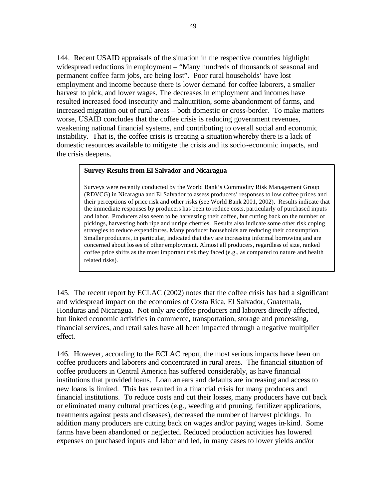144. Recent USAID appraisals of the situation in the respective countries highlight widespread reductions in employment – "Many hundreds of thousands of seasonal and permanent coffee farm jobs, are being lost". Poor rural households' have lost employment and income because there is lower demand for coffee laborers, a smaller harvest to pick, and lower wages. The decreases in employment and incomes have resulted increased food insecurity and malnutrition, some abandonment of farms, and increased migration out of rural areas – both domestic or cross-border. To make matters worse, USAID concludes that the coffee crisis is reducing government revenues, weakening national financial systems, and contributing to overall social and economic instability. That is, the coffee crisis is creating a situation whereby there is a lack of domestic resources available to mitigate the crisis and its socio-economic impacts, and the crisis deepens.

#### **Survey Results from El Salvador and Nicaragua**

Surveys were recently conducted by the World Bank's Commodity Risk Management Group (RDVCG) in Nicaragua and El Salvador to assess producers' responses to low coffee prices and their perceptions of price risk and other risks (see World Bank 2001, 2002). Results indicate that the immediate responses by producers has been to reduce costs, particularly of purchased inputs and labor*.* Producers also seem to be harvesting their coffee, but cutting back on the number of pickings, harvesting both ripe and unripe cherries. Results also indicate some other risk coping strategies to reduce expenditures. Many producer households are reducing their consumption. Smaller producers, in particular, indicated that they are increasing informal borrowing and are concerned about losses of other employment. Almost all producers, regardless of size, ranked coffee price shifts as the most important risk they faced (e.g., as compared to nature and health related risks).

145. The recent report by ECLAC (2002) notes that the coffee crisis has had a significant and widespread impact on the economies of Costa Rica, El Salvador, Guatemala, Honduras and Nicaragua. Not only are coffee producers and laborers directly affected, but linked economic activities in commerce, transportation, storage and processing, financial services, and retail sales have all been impacted through a negative multiplier effect.

146. However, according to the ECLAC report, the most serious impacts have been on coffee producers and laborers and concentrated in rural areas. The financial situation of coffee producers in Central America has suffered considerably, as have financial institutions that provided loans. Loan arrears and defaults are increasing and access to new loans is limited. This has resulted in a financial crisis for many producers and financial institutions. To reduce costs and cut their losses, many producers have cut back or eliminated many cultural practices (e.g., weeding and pruning, fertilizer applications, treatments against pests and diseases), decreased the number of harvest pickings. In addition many producers are cutting back on wages and/or paying wages in-kind. Some farms have been abandoned or neglected. Reduced production activities has lowered expenses on purchased inputs and labor and led, in many cases to lower yields and/or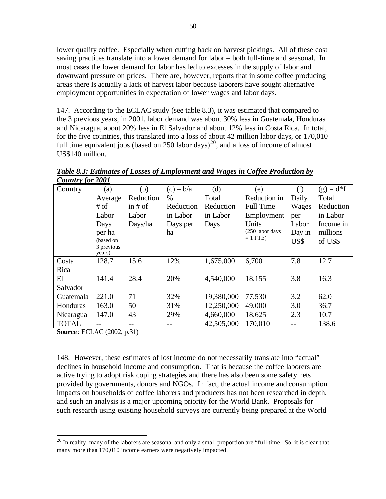lower quality coffee. Especially when cutting back on harvest pickings. All of these cost saving practices translate into a lower demand for labor – both full-time and seasonal. In most cases the lower demand for labor has led to excesses in the supply of labor and downward pressure on prices. There are, however, reports that in some coffee producing areas there is actually a lack of harvest labor because laborers have sought alternative employment opportunities in expectation of lower wages and labor days.

147. According to the ECLAC study (see table 8.3), it was estimated that compared to the 3 previous years, in 2001, labor demand was about 30% less in Guatemala, Honduras and Nicaragua, about 20% less in El Salvador and about 12% less in Costa Rica. In total, for the five countries, this translated into a loss of about 42 million labor days, or 170,010 full time equivalent jobs (based on 250 labor days)<sup>20</sup>, and a loss of income of almost US\$140 million.

| Country for 2001 |                      |           |             |            |                  |        |             |
|------------------|----------------------|-----------|-------------|------------|------------------|--------|-------------|
| Country          | (a)                  | (b)       | $(c) = b/a$ | (d)        | (e)              | (f)    | $(g) = d*f$ |
|                  | Average              | Reduction | $\%$        | Total      | Reduction in     | Daily  | Total       |
|                  | # of                 | in $#$ of | Reduction   | Reduction  | <b>Full Time</b> | Wages  | Reduction   |
|                  | Labor                | Labor     | in Labor    | in Labor   | Employment       | per    | in Labor    |
|                  | Days                 | Days/ha   | Days per    | Days       | Units            | Labor  | Income in   |
|                  | per ha               |           | ha          |            | (250 labor days  | Day in | millions    |
|                  | (based on            |           |             |            | $= 1$ FTE)       | US\$   | of US\$     |
|                  | 3 previous<br>years) |           |             |            |                  |        |             |
| Costa            | 128.7                | 15.6      | 12%         | 1,675,000  | 6,700            | 7.8    | 12.7        |
| Rica             |                      |           |             |            |                  |        |             |
| El               | 141.4                | 28.4      | 20%         | 4,540,000  | 18,155           | 3.8    | 16.3        |
| Salvador         |                      |           |             |            |                  |        |             |
| Guatemala        | 221.0                | 71        | 32%         | 19,380,000 | 77,530           | 3.2    | 62.0        |
| Honduras         | 163.0                | 50        | 31%         | 12,250,000 | 49,000           | 3.0    | 36.7        |
| Nicaragua        | 147.0                | 43        | 29%         | 4,660,000  | 18,625           | 2.3    | 10.7        |
| <b>TOTAL</b>     |                      |           |             | 42,505,000 | 170,010          |        | 138.6       |

*Table 8.3: Estimates of Losses of Employment and Wages in Coffee Production by Country for 2001*

**Source**: ECLAC (2002, p.31)

 $\overline{a}$ 

148. However, these estimates of lost income do not necessarily translate into "actual" declines in household income and consumption. That is because the coffee laborers are active trying to adopt risk coping strategies and there has also been some safety nets provided by governments, donors and NGOs. In fact, the actual income and consumption impacts on households of coffee laborers and producers has not been researched in depth, and such an analysis is a major upcoming priority for the World Bank. Proposals for such research using existing household surveys are currently being prepared at the World

 $^{20}$  In reality, many of the laborers are seasonal and only a small proportion are "full-time. So, it is clear that many more than 170,010 income earners were negatively impacted.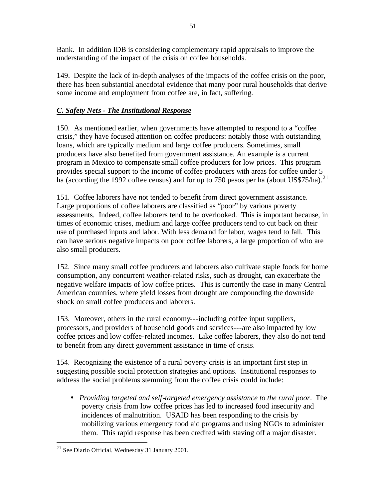Bank. In addition IDB is considering complementary rapid appraisals to improve the understanding of the impact of the crisis on coffee households.

149. Despite the lack of in-depth analyses of the impacts of the coffee crisis on the poor, there has been substantial anecdotal evidence that many poor rural households that derive some income and employment from coffee are, in fact, suffering.

# *C. Safety Nets - The Institutional Response*

150. As mentioned earlier, when governments have attempted to respond to a "coffee crisis," they have focused attention on coffee producers: notably those with outstanding loans, which are typically medium and large coffee producers. Sometimes, small producers have also benefited from government assistance. An example is a current program in Mexico to compensate small coffee producers for low prices. This program provides special support to the income of coffee producers with areas for coffee under 5 ha (according the 1992 coffee census) and for up to 750 pesos per ha (about US\$75/ha).<sup>21</sup>

151. Coffee laborers have not tended to benefit from direct government assistance. Large proportions of coffee laborers are classified as "poor" by various poverty assessments. Indeed, coffee laborers tend to be overlooked. This is important because, in times of economic crises, medium and large coffee producers tend to cut back on their use of purchased inputs and labor. With less demand for labor, wages tend to fall. This can have serious negative impacts on poor coffee laborers, a large proportion of who are also small producers.

152. Since many small coffee producers and laborers also cultivate staple foods for home consumption, any concurrent weather-related risks, such as drought, can exacerbate the negative welfare impacts of low coffee prices. This is currently the case in many Central American countries, where yield losses from drought are compounding the downside shock on small coffee producers and laborers.

153. Moreover, others in the rural economy---including coffee input suppliers, processors, and providers of household goods and services---are also impacted by low coffee prices and low coffee-related incomes. Like coffee laborers, they also do not tend to benefit from any direct government assistance in time of crisis.

154. Recognizing the existence of a rural poverty crisis is an important first step in suggesting possible social protection strategies and options. Institutional responses to address the social problems stemming from the coffee crisis could include:

• *Providing targeted and self-targeted emergency assistance to the rural poor*. The poverty crisis from low coffee prices has led to increased food insecurity and incidences of malnutrition. USAID has been responding to the crisis by mobilizing various emergency food aid programs and using NGOs to administer them. This rapid response has been credited with staving off a major disaster.

 $\overline{a}$ 

<sup>21</sup> See Diario Official, Wednesday 31 January 2001.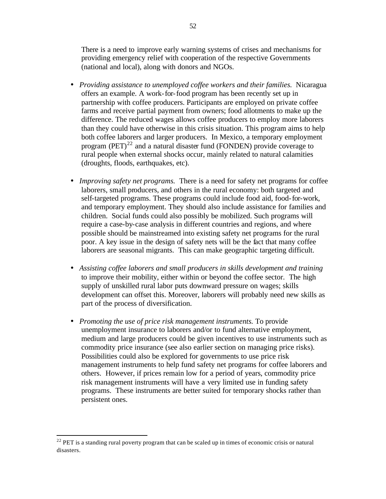There is a need to improve early warning systems of crises and mechanisms for providing emergency relief with cooperation of the respective Governments (national and local), along with donors and NGOs.

- *Providing assistance to unemployed coffee workers and their families.* Nicaragua offers an example. A work-for-food program has been recently set up in partnership with coffee producers. Participants are employed on private coffee farms and receive partial payment from owners; food allotments to make up the difference. The reduced wages allows coffee producers to employ more laborers than they could have otherwise in this crisis situation. This program aims to help both coffee laborers and larger producers. In Mexico, a temporary employment program  $(PET)^{22}$  and a natural disaster fund (FONDEN) provide coverage to rural people when external shocks occur, mainly related to natural calamities (droughts, floods, earthquakes, etc).
- *Improving safety net programs*. There is a need for safety net programs for coffee laborers, small producers, and others in the rural economy: both targeted and self-targeted programs. These programs could include food aid, food-for-work, and temporary employment. They should also include assistance for families and children. Social funds could also possibly be mobilized. Such programs will require a case-by-case analysis in different countries and regions, and where possible should be mainstreamed into existing safety net programs for the rural poor. A key issue in the design of safety nets will be the fact that many coffee laborers are seasonal migrants. This can make geographic targeting difficult.
- *Assisting coffee laborers and small producers in skills development and training* to improve their mobility, either within or beyond the coffee sector. The high supply of unskilled rural labor puts downward pressure on wages; skills development can offset this. Moreover, laborers will probably need new skills as part of the process of diversification.
- *Promoting the use of price risk management instruments.* To provide unemployment insurance to laborers and/or to fund alternative employment, medium and large producers could be given incentives to use instruments such as commodity price insurance (see also earlier section on managing price risks). Possibilities could also be explored for governments to use price risk management instruments to help fund safety net programs for coffee laborers and others. However, if prices remain low for a period of years, commodity price risk management instruments will have a very limited use in funding safety programs. These instruments are better suited for temporary shocks rather than persistent ones.

 $\overline{a}$ 

 $22$  PET is a standing rural poverty program that can be scaled up in times of economic crisis or natural disasters.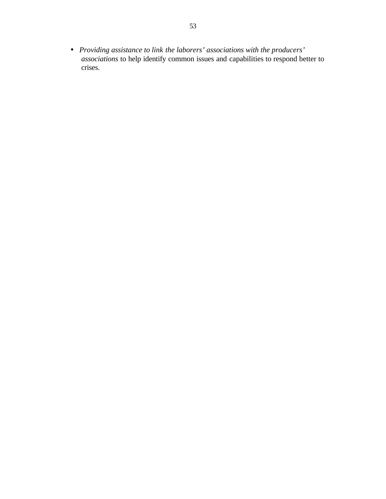• *Providing assistance to link the laborers' associations with the producers' associations* to help identify common issues and capabilities to respond better to crises.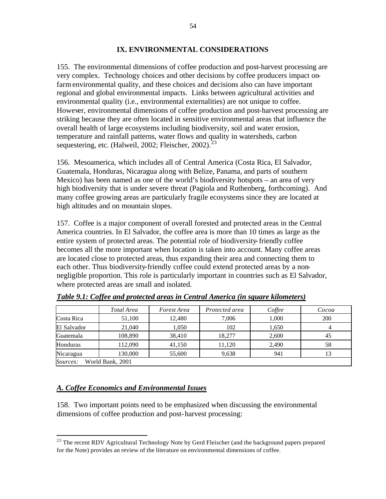## **IX. ENVIRONMENTAL CONSIDERATIONS**

155. The environmental dimensions of coffee production and post-harvest processing are very complex. Technology choices and other decisions by coffee producers impact onfarm environmental quality, and these choices and decisions also can have important regional and global environmental impacts. Links between agricultural activities and environmental quality (i.e., environmental externalities) are not unique to coffee. However, environmental dimensions of coffee production and post-harvest processing are striking because they are often located in sensitive environmental areas that influence the overall health of large ecosystems including biodiversity, soil and water erosion, temperature and rainfall patterns, water flows and quality in watersheds, carbon sequestering, etc. (Halweil, 2002; Fleischer, 2002).<sup>23</sup>

156. Mesoamerica, which includes all of Central America (Costa Rica, El Salvador, Guatemala, Honduras, Nicaragua along with Belize, Panama, and parts of southern Mexico) has been named as one of the world's biodiversity hotspots – an area of very high biodiversity that is under severe threat (Pagiola and Ruthenberg, forthcoming). And many coffee growing areas are particularly fragile ecosystems since they are located at high altitudes and on mountain slopes.

157. Coffee is a major component of overall forested and protected areas in the Central America countries. In El Salvador, the coffee area is more than 10 times as large as the entire system of protected areas. The potential role of biodiversity-friendly coffee becomes all the more important when location is taken into account. Many coffee areas are located close to protected areas, thus expanding their area and connecting them to each other. Thus biodiversity-friendly coffee could extend protected areas by a nonnegligible proportion. This role is particularly important in countries such as El Salvador, where protected areas are small and isolated.

|                              | Total Area | Forest Area | Protected area | Coffee | Cocoa |  |  |  |
|------------------------------|------------|-------------|----------------|--------|-------|--|--|--|
| Costa Rica                   | 51,100     | 12.480      | 7,006          | 1,000  | 200   |  |  |  |
| El Salvador                  | 21,040     | 1,050       | 102            | 1,650  |       |  |  |  |
| Guatemala                    | 108.890    | 38,410      | 18.277         | 2.600  | 45    |  |  |  |
| Honduras                     | 112.090    | 41,150      | 11.120         | 2.490  | 58    |  |  |  |
| Nicaragua                    | 130.000    | 55,600      | 9,638          | 941    |       |  |  |  |
| Sources:<br>World Bank, 2001 |            |             |                |        |       |  |  |  |

*Table 9.1: Coffee and protected areas in Central America (in square kilometers)*

## *A. Coffee Economics and Environmental Issues*

 $\overline{a}$ 

158. Two important points need to be emphasized when discussing the environmental dimensions of coffee production and post-harvest processing:

 $^{23}$  The recent RDV Agricultural Technology Note by Gerd Fleischer (and the background papers prepared for the Note) provides an review of the literature on environmental dimensions of coffee.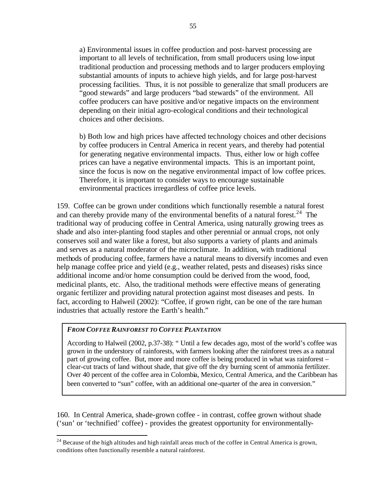a) Environmental issues in coffee production and post-harvest processing are important to all levels of technification, from small producers using low-input traditional production and processing methods and to larger producers employing substantial amounts of inputs to achieve high yields, and for large post-harvest processing facilities. Thus, it is not possible to generalize that small producers are "good stewards" and large producers "bad stewards" of the environment. All coffee producers can have positive and/or negative impacts on the environment depending on their initial agro-ecological conditions and their technological choices and other decisions.

b) Both low and high prices have affected technology choices and other decisions by coffee producers in Central America in recent years, and thereby had potential for generating negative environmental impacts. Thus, either low or high coffee prices can have a negative environmental impacts. This is an important point, since the focus is now on the negative environmental impact of low coffee prices. Therefore, it is important to consider ways to encourage sustainable environmental practices irregardless of coffee price levels.

159. Coffee can be grown under conditions which functionally resemble a natural forest and can thereby provide many of the environmental benefits of a natural forest.<sup>24</sup> The traditional way of producing coffee in Central America, using naturally growing trees as shade and also inter-planting food staples and other perennial or annual crops, not only conserves soil and water like a forest, but also supports a variety of plants and animals and serves as a natural moderator of the microclimate. In addition, with traditional methods of producing coffee, farmers have a natural means to diversify incomes and even help manage coffee price and yield (e.g., weather related, pests and diseases) risks since additional income and/or home consumption could be derived from the wood, food, medicinal plants, etc. Also, the traditional methods were effective means of generating organic fertilizer and providing natural protection against most diseases and pests. In fact, according to Halweil (2002): "Coffee, if grown right, can be one of the rare human industries that actually restore the Earth's health."

## *FROM COFFEE RAINFOREST TO COFFEE PLANTATION*

 $\overline{a}$ 

According to Halweil (2002, p.37-38): " Until a few decades ago, most of the world's coffee was grown in the understory of rainforests, with farmers looking after the rainforest trees as a natural part of growing coffee. But, more and more coffee is being produced in what was rainforest – clear-cut tracts of land without shade, that give off the dry burning scent of ammonia fertilizer. Over 40 percent of the coffee area in Colombia, Mexico, Central America, and the Caribbean has been converted to "sun" coffee, with an additional one-quarter of the area in conversion."

160. In Central America, shade-grown coffee - in contrast, coffee grown without shade ('sun' or 'technified' coffee) - provides the greatest opportunity for environmentally-

 $2<sup>24</sup>$  Because of the high altitudes and high rainfall areas much of the coffee in Central America is grown, conditions often functionally resemble a natural rainforest.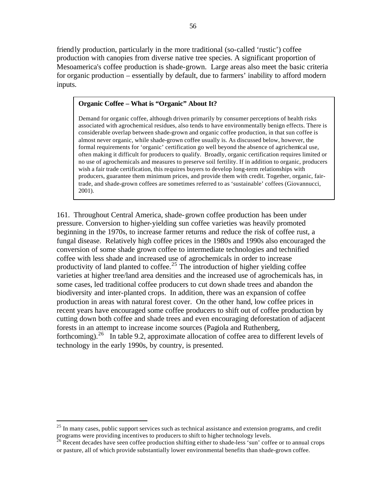friendly production, particularly in the more traditional (so-called 'rustic') coffee production with canopies from diverse native tree species. A significant proportion of Mesoamerica's coffee production is shade-grown. Large areas also meet the basic criteria for organic production – essentially by default, due to farmers' inability to afford modern inputs.

#### **Organic Coffee – What is "Organic" About It?**

Demand for organic coffee, although driven primarily by consumer perceptions of health risks associated with agrochemical residues, also tends to have environmentally benign effects. There is considerable overlap between shade-grown and organic coffee production, in that sun coffee is almost never organic, while shade-grown coffee usually is. As discussed below, however, the formal requirements for 'organic' certification go well beyond the absence of agrichemical use, often making it difficult for producers to qualify. Broadly, organic certification requires limited or no use of agrochemicals and measures to preserve soil fertility. If in addition to organic, producers wish a fair trade certification, this requires buyers to develop long-term relationships with producers, guarantee them minimum prices, and provide them with credit. Together, organic, fairtrade, and shade-grown coffees are sometimes referred to as 'sustainable' coffees (Giovannucci, 2001).

161. Throughout Central America, shade-grown coffee production has been under pressure. Conversion to higher-yielding sun coffee varieties was heavily promoted beginning in the 1970s, to increase farmer returns and reduce the risk of coffee rust, a fungal disease. Relatively high coffee prices in the 1980s and 1990s also encouraged the conversion of some shade grown coffee to intermediate technologies and technified coffee with less shade and increased use of agrochemicals in order to increase productivity of land planted to coffee.<sup>25</sup> The introduction of higher yielding coffee varieties at higher tree/land area densities and the increased use of agrochemicals has, in some cases, led traditional coffee producers to cut down shade trees and abandon the biodiversity and inter-planted crops. In addition, there was an expansion of coffee production in areas with natural forest cover. On the other hand, low coffee prices in recent years have encouraged some coffee producers to shift out of coffee production by cutting down both coffee and shade trees and even encouraging deforestation of adjacent forests in an attempt to increase income sources (Pagiola and Ruthenberg, forthcoming).<sup>26</sup> In table 9.2, approximate allocation of coffee area to different levels of technology in the early 1990s, by country, is presented.

 $\overline{a}$ 

 $^{25}$  In many cases, public support services such as technical assistance and extension programs, and credit programs were providing incentives to producers to shift to higher technology levels.

<sup>&</sup>lt;sup>26</sup> Recent decades have seen coffee production shifting either to shade-less 'sun' coffee or to annual crops or pasture, all of which provide substantially lower environmental benefits than shade-grown coffee.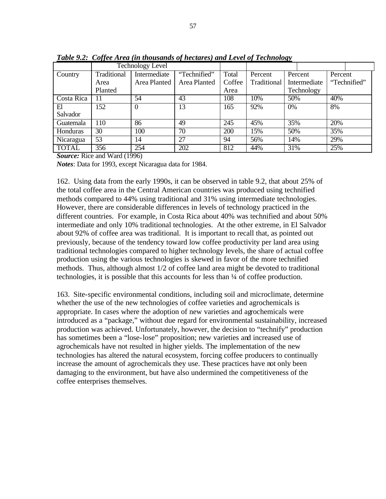|                 | <b>Technology Level</b> |              |              |        |             |     |              |              |  |
|-----------------|-------------------------|--------------|--------------|--------|-------------|-----|--------------|--------------|--|
| Country         | Traditional             | Intermediate | "Technified" | Total  | Percent     |     | Percent      | Percent      |  |
|                 | Area                    | Area Planted | Area Planted | Coffee | Traditional |     | Intermediate | "Technified" |  |
|                 | Planted                 |              |              | Area   |             |     | Technology   |              |  |
| Costa Rica      | 11                      | 54           | 43           | 108    | 10%         | 50% |              | 40%          |  |
| El              | <b>52</b>               | $\theta$     | 13           | 165    | 92%         | 0%  |              | 8%           |  |
| Salvador        |                         |              |              |        |             |     |              |              |  |
| Guatemala       | 10                      | 86           | 49           | 245    | 45%         | 35% |              | 20%          |  |
| <b>Honduras</b> | 30                      | 100          | 70           | 200    | 15%         | 50% |              | 35%          |  |
| Nicaragua       | 53                      | 14           | 27           | 94     | 56%         | 14% |              | 29%          |  |
| <b>TOTAL</b>    | 356                     | 254          | 202          | 812    | 44%         | 31% |              | 25%          |  |

*Table 9.2: Coffee Area (in thousands of hectares) and Level of Technology* 

*Source:* Rice and Ward (1996)

*Notes*: Data for 1993, except Nicaragua data for 1984.

162. Using data from the early 1990s, it can be observed in table 9.2, that about 25% of the total coffee area in the Central American countries was produced using technified methods compared to 44% using traditional and 31% using intermediate technologies. However, there are considerable differences in levels of technology practiced in the different countries. For example, in Costa Rica about 40% was technified and about 50% intermediate and only 10% traditional technologies. At the other extreme, in El Salvador about 92% of coffee area was traditional. It is important to recall that, as pointed out previously, because of the tendency toward low coffee productivity per land area using traditional technologies compared to higher technology levels, the share of actual coffee production using the various technologies is skewed in favor of the more technified methods. Thus, although almost 1/2 of coffee land area might be devoted to traditional technologies, it is possible that this accounts for less than ¼ of coffee production.

163. Site-specific environmental conditions, including soil and microclimate, determine whether the use of the new technologies of coffee varieties and agrochemicals is appropriate. In cases where the adoption of new varieties and agrochemicals were introduced as a "package," without due regard for environmental sustainability, increased production was achieved. Unfortunately, however, the decision to "technify" production has sometimes been a "lose-lose" proposition; new varieties and increased use of agrochemicals have not resulted in higher yields. The implementation of the new technologies has altered the natural ecosystem, forcing coffee producers to continually increase the amount of agrochemicals they use. These practices have not only been damaging to the environment, but have also undermined the competitiveness of the coffee enterprises themselves.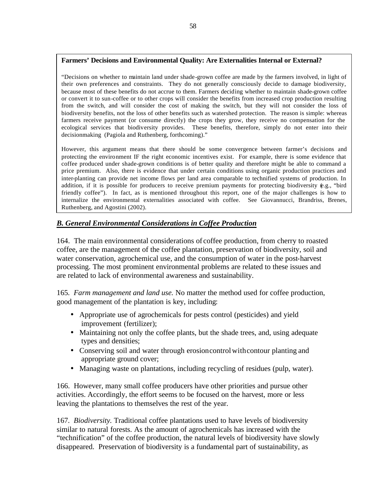## **Farmers' Decisions and Environmental Quality: Are Externalities Internal or External?**

"Decisions on whether to maintain land under shade-grown coffee are made by the farmers involved, in light of their own preferences and constraints. They do not generally consciously decide to damage biodiversity, because most of these benefits do not accrue to them. Farmers deciding whether to maintain shade-grown coffee or convert it to sun-coffee or to other crops will consider the benefits from increased crop production resulting from the switch, and will consider the cost of making the switch, but they will not consider the loss of biodiversity benefits, not the loss of other benefits such as watershed protection. The reason is simple: whereas farmers receive payment (or consume directly) the crops they grow, they receive no compensation for the ecological services that biodiversity provides. These benefits, therefore, simply do not enter into their decisionmaking (Pagiola and Ruthenberg, forthcoming)."

However, this argument means that there should be some convergence between farmer's decisions and protecting the environment IF the right economic incentives exist. For example, there is some evidence that coffee produced under shade-grown conditions is of better quality and therefore might be able to command a price premium. Also, there is evidence that under certain conditions using organic production practices and inter-planting can provide net income flows per land area comparable to technified systems of production. In addition, if it is possible for producers to receive premium payments for protecting biodiversity (e.g., "bird friendly coffee"). In fact, as is mentioned throughout this report, one of the major challenges is how to internalize the environmental externalities associated with coffee. See Giovannucci, Brandriss, Brenes, Ruthenberg, and Agostini (2002).

# *B. General Environmental Considerations in Coffee Production*

164. The main environmental considerations of coffee production, from cherry to roasted coffee, are the management of the coffee plantation, preservation of biodiversity, soil and water conservation, agrochemical use, and the consumption of water in the post-harvest processing. The most prominent environmental problems are related to these issues and are related to lack of environmental awareness and sustainability.

165*. Farm management and land use.* No matter the method used for coffee production, good management of the plantation is key, including:

- Appropriate use of agrochemicals for pests control (pesticides) and yield improvement (fertilizer);
- Maintaining not only the coffee plants, but the shade trees, and, using adequate types and densities;
- Conserving soil and water through erosioncontrol with contour planting and appropriate ground cover;
- Managing waste on plantations, including recycling of residues (pulp, water).

166. However, many small coffee producers have other priorities and pursue other activities. Accordingly, the effort seems to be focused on the harvest, more or less leaving the plantations to themselves the rest of the year.

167*. Biodiversity.* Traditional coffee plantations used to have levels of biodiversity similar to natural forests. As the amount of agrochemicals has increased with the "technification" of the coffee production, the natural levels of biodiversity have slowly disappeared. Preservation of biodiversity is a fundamental part of sustainability, as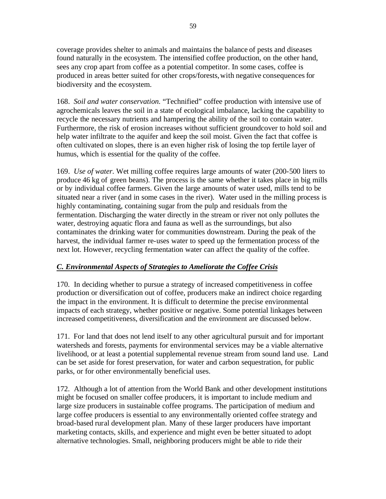coverage provides shelter to animals and maintains the balance of pests and diseases found naturally in the ecosystem. The intensified coffee production, on the other hand, sees any crop apart from coffee as a potential competitor. In some cases, coffee is produced in areas better suited for other crops/forests, with negative consequences for biodiversity and the ecosystem.

168. *Soil and water conservation.* "Technified" coffee production with intensive use of agrochemicals leaves the soil in a state of ecological imbalance, lacking the capability to recycle the necessary nutrients and hampering the ability of the soil to contain water. Furthermore, the risk of erosion increases without sufficient groundcover to hold soil and help water infiltrate to the aquifer and keep the soil moist. Given the fact that coffee is often cultivated on slopes, there is an even higher risk of losing the top fertile layer of humus, which is essential for the quality of the coffee.

169. *Use of water.* Wet milling coffee requires large amounts of water (200-500 liters to produce 46 kg of green beans). The process is the same whether it takes place in big mills or by individual coffee farmers. Given the large amounts of water used, mills tend to be situated near a river (and in some cases in the river). Water used in the milling process is highly contaminating, containing sugar from the pulp and residuals from the fermentation. Discharging the water directly in the stream or river not only pollutes the water, destroying aquatic flora and fauna as well as the surroundings, but also contaminates the drinking water for communities downstream. During the peak of the harvest, the individual farmer re-uses water to speed up the fermentation process of the next lot. However, recycling fermentation water can affect the quality of the coffee.

## *C. Environmental Aspects of Strategies to Ameliorate the Coffee Crisis*

170. In deciding whether to pursue a strategy of increased competitiveness in coffee production or diversification out of coffee, producers make an indirect choice regarding the impact in the environment. It is difficult to determine the precise environmental impacts of each strategy, whether positive or negative. Some potential linkages between increased competitiveness, diversification and the environment are discussed below.

171. For land that does not lend itself to any other agricultural pursuit and for important watersheds and forests, payments for environmental services may be a viable alternative livelihood, or at least a potential supplemental revenue stream from sound land use. Land can be set aside for forest preservation, for water and carbon sequestration, for public parks, or for other environmentally beneficial uses.

172. Although a lot of attention from the World Bank and other development institutions might be focused on smaller coffee producers, it is important to include medium and large size producers in sustainable coffee programs. The participation of medium and large coffee producers is essential to any environmentally oriented coffee strategy and broad-based rural development plan. Many of these larger producers have important marketing contacts, skills, and experience and might even be better situated to adopt alternative technologies. Small, neighboring producers might be able to ride their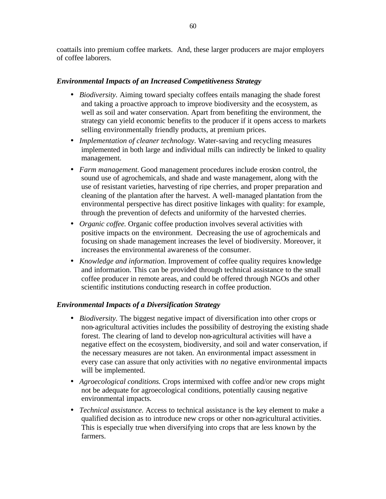coattails into premium coffee markets. And, these larger producers are major employers of coffee laborers.

## *Environmental Impacts of an Increased Competitiveness Strategy*

- *Biodiversity.* Aiming toward specialty coffees entails managing the shade forest and taking a proactive approach to improve biodiversity and the ecosystem, as well as soil and water conservation. Apart from benefiting the environment, the strategy can yield economic benefits to the producer if it opens access to markets selling environmentally friendly products, at premium prices.
- *Implementation of cleaner technology.* Water-saving and recycling measures implemented in both large and individual mills can indirectly be linked to quality management.
- *Farm management.* Good management procedures include erosion control, the sound use of agrochemicals, and shade and waste management, along with the use of resistant varieties, harvesting of ripe cherries, and proper preparation and cleaning of the plantation after the harvest. A well-managed plantation from the environmental perspective has direct positive linkages with quality: for example, through the prevention of defects and uniformity of the harvested cherries.
- *Organic coffee.* Organic coffee production involves several activities with positive impacts on the environment. Decreasing the use of agrochemicals and focusing on shade management increases the level of biodiversity. Moreover, it increases the environmental awareness of the consumer.
- *Knowledge and information.* Improvement of coffee quality requires knowledge and information. This can be provided through technical assistance to the small coffee producer in remote areas, and could be offered through NGOs and other scientific institutions conducting research in coffee production.

## *Environmental Impacts of a Diversification Strategy*

- *Biodiversity*. The biggest negative impact of diversification into other crops or non-agricultural activities includes the possibility of destroying the existing shade forest. The clearing of land to develop non-agricultural activities will have a negative effect on the ecosystem, biodiversity, and soil and water conservation, if the necessary measures are not taken. An environmental impact assessment in every case can assure that only activities with *no* negative environmental impacts will be implemented.
- *Agroecological conditions.* Crops intermixed with coffee and/or new crops might not be adequate for agroecological conditions, potentially causing negative environmental impacts.
- *Technical assistance.* Access to technical assistance is the key element to make a qualified decision as to introduce new crops or other non-agricultural activities. This is especially true when diversifying into crops that are less known by the farmers.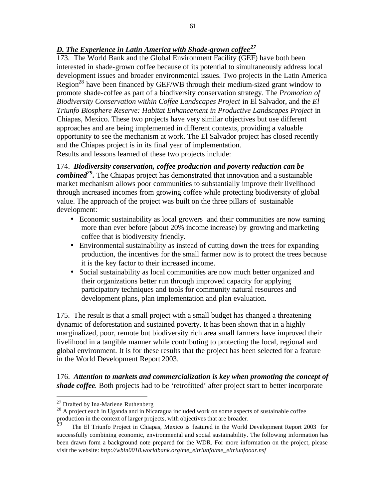# *D. The Experience in Latin America with Shade-grown coffee<sup>27</sup>*

173. The World Bank and the Global Environment Facility (GEF) have both been interested in shade-grown coffee because of its potential to simultaneously address local development issues and broader environmental issues. Two projects in the Latin America Region<sup>28</sup> have been financed by GEF/WB through their medium-sized grant window to promote shade-coffee as part of a biodiversity conservation strategy. The *Promotion of Biodiversity Conservation within Coffee Landscapes Project* in El Salvador, and the *El Triunfo Biosphere Reserve: Habitat Enhancement in Productive Landscapes Project* in Chiapas, Mexico. These two projects have very similar objectives but use different approaches and are being implemented in different contexts, providing a valuable opportunity to see the mechanism at work. The El Salvador project has closed recently and the Chiapas project is in its final year of implementation. Results and lessons learned of these two projects include:

174. *Biodiversity conservation, coffee production and poverty reduction can be combined<sup>29</sup> .* The Chiapas project has demonstrated that innovation and a sustainable market mechanism allows poor communities to substantially improve their livelihood through increased incomes from growing coffee while protecting biodiversity of global value. The approach of the project was built on the three pillars of sustainable development:

- Economic sustainability as local growers and their communities are now earning more than ever before (about 20% income increase) by growing and marketing coffee that is biodiversity friendly.
- Environmental sustainability as instead of cutting down the trees for expanding production, the incentives for the small farmer now is to protect the trees because it is the key factor to their increased income.
- Social sustainability as local communities are now much better organized and their organizations better run through improved capacity for applying participatory techniques and tools for community natural resources and development plans, plan implementation and plan evaluation.

175. The result is that a small project with a small budget has changed a threatening dynamic of deforestation and sustained poverty. It has been shown that in a highly marginalized, poor, remote but biodiversity rich area small farmers have improved their livelihood in a tangible manner while contributing to protecting the local, regional and global environment. It is for these results that the project has been selected for a feature in the World Development Report 2003.

176. *Attention to markets and commercialization is key when promoting the concept of shade coffee.* Both projects had to be 'retrofitted' after project start to better incorporate

 $\overline{a}$ 

<sup>&</sup>lt;sup>27</sup> Drafted by Ina-Marlene Ruthenberg

<sup>&</sup>lt;sup>28</sup> A project each in Uganda and in Nicaragua included work on some aspects of sustainable coffee production in the context of larger projects, with objectives that are broader.<br><sup>29</sup> The El Triunfe Project in Chienes, Maries is fectured in the World.

The El Triunfo Project in Chiapas, Mexico is featured in the World Development Report 2003 for successfully combining economic, environmental and social sustainability. The following information has been drawn form a background note prepared for the WDR. For more information on the project, please visit the website: *http://wbln0018.worldbank.org/me\_eltriunfo/me\_eltriunfooar.nsf*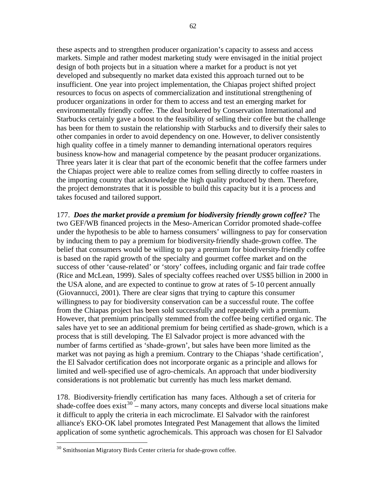these aspects and to strengthen producer organization's capacity to assess and access markets. Simple and rather modest marketing study were envisaged in the initial project design of both projects but in a situation where a market for a product is not yet developed and subsequently no market data existed this approach turned out to be insufficient. One year into project implementation, the Chiapas project shifted project resources to focus on aspects of commercialization and institutional strengthening of producer organizations in order for them to access and test an emerging market for environmentally friendly coffee. The deal brokered by Conservation International and Starbucks certainly gave a boost to the feasibility of selling their coffee but the challenge has been for them to sustain the relationship with Starbucks and to diversify their sales to other companies in order to avoid dependency on one. However, to deliver consistently high quality coffee in a timely manner to demanding international operators requires business know-how and managerial competence by the peasant producer organizations. Three years later it is clear that part of the economic benefit that the coffee farmers under the Chiapas project were able to realize comes from selling directly to coffee roasters in the importing country that acknowledge the high quality produced by them. Therefore, the project demonstrates that it is possible to build this capacity but it is a process and takes focused and tailored support.

177. *Does the market provide a premium for biodiversity friendly grown coffee?* The two GEF/WB financed projects in the Meso-American Corridor promoted shade-coffee under the hypothesis to be able to harness consumers' willingness to pay for conservation by inducing them to pay a premium for biodiversity-friendly shade-grown coffee. The belief that consumers would be willing to pay a premium for biodiversity-friendly coffee is based on the rapid growth of the specialty and gourmet coffee market and on the success of other 'cause-related' or 'story' coffees, including organic and fair trade coffee (Rice and McLean, 1999). Sales of specialty coffees reached over US\$5 billion in 2000 in the USA alone, and are expected to continue to grow at rates of 5-10 percent annually (Giovannucci, 2001). There are clear signs that trying to capture this consumer willingness to pay for biodiversity conservation can be a successful route. The coffee from the Chiapas project has been sold successfully and repeatedly with a premium. However, that premium principally stemmed from the coffee being certified organic. The sales have yet to see an additional premium for being certified as shade-grown, which is a process that is still developing. The El Salvador project is more advanced with the number of farms certified as 'shade-grown', but sales have been more limited as the market was not paying as high a premium. Contrary to the Chiapas 'shade certification', the El Salvador certification does not incorporate organic as a principle and allows for limited and well-specified use of agro-chemicals. An approach that under biodiversity considerations is not problematic but currently has much less market demand.

178. Biodiversity-friendly certification has many faces. Although a set of criteria for shade-coffee does  $\arcsin 30$  – many actors, many concepts and diverse local situations make it difficult to apply the criteria in each microclimate. El Salvador with the rainforest alliance's EKO-OK label promotes Integrated Pest Management that allows the limited application of some synthetic agrochemicals. This approach was chosen for El Salvador

 $\overline{a}$ 

<sup>&</sup>lt;sup>30</sup> Smithsonian Migratory Birds Center criteria for shade-grown coffee.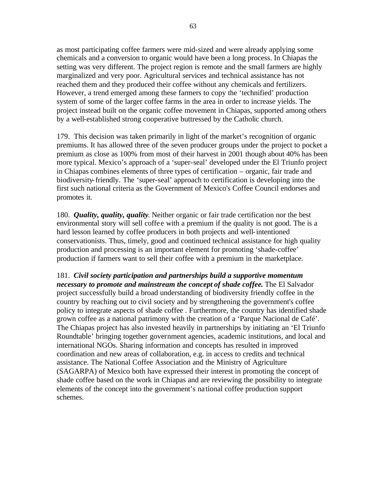as most participating coffee farmers were mid-sized and were already applying some chemicals and a conversion to organic would have been a long process. In Chiapas the setting was very different. The project region is remote and the small farmers are highly marginalized and very poor. Agricultural services and technical assistance has not reached them and they produced their coffee without any chemicals and fertilizers. However, a trend emerged among these farmers to copy the 'technified' production system of some of the larger coffee farms in the area in order to increase yields. The project instead built on the organic coffee movement in Chiapas, supported among others by a well-established strong cooperative buttressed by the Catholic church.

179. This decision was taken primarily in light of the market's recognition of organic premiums. It has allowed three of the seven producer groups under the project to pocket a premium as close as 100% from most of their harvest in 2001 though about 40% has been more typical. Mexico's approach of a 'super-seal' developed under the El Triunfo project in Chiapas combines elements of three types of certification – organic, fair trade and biodiversity-friendly. The 'super-seal' approach to certification is developing into the first such national criteria as the Government of Mexico's Coffee Council endorses and promotes it.

180. *Quality, quality, quality*. Neither organic or fair trade certification nor the best environmental story will sell coffee with a premium if the quality is not good. The is a hard lesson learned by coffee producers in both projects and well-intentioned conservationists. Thus, timely, good and continued technical assistance for high quality production and processing is an important element for promoting 'shade-coffee' production if farmers want to sell their coffee with a premium in the marketplace.

181. *Civil society participation and partnerships build a supportive momentum necessary to promote and mainstream the concept of shade coffee***.** The El Salvador project successfully build a broad understanding of biodiversity friendly coffee in the country by reaching out to civil society and by strengthening the government's coffee policy to integrate aspects of shade coffee . Furthermore, the country has identified shade grown coffee as a national patrimony with the creation of a 'Parque Nacional de Café'. The Chiapas project has also invested heavily in partnerships by initiating an 'El Triunfo Roundtable' bringing together government agencies, academic institutions, and local and international NGOs. Sharing information and concepts has resulted in improved coordination and new areas of collaboration, e.g. in access to credits and technical assistance. The National Coffee Association and the Ministry of Agriculture (SAGARPA) of Mexico both have expressed their interest in promoting the concept of shade coffee based on the work in Chiapas and are reviewing the possibility to integrate elements of the concept into the government's na tional coffee production support schemes.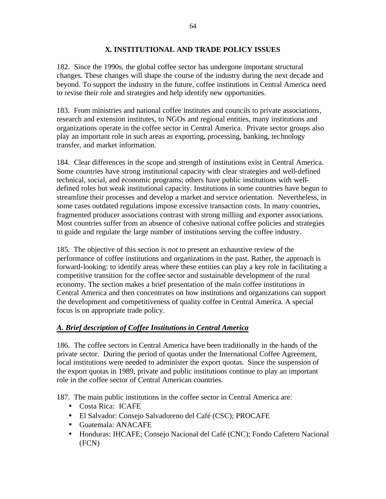## **X. INSTITUTIONAL AND TRADE POLICY ISSUES**

182. Since the 1990s, the global coffee sector has undergone important structural changes. These changes will shape the course of the industry during the next decade and beyond. To support the industry in the future, coffee institutions in Central America need to revise their role and strategies and help identify new opportunities.

183. From ministries and national coffee institutes and councils to private associations, research and extension institutes, to NGOs and regional entities, many institutions and organizations operate in the coffee sector in Central America. Private sector groups also play an important role in such areas as exporting, processing, banking, technology transfer, and market information.

184. Clear differences in the scope and strength of institutions exist in Central America. Some countries have strong institutional capacity with clear strategies and well-defined technical, social, and economic programs; others have public institutions with welldefined roles but weak institutional capacity. Institutions in some countries have begun to streamline their processes and develop a market and service orientation. Nevertheless, in some cases outdated regulations impose excessive transaction costs. In many countries, fragmented producer associations contrast with strong milling and exporter associations. Most countries suffer from an absence of cohesive national coffee policies and strategies to guide and regulate the large number of institutions serving the coffee industry.

185. The objective of this section is *not* to present an exhaustive review of the performance of coffee institutions and organizations in the past. Rather, the approach is forward-looking: to identify areas where these entities can play a key role in facilitating a competitive transition for the coffee sector and sustainable development of the rural economy. The section makes a brief presentation of the main coffee institutions in Central America and then concentrates on how institutions and organizations can support the development and competitiveness of quality coffee in Central America. A special focus is on appropriate trade policy.

## *A. Brief description of Coffee Institutions in Central America*

186. The coffee sectors in Central America have been traditionally in the hands of the private sector. During the period of quotas under the International Coffee Agreement, local institutions were needed to administer the export quotas. Since the suspension of the export quotas in 1989, private and public institutions continue to play an important role in the coffee sector of Central American countries.

187. The main public institutions in the coffee sector in Central America are:

- Costa Rica: ICAFE
- El Salvador: Consejo Salvadoreno del Café (CSC); PROCAFE
- Guatemala: ANACAFE
- Honduras: IHCAFE; Consejo Nacional del Café (CNC); Fondo Cafetero Nacional (FCN)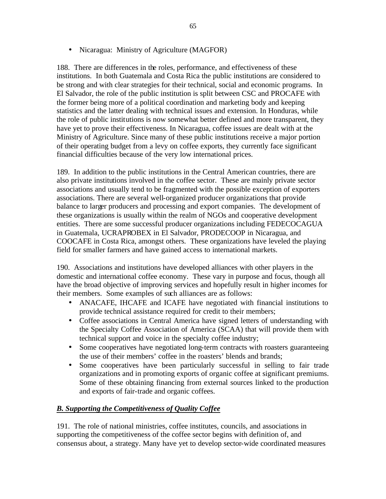• Nicaragua: Ministry of Agriculture (MAGFOR)

188. There are differences in the roles, performance, and effectiveness of these institutions. In both Guatemala and Costa Rica the public institutions are considered to be strong and with clear strategies for their technical, social and economic programs. In El Salvador, the role of the public institution is split between CSC and PROCAFE with the former being more of a political coordination and marketing body and keeping statistics and the latter dealing with technical issues and extension. In Honduras, while the role of public institutions is now somewhat better defined and more transparent, they have yet to prove their effectiveness. In Nicaragua, coffee issues are dealt with at the Ministry of Agriculture. Since many of these public institutions receive a major portion of their operating budget from a levy on coffee exports, they currently face significant financial difficulties because of the very low international prices.

189. In addition to the public institutions in the Central American countries, there are also private institutions involved in the coffee sector. These are mainly private sector associations and usually tend to be fragmented with the possible exception of exporters associations. There are several well-organized producer organizations that provide balance to larger producers and processing and export companies. The development of these organizations is usually within the realm of NGOs and cooperative development entities. There are some successful producer organizations including FEDECOCAGUA in Guatemala, UCRAPROBEX in El Salvador, PRODECOOP in Nicaragua, and COOCAFE in Costa Rica, amongst others. These organizations have leveled the playing field for smaller farmers and have gained access to international markets.

190. Associations and institutions have developed alliances with other players in the domestic and international coffee economy. These vary in purpose and focus, though all have the broad objective of improving services and hopefully result in higher incomes for their members. Some examples of such alliances are as follows:

- ANACAFE, IHCAFE and ICAFE have negotiated with financial institutions to provide technical assistance required for credit to their members;
- Coffee associations in Central America have signed letters of understanding with the Specialty Coffee Association of America (SCAA) that will provide them with technical support and voice in the specialty coffee industry;
- Some cooperatives have negotiated long-term contracts with roasters guaranteeing the use of their members' coffee in the roasters' blends and brands;
- Some cooperatives have been particularly successful in selling to fair trade organizations and in promoting exports of organic coffee at significant premiums. Some of these obtaining financing from external sources linked to the production and exports of fair-trade and organic coffees.

# *B. Supporting the Competitiveness of Quality Coffee*

191. The role of national ministries, coffee institutes, councils, and associations in supporting the competitiveness of the coffee sector begins with definition of, and consensus about, a strategy. Many have yet to develop sector-wide coordinated measures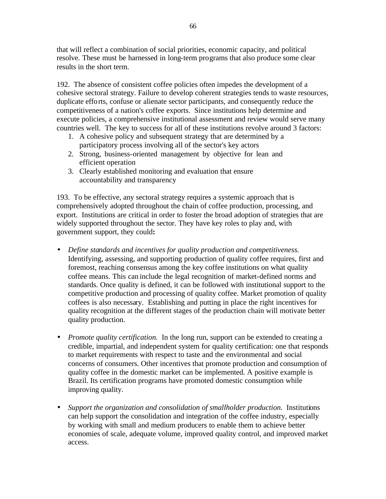that will reflect a combination of social priorities, economic capacity, and political resolve. These must be harnessed in long-term programs that also produce some clear results in the short term.

192. The absence of consistent coffee policies often impedes the development of a cohesive sectoral strategy. Failure to develop coherent strategies tends to waste resources, duplicate efforts, confuse or alienate sector participants, and consequently reduce the competitiveness of a nation's coffee exports. Since institutions help determine and execute policies, a comprehensive institutional assessment and review would serve many countries well. The key to success for all of these institutions revolve around 3 factors:

- 1. A cohesive policy and subsequent strategy that are determined by a participatory process involving all of the sector's key actors
- 2. Strong, business-oriented management by objective for lean and efficient operation
- 3. Clearly established monitoring and evaluation that ensure accountability and transparency

193. To be effective, any sectoral strategy requires a systemic approach that is comprehensively adopted throughout the chain of coffee production, processing, and export. Institutions are critical in order to foster the broad adoption of strategies that are widely supported throughout the sector. They have key roles to play and, with government support, they could**:**

- *Define standards and incentives for quality production and competitiveness.*  Identifying, assessing, and supporting production of quality coffee requires, first and foremost, reaching consensus among the key coffee institutions on what quality coffee means. This can include the legal recognition of market-defined norms and standards. Once quality is defined, it can be followed with institutional support to the competitive production and processing of quality coffee. Market promotion of quality coffees is also necessary. Establishing and putting in place the right incentives for quality recognition at the different stages of the production chain will motivate better quality production.
- *Promote quality certification*. In the long run, support can be extended to creating a credible, impartial, and independent system for quality certification: one that responds to market requirements with respect to taste and the environmental and social concerns of consumers. Other incentives that promote production and consumption of quality coffee in the domestic market can be implemented. A positive example is Brazil. Its certification programs have promoted domestic consumption while improving quality.
- *Support the organization and consolidation of smallholder production.* Institutions can help support the consolidation and integration of the coffee industry, especially by working with small and medium producers to enable them to achieve better economies of scale, adequate volume, improved quality control, and improved market access.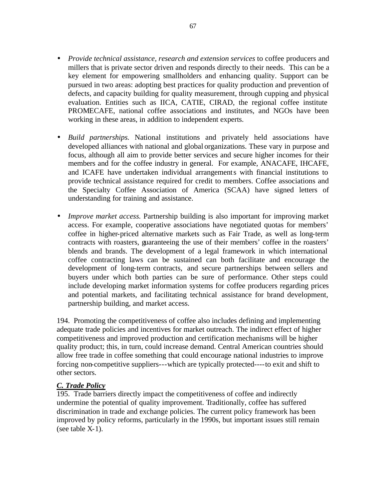- *Provide technical assistance, research and extension services to coffee producers and* millers that is private sector driven and responds directly to their needs. This can be a key element for empowering smallholders and enhancing quality. Support can be pursued in two areas: adopting best practices for quality production and prevention of defects, and capacity building for quality measurement, through cupping and physical evaluation. Entities such as IICA, CATIE, CIRAD, the regional coffee institute PROMECAFE, national coffee associations and institutes, and NGOs have been working in these areas, in addition to independent experts.
- *Build partnerships.* National institutions and privately held associations have developed alliances with national and global organizations. These vary in purpose and focus, although all aim to provide better services and secure higher incomes for their members and for the coffee industry in general. For example, ANACAFE, IHCAFE, and ICAFE have undertaken individual arrangements with financial institutions to provide technical assistance required for credit to members. Coffee associations and the Specialty Coffee Association of America (SCAA) have signed letters of understanding for training and assistance.
- *Improve market access.* Partnership building is also important for improving market access. For example, cooperative associations have negotiated quotas for members' coffee in higher-priced alternative markets such as Fair Trade, as well as long-term contracts with roasters, guaranteeing the use of their members' coffee in the roasters' blends and brands. The development of a legal framework in which international coffee contracting laws can be sustained can both facilitate and encourage the development of long-term contracts, and secure partnerships between sellers and buyers under which both parties can be sure of performance. Other steps could include developing market information systems for coffee producers regarding prices and potential markets, and facilitating technical assistance for brand development, partnership building, and market access.

194. Promoting the competitiveness of coffee also includes defining and implementing adequate trade policies and incentives for market outreach. The indirect effect of higher competitiveness and improved production and certification mechanisms will be higher quality product; this, in turn, could increase demand. Central American countries should allow free trade in coffee something that could encourage national industries to improve forcing non-competitive suppliers---which are typically protected----to exit and shift to other sectors.

#### *C. Trade Policy*

195. Trade barriers directly impact the competitiveness of coffee and indirectly undermine the potential of quality improvement. Traditionally, coffee has suffered discrimination in trade and exchange policies. The current policy framework has been improved by policy reforms, particularly in the 1990s, but important issues still remain (see table X-1).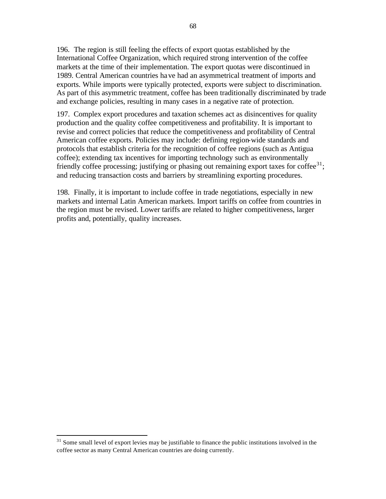196. The region is still feeling the effects of export quotas established by the International Coffee Organization, which required strong intervention of the coffee markets at the time of their implementation. The export quotas were discontinued in 1989. Central American countries have had an asymmetrical treatment of imports and exports. While imports were typically protected, exports were subject to discrimination. As part of this asymmetric treatment, coffee has been traditionally discriminated by trade and exchange policies, resulting in many cases in a negative rate of protection.

197. Complex export procedures and taxation schemes act as disincentives for quality production and the quality coffee competitiveness and profitability. It is important to revise and correct policies that reduce the competitiveness and profitability of Central American coffee exports. Policies may include: defining region-wide standards and protocols that establish criteria for the recognition of coffee regions (such as Antigua coffee); extending tax incentives for importing technology such as environmentally friendly coffee processing; justifying or phasing out remaining export taxes for coffee<sup>31</sup>; and reducing transaction costs and barriers by streamlining exporting procedures.

198. Finally, it is important to include coffee in trade negotiations, especially in new markets and internal Latin American markets. Import tariffs on coffee from countries in the region must be revised. Lower tariffs are related to higher competitiveness, larger profits and, potentially, quality increases.

 $\overline{a}$ 

 $31$  Some small level of export levies may be justifiable to finance the public institutions involved in the coffee sector as many Central American countries are doing currently.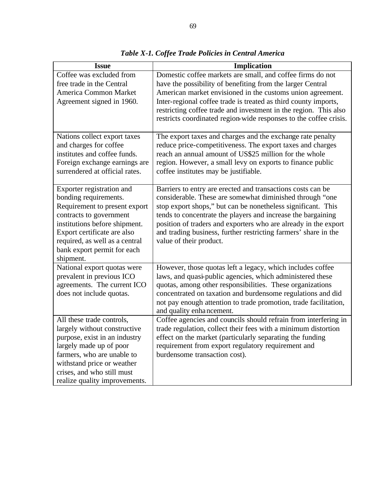| Coffee was excluded from<br>Domestic coffee markets are small, and coffee firms do not<br>free trade in the Central<br>have the possibility of benefiting from the larger Central<br>American market envisioned in the customs union agreement.<br><b>America Common Market</b><br>Agreement signed in 1960.<br>Inter-regional coffee trade is treated as third county imports,<br>restricting coffee trade and investment in the region. This also<br>restricts coordinated region-wide responses to the coffee crisis.<br>The export taxes and charges and the exchange rate penalty<br>Nations collect export taxes<br>and charges for coffee<br>reduce price-competitiveness. The export taxes and charges<br>institutes and coffee funds.<br>reach an annual amount of US\$25 million for the whole<br>region. However, a small levy on exports to finance public<br>Foreign exchange earnings are<br>surrendered at official rates.<br>coffee institutes may be justifiable.<br>Exporter registration and<br>Barriers to entry are erected and transactions costs can be<br>bonding requirements.<br>considerable. These are somewhat diminished through "one |
|---------------------------------------------------------------------------------------------------------------------------------------------------------------------------------------------------------------------------------------------------------------------------------------------------------------------------------------------------------------------------------------------------------------------------------------------------------------------------------------------------------------------------------------------------------------------------------------------------------------------------------------------------------------------------------------------------------------------------------------------------------------------------------------------------------------------------------------------------------------------------------------------------------------------------------------------------------------------------------------------------------------------------------------------------------------------------------------------------------------------------------------------------------------------|
|                                                                                                                                                                                                                                                                                                                                                                                                                                                                                                                                                                                                                                                                                                                                                                                                                                                                                                                                                                                                                                                                                                                                                                     |
|                                                                                                                                                                                                                                                                                                                                                                                                                                                                                                                                                                                                                                                                                                                                                                                                                                                                                                                                                                                                                                                                                                                                                                     |
|                                                                                                                                                                                                                                                                                                                                                                                                                                                                                                                                                                                                                                                                                                                                                                                                                                                                                                                                                                                                                                                                                                                                                                     |
|                                                                                                                                                                                                                                                                                                                                                                                                                                                                                                                                                                                                                                                                                                                                                                                                                                                                                                                                                                                                                                                                                                                                                                     |
|                                                                                                                                                                                                                                                                                                                                                                                                                                                                                                                                                                                                                                                                                                                                                                                                                                                                                                                                                                                                                                                                                                                                                                     |
|                                                                                                                                                                                                                                                                                                                                                                                                                                                                                                                                                                                                                                                                                                                                                                                                                                                                                                                                                                                                                                                                                                                                                                     |
|                                                                                                                                                                                                                                                                                                                                                                                                                                                                                                                                                                                                                                                                                                                                                                                                                                                                                                                                                                                                                                                                                                                                                                     |
|                                                                                                                                                                                                                                                                                                                                                                                                                                                                                                                                                                                                                                                                                                                                                                                                                                                                                                                                                                                                                                                                                                                                                                     |
|                                                                                                                                                                                                                                                                                                                                                                                                                                                                                                                                                                                                                                                                                                                                                                                                                                                                                                                                                                                                                                                                                                                                                                     |
|                                                                                                                                                                                                                                                                                                                                                                                                                                                                                                                                                                                                                                                                                                                                                                                                                                                                                                                                                                                                                                                                                                                                                                     |
|                                                                                                                                                                                                                                                                                                                                                                                                                                                                                                                                                                                                                                                                                                                                                                                                                                                                                                                                                                                                                                                                                                                                                                     |
|                                                                                                                                                                                                                                                                                                                                                                                                                                                                                                                                                                                                                                                                                                                                                                                                                                                                                                                                                                                                                                                                                                                                                                     |
|                                                                                                                                                                                                                                                                                                                                                                                                                                                                                                                                                                                                                                                                                                                                                                                                                                                                                                                                                                                                                                                                                                                                                                     |
|                                                                                                                                                                                                                                                                                                                                                                                                                                                                                                                                                                                                                                                                                                                                                                                                                                                                                                                                                                                                                                                                                                                                                                     |
| Requirement to present export<br>stop export shops," but can be nonetheless significant. This                                                                                                                                                                                                                                                                                                                                                                                                                                                                                                                                                                                                                                                                                                                                                                                                                                                                                                                                                                                                                                                                       |
| tends to concentrate the players and increase the bargaining<br>contracts to government<br>institutions before shipment.<br>position of traders and exporters who are already in the export                                                                                                                                                                                                                                                                                                                                                                                                                                                                                                                                                                                                                                                                                                                                                                                                                                                                                                                                                                         |
| and trading business, further restricting farmers' share in the<br>Export certificate are also                                                                                                                                                                                                                                                                                                                                                                                                                                                                                                                                                                                                                                                                                                                                                                                                                                                                                                                                                                                                                                                                      |
| required, as well as a central<br>value of their product.                                                                                                                                                                                                                                                                                                                                                                                                                                                                                                                                                                                                                                                                                                                                                                                                                                                                                                                                                                                                                                                                                                           |
| bank export permit for each                                                                                                                                                                                                                                                                                                                                                                                                                                                                                                                                                                                                                                                                                                                                                                                                                                                                                                                                                                                                                                                                                                                                         |
| shipment.                                                                                                                                                                                                                                                                                                                                                                                                                                                                                                                                                                                                                                                                                                                                                                                                                                                                                                                                                                                                                                                                                                                                                           |
| National export quotas were<br>However, those quotas left a legacy, which includes coffee                                                                                                                                                                                                                                                                                                                                                                                                                                                                                                                                                                                                                                                                                                                                                                                                                                                                                                                                                                                                                                                                           |
| prevalent in previous ICO<br>laws, and quasi-public agencies, which administered these                                                                                                                                                                                                                                                                                                                                                                                                                                                                                                                                                                                                                                                                                                                                                                                                                                                                                                                                                                                                                                                                              |
| agreements. The current ICO<br>quotas, among other responsibilities. These organizations                                                                                                                                                                                                                                                                                                                                                                                                                                                                                                                                                                                                                                                                                                                                                                                                                                                                                                                                                                                                                                                                            |
| does not include quotas.<br>concentrated on taxation and burdensome regulations and did                                                                                                                                                                                                                                                                                                                                                                                                                                                                                                                                                                                                                                                                                                                                                                                                                                                                                                                                                                                                                                                                             |
| not pay enough attention to trade promotion, trade facilitation,                                                                                                                                                                                                                                                                                                                                                                                                                                                                                                                                                                                                                                                                                                                                                                                                                                                                                                                                                                                                                                                                                                    |
| and quality enhancement.                                                                                                                                                                                                                                                                                                                                                                                                                                                                                                                                                                                                                                                                                                                                                                                                                                                                                                                                                                                                                                                                                                                                            |
| All these trade controls,<br>Coffee agencies and councils should refrain from interfering in                                                                                                                                                                                                                                                                                                                                                                                                                                                                                                                                                                                                                                                                                                                                                                                                                                                                                                                                                                                                                                                                        |
| trade regulation, collect their fees with a minimum distortion<br>largely without constructive                                                                                                                                                                                                                                                                                                                                                                                                                                                                                                                                                                                                                                                                                                                                                                                                                                                                                                                                                                                                                                                                      |
| effect on the market (particularly separating the funding<br>purpose, exist in an industry                                                                                                                                                                                                                                                                                                                                                                                                                                                                                                                                                                                                                                                                                                                                                                                                                                                                                                                                                                                                                                                                          |
| largely made up of poor<br>requirement from export regulatory requirement and                                                                                                                                                                                                                                                                                                                                                                                                                                                                                                                                                                                                                                                                                                                                                                                                                                                                                                                                                                                                                                                                                       |
| farmers, who are unable to<br>burdensome transaction cost).<br>withstand price or weather                                                                                                                                                                                                                                                                                                                                                                                                                                                                                                                                                                                                                                                                                                                                                                                                                                                                                                                                                                                                                                                                           |
| crises, and who still must                                                                                                                                                                                                                                                                                                                                                                                                                                                                                                                                                                                                                                                                                                                                                                                                                                                                                                                                                                                                                                                                                                                                          |
| realize quality improvements.                                                                                                                                                                                                                                                                                                                                                                                                                                                                                                                                                                                                                                                                                                                                                                                                                                                                                                                                                                                                                                                                                                                                       |

*Table X-1. Coffee Trade Policies in Central America*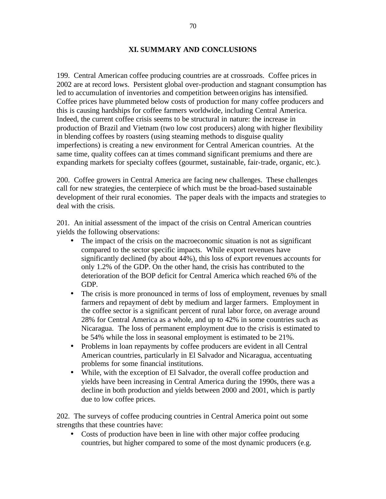## **XI. SUMMARY AND CONCLUSIONS**

199. Central American coffee producing countries are at crossroads. Coffee prices in 2002 are at record lows. Persistent global over-production and stagnant consumption has led to accumulation of inventories and competition between origins has intensified. Coffee prices have plummeted below costs of production for many coffee producers and this is causing hardships for coffee farmers worldwide, including Central America. Indeed, the current coffee crisis seems to be structural in nature: the increase in production of Brazil and Vietnam (two low cost producers) along with higher flexibility in blending coffees by roasters (using steaming methods to disguise quality imperfections) is creating a new environment for Central American countries. At the same time, quality coffees can at times command significant premiums and there are expanding markets for specialty coffees (gourmet, sustainable, fair-trade, organic, etc.).

200. Coffee growers in Central America are facing new challenges. These challenges call for new strategies, the centerpiece of which must be the broad-based sustainable development of their rural economies. The paper deals with the impacts and strategies to deal with the crisis.

201. An initial assessment of the impact of the crisis on Central American countries yields the following observations:

- The impact of the crisis on the macroeconomic situation is not as significant compared to the sector specific impacts. While export revenues have significantly declined (by about 44%), this loss of export revenues accounts for only 1.2% of the GDP. On the other hand, the crisis has contributed to the deterioration of the BOP deficit for Central America which reached 6% of the GDP.
- The crisis is more pronounced in terms of loss of employment, revenues by small farmers and repayment of debt by medium and larger farmers. Employment in the coffee sector is a significant percent of rural labor force, on average around 28% for Central America as a whole, and up to 42% in some countries such as Nicaragua. The loss of permanent employment due to the crisis is estimated to be 54% while the loss in seasonal employment is estimated to be 21%.
- Problems in loan repayments by coffee producers are evident in all Central American countries, particularly in El Salvador and Nicaragua, accentuating problems for some financial institutions.
- While, with the exception of El Salvador, the overall coffee production and yields have been increasing in Central America during the 1990s, there was a decline in both production and yields between 2000 and 2001, which is partly due to low coffee prices.

202. The surveys of coffee producing countries in Central America point out some strengths that these countries have:

• Costs of production have been in line with other major coffee producing countries, but higher compared to some of the most dynamic producers (e.g.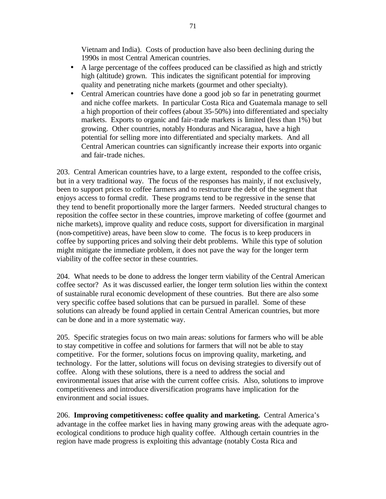Vietnam and India). Costs of production have also been declining during the 1990s in most Central American countries.

- A large percentage of the coffees produced can be classified as high and strictly high (altitude) grown. This indicates the significant potential for improving quality and penetrating niche markets (gourmet and other specialty).
- Central American countries have done a good job so far in penetrating gourmet and niche coffee markets. In particular Costa Rica and Guatemala manage to sell a high proportion of their coffees (about 35-50%) into differentiated and specialty markets. Exports to organic and fair-trade markets is limited (less than 1%) but growing. Other countries, notably Honduras and Nicaragua, have a high potential for selling more into differentiated and specialty markets. And all Central American countries can significantly increase their exports into organic and fair-trade niches.

203. Central American countries have, to a large extent, responded to the coffee crisis, but in a very traditional way. The focus of the responses has mainly, if not exclusively, been to support prices to coffee farmers and to restructure the debt of the segment that enjoys access to formal credit. These programs tend to be regressive in the sense that they tend to benefit proportionally more the larger farmers. Needed structural changes to reposition the coffee sector in these countries, improve marketing of coffee (gourmet and niche markets), improve quality and reduce costs, support for diversification in marginal (non-competitive) areas, have been slow to come. The focus is to keep producers in coffee by supporting prices and solving their debt problems. While this type of solution might mitigate the immediate problem, it does not pave the way for the longer term viability of the coffee sector in these countries.

204. What needs to be done to address the longer term viability of the Central American coffee sector? As it was discussed earlier, the longer term solution lies within the context of sustainable rural economic development of these countries. But there are also some very specific coffee based solutions that can be pursued in parallel. Some of these solutions can already be found applied in certain Central American countries, but more can be done and in a more systematic way.

205. Specific strategies focus on two main areas: solutions for farmers who will be able to stay competitive in coffee and solutions for farmers that will not be able to stay competitive. For the former, solutions focus on improving quality, marketing, and technology. For the latter, solutions will focus on devising strategies to diversify out of coffee. Along with these solutions, there is a need to address the social and environmental issues that arise with the current coffee crisis. Also, solutions to improve competitiveness and introduce diversification programs have implication for the environment and social issues.

206. **Improving competitiveness: coffee quality and marketing.** Central America's advantage in the coffee market lies in having many growing areas with the adequate agroecological conditions to produce high quality coffee. Although certain countries in the region have made progress is exploiting this advantage (notably Costa Rica and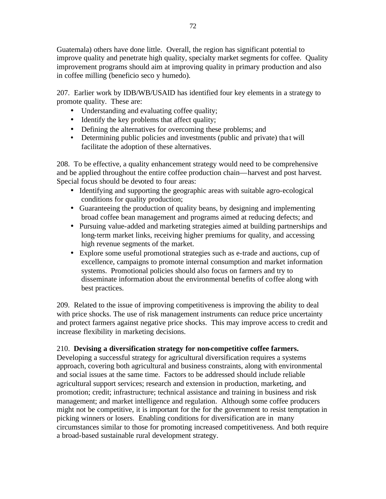Guatemala) others have done little. Overall, the region has significant potential to improve quality and penetrate high quality, specialty market segments for coffee. Quality improvement programs should aim at improving quality in primary production and also in coffee milling (beneficio seco y humedo).

207. Earlier work by IDB/WB/USAID has identified four key elements in a strategy to promote quality. These are:

- Understanding and evaluating coffee quality;
- Identify the key problems that affect quality;
- Defining the alternatives for overcoming these problems; and
- Determining public policies and investments (public and private) that will facilitate the adoption of these alternatives.

208. To be effective, a quality enhancement strategy would need to be comprehensive and be applied throughout the entire coffee production chain—harvest and post harvest. Special focus should be devoted to four areas:

- Identifying and supporting the geographic areas with suitable agro-ecological conditions for quality production;
- Guaranteeing the production of quality beans, by designing and implementing broad coffee bean management and programs aimed at reducing defects; and
- Pursuing value-added and marketing strategies aimed at building partnerships and long-term market links, receiving higher premiums for quality, and accessing high revenue segments of the market.
- Explore some useful promotional strategies such as e-trade and auctions, cup of excellence, campaigns to promote internal consumption and market information systems. Promotional policies should also focus on farmers and try to disseminate information about the environmental benefits of coffee along with best practices.

209. Related to the issue of improving competitiveness is improving the ability to deal with price shocks. The use of risk management instruments can reduce price uncertainty and protect farmers against negative price shocks. This may improve access to credit and increase flexibility in marketing decisions.

## 210. **Devising a diversification strategy for non-competitive coffee farmers.**

Developing a successful strategy for agricultural diversification requires a systems approach, covering both agricultural and business constraints, along with environmental and social issues at the same time. Factors to be addressed should include reliable agricultural support services; research and extension in production, marketing, and promotion; credit; infrastructure; technical assistance and training in business and risk management; and market intelligence and regulation. Although some coffee producers might not be competitive, it is important for the for the government to resist temptation in picking winners or losers. Enabling conditions for diversification are in many circumstances similar to those for promoting increased competitiveness. And both require a broad-based sustainable rural development strategy.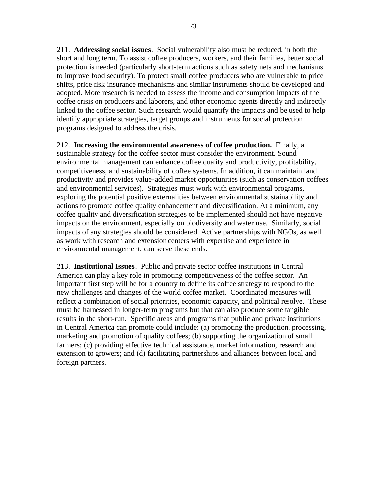211. **Addressing social issues**. Social vulnerability also must be reduced, in both the short and long term. To assist coffee producers, workers, and their families, better social protection is needed (particularly short-term actions such as safety nets and mechanisms to improve food security). To protect small coffee producers who are vulnerable to price shifts, price risk insurance mechanisms and similar instruments should be developed and adopted. More research is needed to assess the income and consumption impacts of the coffee crisis on producers and laborers, and other economic agents directly and indirectly linked to the coffee sector. Such research would quantify the impacts and be used to help identify appropriate strategies, target groups and instruments for social protection

programs designed to address the crisis.

212. **Increasing the environmental awareness of coffee production.** Finally, a sustainable strategy for the coffee sector must consider the environment. Sound environmental management can enhance coffee quality and productivity, profitability, competitiveness, and sustainability of coffee systems. In addition, it can maintain land productivity and provides value-added market opportunities (such as conservation coffees and environmental services). Strategies must work with environmental programs, exploring the potential positive externalities between environmental sustainability and actions to promote coffee quality enhancement and diversification. At a minimum, any coffee quality and diversification strategies to be implemented should not have negative impacts on the environment, especially on biodiversity and water use. Similarly, social impacts of any strategies should be considered. Active partnerships with NGOs, as well as work with research and extension centers with expertise and experience in environmental management, can serve these ends.

213. **Institutional Issues**. Public and private sector coffee institutions in Central America can play a key role in promoting competitiveness of the coffee sector. An important first step will be for a country to define its coffee strategy to respond to the new challenges and changes of the world coffee market. Coordinated measures will reflect a combination of social priorities, economic capacity, and political resolve. These must be harnessed in longer-term programs but that can also produce some tangible results in the short-run. Specific areas and programs that public and private institutions in Central America can promote could include: (a) promoting the production, processing, marketing and promotion of quality coffees; (b) supporting the organization of small farmers; (c) providing effective technical assistance, market information, research and extension to growers; and (d) facilitating partnerships and alliances between local and foreign partners.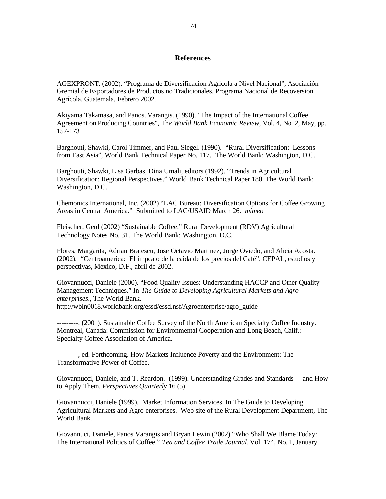## **References**

AGEXPRONT. (2002). "Programa de Diversificacion Agricola a Nivel Nacional", Asociación Gremial de Exportadores de Productos no Tradicionales, Programa Nacional de Recoversion Agrícola, Guatemala, Febrero 2002.

Akiyama Takamasa, and Panos. Varangis. (1990). "The Impact of the International Coffee Agreement on Producing Countries", Th*e World Bank Economic Review*, Vol. 4, No. 2, May, pp. 157-173

Barghouti, Shawki, Carol Timmer, and Paul Siegel. (1990). "Rural Diversification: Lessons from East Asia", World Bank Technical Paper No. 117. The World Bank: Washington, D.C.

Barghouti, Shawki, Lisa Garbas, Dina Umali, editors (1992). "Trends in Agricultural Diversification: Regional Perspectives." World Bank Technical Paper 180. The World Bank: Washington, D.C.

Chemonics International, Inc. (2002) "LAC Bureau: Diversification Options for Coffee Growing Areas in Central America." Submitted to LAC/USAID March 26. *mimeo*

Fleischer, Gerd (2002) "Sustainable Coffee." Rural Development (RDV) Agricultural Technology Notes No. 31. The World Bank: Washington, D.C.

Flores, Margarita, Adrian Bratescu, Jose Octavio Martinez, Jorge Oviedo, and Alicia Acosta. (2002). "Centroamerica: El impcato de la caida de los precios del Café", CEPAL, estudios y perspectivas, México, D.F., abril de 2002.

Giovannucci, Daniele (2000). "Food Quality Issues: Understanding HACCP and Other Quality Management Techniques." In *The Guide to Developing Agricultural Markets and Agroenterprises*., The World Bank. http://wbln0018.worldbank.org/essd/essd.nsf/Agroenterprise/agro\_guide

---------. (2001). Sustainable Coffee Survey of the North American Specialty Coffee Industry. Montreal, Canada: Commission for Environmental Cooperation and Long Beach, Calif.: Specialty Coffee Association of America.

---------, ed. Forthcoming. How Markets Influence Poverty and the Environment: The Transformative Power of Coffee.

Giovannucci, Daniele, and T. Reardon. (1999). Understanding Grades and Standards--- and How to Apply Them. *Perspectives Quarterly* 16 (5)

Giovannucci, Daniele (1999). Market Information Services. In The Guide to Developing Agricultural Markets and Agro-enterprises. Web site of the Rural Development Department, The World Bank.

Giovannuci, Daniele, Panos Varangis and Bryan Lewin (2002) "Who Shall We Blame Today: The International Politics of Coffee." *Tea and Coffee Trade Journal*. Vol. 174, No. 1, January.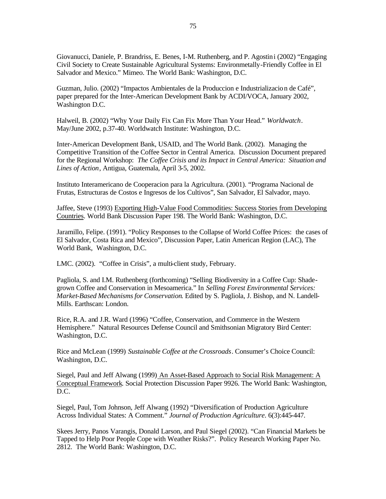Giovanucci, Daniele, P. Brandriss, E. Benes, I-M. Ruthenberg, and P. Agostini (2002) "Engaging Civil Society to Create Sustainable Agricultural Systems: Environmetally-Friendly Coffee in El Salvador and Mexico." Mimeo. The World Bank: Washington, D.C.

Guzman, Julio. (2002) "Impactos Ambientales de la Produccion e Industrializacion de Café", paper prepared for the Inter-American Development Bank by ACDI/VOCA, January 2002, Washington D.C.

Halweil, B. (2002) "Why Your Daily Fix Can Fix More Than Your Head." *Worldwatch*. May/June 2002, p.37-40. Worldwatch Institute: Washington, D.C.

Inter-American Development Bank, USAID, and The World Bank. (2002). Managing the Competitive Transition of the Coffee Sector in Central America. Discussion Document prepared for the Regional Workshop: *The Coffee Crisis and its Impact in Central America: Situation and Lines of Action*, Antigua, Guatemala, April 3-5, 2002.

Instituto Interamericano de Cooperacion para la Agricultura. (2001). "Programa Nacional de Frutas, Estructuras de Costos e Ingresos de los Cultivos", San Salvador, El Salvador, mayo.

Jaffee, Steve (1993) Exporting High-Value Food Commodities: Success Stories from Developing Countries. World Bank Discussion Paper 198. The World Bank: Washington, D.C.

Jaramillo, Felipe. (1991). "Policy Responses to the Collapse of World Coffee Prices: the cases of El Salvador, Costa Rica and Mexico", Discussion Paper, Latin American Region (LAC), The World Bank, Washington, D.C.

LMC. (2002). "Coffee in Crisis", a multi-client study, February.

Pagliola, S. and I.M. Ruthenberg (forthcoming) "Selling Biodiversity in a Coffee Cup: Shadegrown Coffee and Conservation in Mesoamerica." In *Selling Forest Environmental Services: Market-Based Mechanisms for Conservation*. Edited by S. Pagliola, J. Bishop, and N. Landell-Mills. Earthscan: London.

Rice, R.A. and J.R. Ward (1996) "Coffee, Conservation, and Commerce in the Western Hemisphere." Natural Resources Defense Council and Smithsonian Migratory Bird Center: Washington, D.C.

Rice and McLean (1999) *Sustainable Coffee at the Crossroads*. Consumer's Choice Council: Washington, D.C.

Siegel, Paul and Jeff Alwang (1999) An Asset-Based Approach to Social Risk Management: A Conceptual Framework. Social Protection Discussion Paper 9926. The World Bank: Washington, D.C.

Siegel, Paul, Tom Johnson, Jeff Alwang (1992) "Diversification of Production Agriculture Across Individual States: A Comment." *Journal of Production Agriculture*. 6(3):445-447.

Skees Jerry, Panos Varangis, Donald Larson, and Paul Siegel (2002). "Can Financial Markets be Tapped to Help Poor People Cope with Weather Risks?". Policy Research Working Paper No. 2812. The World Bank: Washington, D.C.